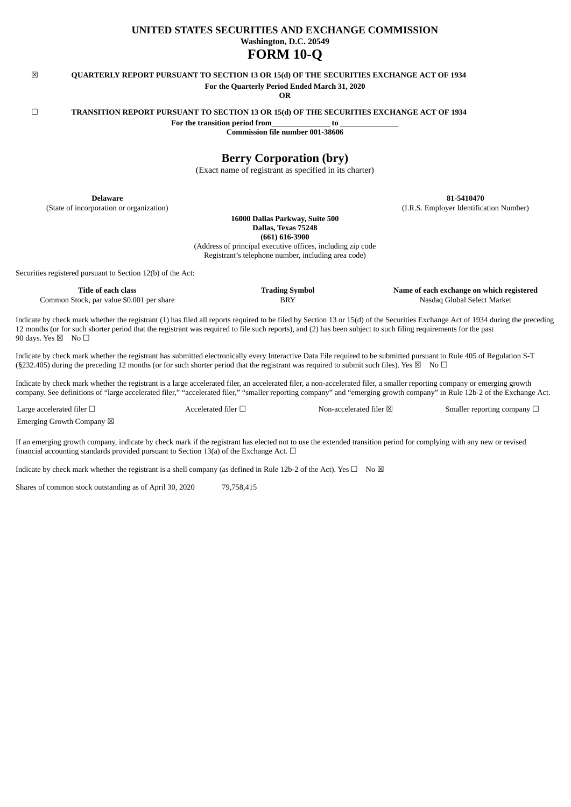# **UNITED STATES SECURITIES AND EXCHANGE COMMISSION Washington, D.C. 20549 FORM 10-Q**

# ☒ **QUARTERLY REPORT PURSUANT TO SECTION 13 OR 15(d) OF THE SECURITIES EXCHANGE ACT OF 1934**

**For the Quarterly Period Ended March 31, 2020**

**OR**

☐ **TRANSITION REPORT PURSUANT TO SECTION 13 OR 15(d) OF THE SECURITIES EXCHANGE ACT OF 1934**

**For the transition period from\_\_\_\_\_\_\_\_\_\_\_\_\_\_\_ to \_\_\_\_\_\_\_\_\_\_\_\_\_\_\_**

**Commission file number 001-38606**

# **Berry Corporation (bry)**

(Exact name of registrant as specified in its charter)

**Delaware**

(State of incorporation or organization)

**16000 Dallas Parkway, Suite 500 Dallas, Texas 75248**

**(661) 616-3900**

(Address of principal executive offices, including zip code Registrant's telephone number, including area code)

Securities registered pursuant to Section 12(b) of the Act:

**Title of each class** Common Stock, par value \$0.001 per share **Trading Symbol BRY** 

**Name of each exchange on which registered** Nasdaq Global Select Market

**81-5410470** (I.R.S. Employer Identification Number)

Indicate by check mark whether the registrant (1) has filed all reports required to be filed by Section 13 or 15(d) of the Securities Exchange Act of 1934 during the preceding 12 months (or for such shorter period that the registrant was required to file such reports), and (2) has been subject to such filing requirements for the past 90 days. Yes  $\boxtimes$  No  $\Box$ 

Indicate by check mark whether the registrant has submitted electronically every Interactive Data File required to be submitted pursuant to Rule 405 of Regulation S-T (§232.405) during the preceding 12 months (or for such shorter period that the registrant was required to submit such files). Yes  $\boxtimes$  No  $\Box$ 

Indicate by check mark whether the registrant is a large accelerated filer, an accelerated filer, a non-accelerated filer, a smaller reporting company or emerging growth company. See definitions of "large accelerated filer," "accelerated filer," "smaller reporting company" and "emerging growth company" in Rule 12b-2 of the Exchange Act.

Large accelerated filer □ and accelerated filer □ and accelerated filer ⊠ Smaller reporting company □

Emerging Growth Company  $\boxtimes$ 

If an emerging growth company, indicate by check mark if the registrant has elected not to use the extended transition period for complying with any new or revised financial accounting standards provided pursuant to Section 13(a) of the Exchange Act.  $\Box$ 

Indicate by check mark whether the registrant is a shell company (as defined in Rule 12b-2 of the Act). Yes  $\square$  No  $\boxtimes$ 

Shares of common stock outstanding as of April 30, 2020 79,758,415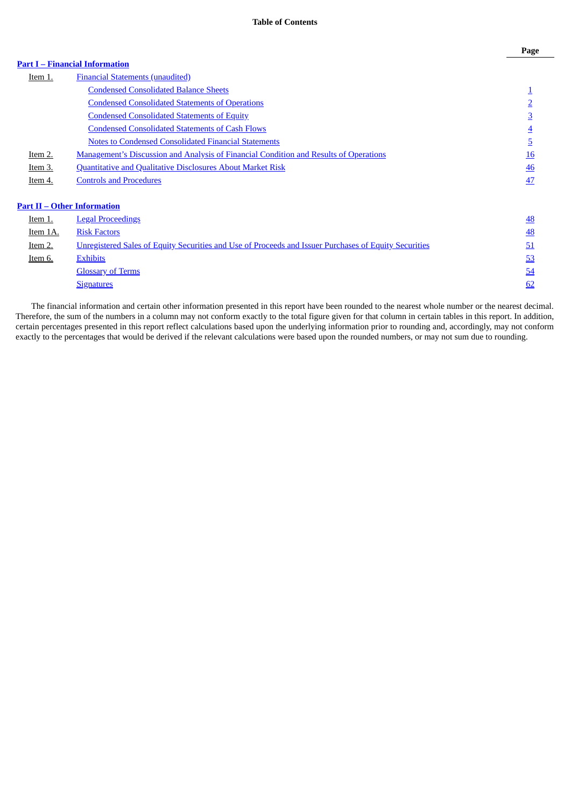# <span id="page-1-0"></span>**Part I – Financial [Information](#page-2-0)**

| Item 1.  | <b>Financial Statements (unaudited)</b>                                                               |                |
|----------|-------------------------------------------------------------------------------------------------------|----------------|
|          | <b>Condensed Consolidated Balance Sheets</b>                                                          |                |
|          | <b>Condensed Consolidated Statements of Operations</b>                                                | $\overline{2}$ |
|          | <b>Condensed Consolidated Statements of Equity</b>                                                    | $\overline{3}$ |
|          | <b>Condensed Consolidated Statements of Cash Flows</b>                                                | $\overline{4}$ |
|          | <b>Notes to Condensed Consolidated Financial Statements</b>                                           | $\overline{5}$ |
| Item 2.  | <b>Management's Discussion and Analysis of Financial Condition and Results of Operations</b>          | 16             |
| Item 3.  | <b>Quantitative and Qualitative Disclosures About Market Risk</b>                                     | 46             |
| Item 4.  | <b>Controls and Procedures</b>                                                                        | 47             |
|          |                                                                                                       |                |
|          | <b>Part II – Other Information</b>                                                                    |                |
| Item 1.  | <b>Legal Proceedings</b>                                                                              | 48             |
| Item 1A. | <b>Risk Factors</b>                                                                                   | 48             |
| Item 2.  | Unregistered Sales of Equity Securities and Use of Proceeds and Issuer Purchases of Equity Securities | 51             |
| Item 6.  | <b>Exhibits</b>                                                                                       | 53             |
|          | <b>Glossary of Terms</b>                                                                              | 54             |
|          | <b>Signatures</b>                                                                                     | 62             |

The financial information and certain other information presented in this report have been rounded to the nearest whole number or the nearest decimal. Therefore, the sum of the numbers in a column may not conform exactly to the total figure given for that column in certain tables in this report. In addition, certain percentages presented in this report reflect calculations based upon the underlying information prior to rounding and, accordingly, may not conform exactly to the percentages that would be derived if the relevant calculations were based upon the rounded numbers, or may not sum due to rounding.

**Page**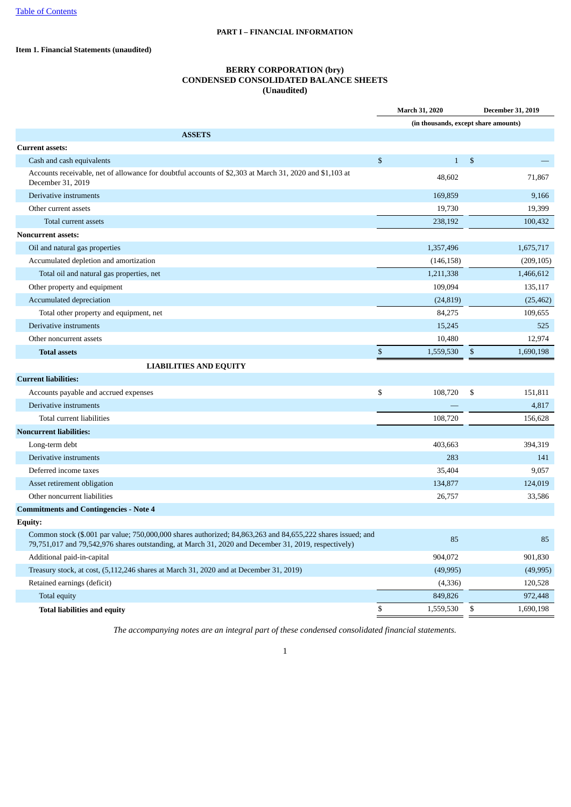# **PART I – FINANCIAL INFORMATION**

<span id="page-2-1"></span><span id="page-2-0"></span>**Item 1. Financial Statements (unaudited)**

# **BERRY CORPORATION (bry) CONDENSED CONSOLIDATED BALANCE SHEETS (Unaudited)**

|                                                                                                                                                                                                                     | March 31, 2020                       | December 31, 2019 |
|---------------------------------------------------------------------------------------------------------------------------------------------------------------------------------------------------------------------|--------------------------------------|-------------------|
|                                                                                                                                                                                                                     | (in thousands, except share amounts) |                   |
| <b>ASSETS</b>                                                                                                                                                                                                       |                                      |                   |
| <b>Current assets:</b>                                                                                                                                                                                              |                                      |                   |
| Cash and cash equivalents                                                                                                                                                                                           | \$<br>$\mathbf{1}$                   | \$                |
| Accounts receivable, net of allowance for doubtful accounts of \$2,303 at March 31, 2020 and \$1,103 at<br>December 31, 2019                                                                                        | 48,602                               | 71,867            |
| Derivative instruments                                                                                                                                                                                              | 169,859                              | 9,166             |
| Other current assets                                                                                                                                                                                                | 19,730                               | 19,399            |
| Total current assets                                                                                                                                                                                                | 238,192                              | 100,432           |
| <b>Noncurrent assets:</b>                                                                                                                                                                                           |                                      |                   |
| Oil and natural gas properties                                                                                                                                                                                      | 1,357,496                            | 1,675,717         |
| Accumulated depletion and amortization                                                                                                                                                                              | (146, 158)                           | (209, 105)        |
| Total oil and natural gas properties, net                                                                                                                                                                           | 1,211,338                            | 1,466,612         |
| Other property and equipment                                                                                                                                                                                        | 109,094                              | 135,117           |
| Accumulated depreciation                                                                                                                                                                                            | (24, 819)                            | (25, 462)         |
| Total other property and equipment, net                                                                                                                                                                             | 84,275                               | 109,655           |
| Derivative instruments                                                                                                                                                                                              | 15,245                               | 525               |
| Other noncurrent assets                                                                                                                                                                                             | 10,480                               | 12,974            |
| <b>Total assets</b>                                                                                                                                                                                                 | \$<br>1,559,530                      | \$<br>1,690,198   |
| <b>LIABILITIES AND EQUITY</b>                                                                                                                                                                                       |                                      |                   |
| <b>Current liabilities:</b>                                                                                                                                                                                         |                                      |                   |
| Accounts payable and accrued expenses                                                                                                                                                                               | \$<br>108,720                        | \$<br>151,811     |
| Derivative instruments                                                                                                                                                                                              |                                      | 4,817             |
| Total current liabilities                                                                                                                                                                                           | 108,720                              | 156,628           |
| <b>Noncurrent liabilities:</b>                                                                                                                                                                                      |                                      |                   |
| Long-term debt                                                                                                                                                                                                      | 403,663                              | 394,319           |
| Derivative instruments                                                                                                                                                                                              | 283                                  | 141               |
| Deferred income taxes                                                                                                                                                                                               | 35,404                               | 9,057             |
| Asset retirement obligation                                                                                                                                                                                         | 134,877                              | 124,019           |
| Other noncurrent liabilities                                                                                                                                                                                        | 26,757                               | 33,586            |
| <b>Commitments and Contingencies - Note 4</b>                                                                                                                                                                       |                                      |                   |
| <b>Equity:</b>                                                                                                                                                                                                      |                                      |                   |
| Common stock (\$.001 par value; 750,000,000 shares authorized; 84,863,263 and 84,655,222 shares issued; and<br>79,751,017 and 79,542,976 shares outstanding, at March 31, 2020 and December 31, 2019, respectively) | 85                                   | 85                |
| Additional paid-in-capital                                                                                                                                                                                          | 904,072                              | 901,830           |
| Treasury stock, at cost, (5,112,246 shares at March 31, 2020 and at December 31, 2019)                                                                                                                              | (49,995)                             | (49, 995)         |
| Retained earnings (deficit)                                                                                                                                                                                         | (4, 336)                             | 120,528           |
| Total equity                                                                                                                                                                                                        | 849,826                              | 972,448           |
| <b>Total liabilities and equity</b>                                                                                                                                                                                 | \$<br>1,559,530                      | \$<br>1,690,198   |

*The accompanying notes are an integral part of these condensed consolidated financial statements.*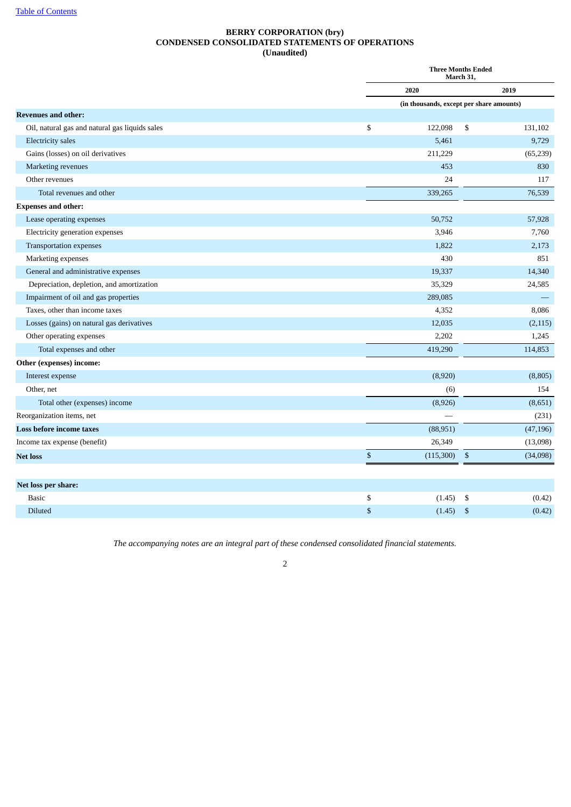# **BERRY CORPORATION (bry) CONDENSED CONSOLIDATED STATEMENTS OF OPERATIONS (Unaudited)**

<span id="page-3-0"></span>

|                                                |                            | <b>Three Months Ended</b><br>March 31, |                                          |  |  |  |
|------------------------------------------------|----------------------------|----------------------------------------|------------------------------------------|--|--|--|
|                                                | 2020                       |                                        | 2019                                     |  |  |  |
|                                                |                            |                                        | (in thousands, except per share amounts) |  |  |  |
| <b>Revenues and other:</b>                     |                            |                                        |                                          |  |  |  |
| Oil, natural gas and natural gas liquids sales | \$<br>122,098              | \$                                     | 131,102                                  |  |  |  |
| <b>Electricity</b> sales                       | 5,461                      |                                        | 9,729                                    |  |  |  |
| Gains (losses) on oil derivatives              | 211,229                    |                                        | (65, 239)                                |  |  |  |
| Marketing revenues                             | 453                        |                                        | 830                                      |  |  |  |
| Other revenues                                 | 24                         |                                        | 117                                      |  |  |  |
| Total revenues and other                       | 339,265                    |                                        | 76,539                                   |  |  |  |
| <b>Expenses and other:</b>                     |                            |                                        |                                          |  |  |  |
| Lease operating expenses                       | 50,752                     |                                        | 57,928                                   |  |  |  |
| Electricity generation expenses                | 3,946                      |                                        | 7,760                                    |  |  |  |
| <b>Transportation expenses</b>                 | 1,822                      |                                        | 2,173                                    |  |  |  |
| Marketing expenses                             | 430                        |                                        | 851                                      |  |  |  |
| General and administrative expenses            | 19,337                     |                                        | 14,340                                   |  |  |  |
| Depreciation, depletion, and amortization      | 35,329                     |                                        | 24,585                                   |  |  |  |
| Impairment of oil and gas properties           | 289,085                    |                                        |                                          |  |  |  |
| Taxes, other than income taxes                 | 4,352                      |                                        | 8,086                                    |  |  |  |
| Losses (gains) on natural gas derivatives      | 12,035                     |                                        | (2, 115)                                 |  |  |  |
| Other operating expenses                       | 2,202                      |                                        | 1,245                                    |  |  |  |
| Total expenses and other                       | 419,290                    |                                        | 114,853                                  |  |  |  |
| Other (expenses) income:                       |                            |                                        |                                          |  |  |  |
| Interest expense                               | (8,920)                    |                                        | (8, 805)                                 |  |  |  |
| Other, net                                     |                            | (6)                                    | 154                                      |  |  |  |
| Total other (expenses) income                  | (8,926)                    |                                        | (8,651)                                  |  |  |  |
| Reorganization items, net                      |                            |                                        | (231)                                    |  |  |  |
| Loss before income taxes                       | (88,951)                   |                                        | (47, 196)                                |  |  |  |
| Income tax expense (benefit)                   | 26,349                     |                                        | (13,098)                                 |  |  |  |
| <b>Net loss</b>                                | $\mathbb{S}$<br>(115, 300) | $\sqrt{5}$                             | (34,098)                                 |  |  |  |
|                                                |                            |                                        |                                          |  |  |  |
| Net loss per share:                            |                            |                                        |                                          |  |  |  |
| <b>Basic</b>                                   | \$<br>(1.45)               | -\$                                    | (0.42)                                   |  |  |  |
| <b>Diluted</b>                                 | \$<br>(1.45)               | \$                                     | (0.42)                                   |  |  |  |

*The accompanying notes are an integral part of these condensed consolidated financial statements.*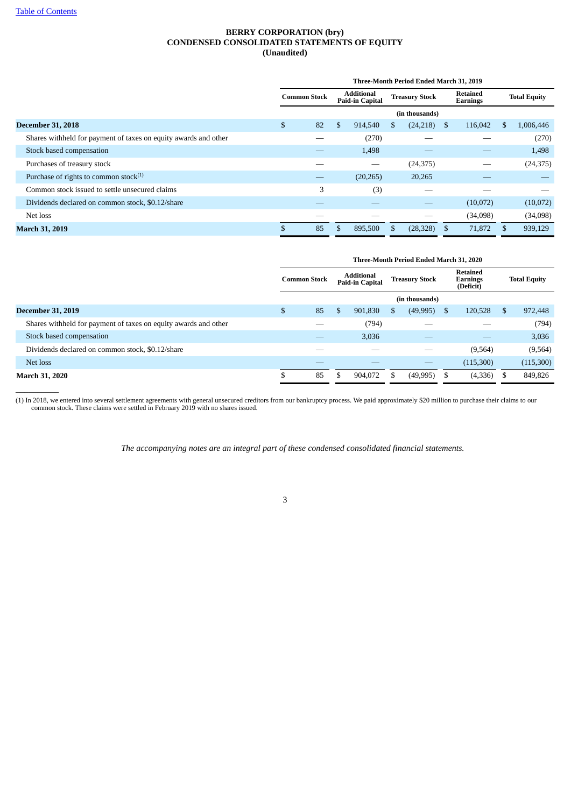$\overline{\phantom{a}}$  . The contract of  $\overline{\phantom{a}}$ 

# **BERRY CORPORATION (bry) CONDENSED CONSOLIDATED STATEMENTS OF EQUITY (Unaudited)**

<span id="page-4-0"></span>

|                                                                 | Three-Month Period Ended March 31, 2019 |                     |     |                                             |     |                       |      |                                    |  |                     |
|-----------------------------------------------------------------|-----------------------------------------|---------------------|-----|---------------------------------------------|-----|-----------------------|------|------------------------------------|--|---------------------|
|                                                                 |                                         | <b>Common Stock</b> |     | <b>Additional</b><br><b>Paid-in Capital</b> |     | <b>Treasury Stock</b> |      | <b>Retained</b><br><b>Earnings</b> |  | <b>Total Equity</b> |
|                                                                 |                                         |                     |     |                                             |     | (in thousands)        |      |                                    |  |                     |
| <b>December 31, 2018</b>                                        | \$                                      | 82                  | \$. | 914,540                                     | S   | $(24,218)$ \$         |      | 116,042                            |  | 1,006,446           |
| Shares withheld for payment of taxes on equity awards and other |                                         |                     |     | (270)                                       |     |                       |      |                                    |  | (270)               |
| Stock based compensation                                        |                                         |                     |     | 1,498                                       |     |                       |      |                                    |  | 1,498               |
| Purchases of treasury stock                                     |                                         |                     |     | –                                           |     | (24, 375)             |      |                                    |  | (24, 375)           |
| Purchase of rights to common stock $(1)$                        |                                         |                     |     | (20, 265)                                   |     | 20,265                |      |                                    |  |                     |
| Common stock issued to settle unsecured claims                  |                                         | 3                   |     | (3)                                         |     |                       |      |                                    |  |                     |
| Dividends declared on common stock, \$0.12/share                |                                         |                     |     |                                             |     |                       |      | (10,072)                           |  | (10,072)            |
| Net loss                                                        |                                         |                     |     |                                             |     |                       |      | (34,098)                           |  | (34,098)            |
| <b>March 31, 2019</b>                                           |                                         | 85                  |     | 895,500                                     | \$. | (28, 328)             | - \$ | 71,872                             |  | 939,129             |

|                                                                 |    | Three-Month Period Ended March 31, 2020 |   |                                             |     |                       |    |                                                 |    |                     |
|-----------------------------------------------------------------|----|-----------------------------------------|---|---------------------------------------------|-----|-----------------------|----|-------------------------------------------------|----|---------------------|
|                                                                 |    | <b>Common Stock</b>                     |   | <b>Additional</b><br><b>Paid-in Capital</b> |     | <b>Treasury Stock</b> |    | <b>Retained</b><br><b>Earnings</b><br>(Deficit) |    | <b>Total Equity</b> |
|                                                                 |    |                                         |   |                                             |     | (in thousands)        |    |                                                 |    |                     |
| <b>December 31, 2019</b>                                        | \$ | 85                                      | S | 901,830                                     | S   | (49,995)              | -S | 120,528                                         | \$ | 972,448             |
| Shares withheld for payment of taxes on equity awards and other |    |                                         |   | (794)                                       |     |                       |    |                                                 |    | (794)               |
| Stock based compensation                                        |    | _                                       |   | 3,036                                       |     |                       |    |                                                 |    | 3,036               |
| Dividends declared on common stock, \$0.12/share                |    |                                         |   |                                             |     |                       |    | (9,564)                                         |    | (9,564)             |
| Net loss                                                        |    |                                         |   |                                             |     |                       |    | (115,300)                                       |    | (115,300)           |
| <b>March 31, 2020</b>                                           | J. | 85                                      | ъ | 904.072                                     | \$. | (49, 995)             |    | (4,336)                                         | S  | 849,826             |

(1) In 2018, we entered into several settlement agreements with general unsecured creditors from our bankruptcy process. We paid approximately \$20 million to purchase their claims to our common stock. These claims were settled in February 2019 with no shares issued.

*The accompanying notes are an integral part of these condensed consolidated financial statements.*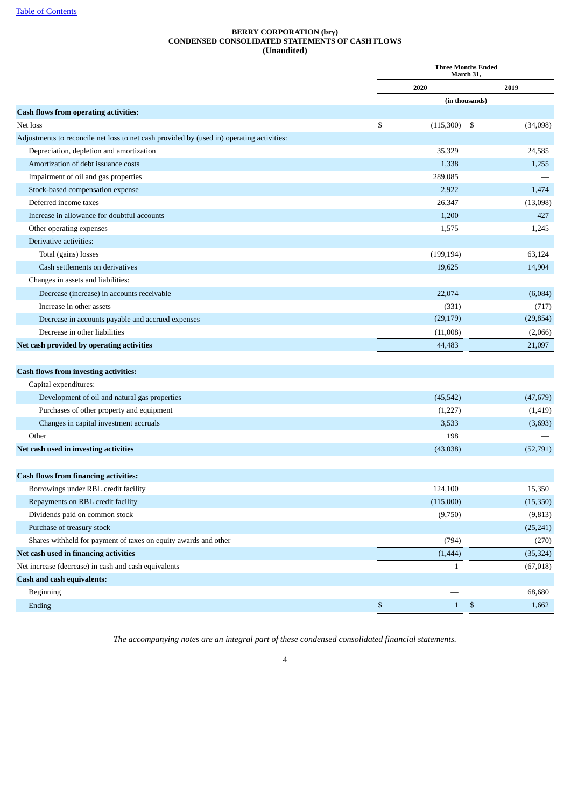### **BERRY CORPORATION (bry) CONDENSED CONSOLIDATED STATEMENTS OF CASH FLOWS (Unaudited)**

<span id="page-5-0"></span>

| 2019<br>2020<br>(in thousands)<br><b>Cash flows from operating activities:</b><br>\$<br>Net loss<br>(115, 300)<br>- \$<br>(34,098)<br>Adjustments to reconcile net loss to net cash provided by (used in) operating activities:<br>Depreciation, depletion and amortization<br>35,329<br>24,585<br>Amortization of debt issuance costs<br>1,338<br>1,255<br>Impairment of oil and gas properties<br>289,085<br>Stock-based compensation expense<br>2,922<br>1,474<br>Deferred income taxes<br>26,347<br>(13,098)<br>Increase in allowance for doubtful accounts<br>427<br>1,200<br>Other operating expenses<br>1,575<br>1,245<br>Derivative activities:<br>63,124<br>Total (gains) losses<br>(199, 194)<br>Cash settlements on derivatives<br>19,625<br>14,904<br>Changes in assets and liabilities:<br>Decrease (increase) in accounts receivable<br>22,074<br>(6,084)<br>Increase in other assets<br>(331)<br>(717)<br>(29, 179)<br>(29, 854)<br>Decrease in accounts payable and accrued expenses<br>Decrease in other liabilities<br>(11,008)<br>(2,066)<br>Net cash provided by operating activities<br>44,483<br>21,097<br><b>Cash flows from investing activities:</b><br>Capital expenditures:<br>Development of oil and natural gas properties<br>(45, 542)<br>(47, 679)<br>Purchases of other property and equipment<br>(1,227)<br>(1, 419)<br>Changes in capital investment accruals<br>3,533<br>(3,693)<br>Other<br>198<br>Net cash used in investing activities<br>(43,038)<br>(52,791)<br><b>Cash flows from financing activities:</b><br>Borrowings under RBL credit facility<br>15,350<br>124.100<br>Repayments on RBL credit facility<br>(115,000)<br>(15, 350)<br>Dividends paid on common stock<br>(9,750)<br>(9, 813)<br>Purchase of treasury stock<br>(25, 241)<br>Shares withheld for payment of taxes on equity awards and other<br>(794)<br>(270)<br>Net cash used in financing activities<br>(35, 324)<br>(1,444)<br>Net increase (decrease) in cash and cash equivalents<br>$1\,$<br>(67,018)<br><b>Cash and cash equivalents:</b><br>Beginning<br>68,680<br>${\mathbb S}$<br>$\mathbb{S}$<br>$\mathbf{1}$<br>1,662<br>Ending |  | <b>Three Months Ended</b><br>March 31, |  |  |  |  |
|---------------------------------------------------------------------------------------------------------------------------------------------------------------------------------------------------------------------------------------------------------------------------------------------------------------------------------------------------------------------------------------------------------------------------------------------------------------------------------------------------------------------------------------------------------------------------------------------------------------------------------------------------------------------------------------------------------------------------------------------------------------------------------------------------------------------------------------------------------------------------------------------------------------------------------------------------------------------------------------------------------------------------------------------------------------------------------------------------------------------------------------------------------------------------------------------------------------------------------------------------------------------------------------------------------------------------------------------------------------------------------------------------------------------------------------------------------------------------------------------------------------------------------------------------------------------------------------------------------------------------------------------------------------------------------------------------------------------------------------------------------------------------------------------------------------------------------------------------------------------------------------------------------------------------------------------------------------------------------------------------------------------------------------------------------------------------------------------------------------------------------------------------------|--|----------------------------------------|--|--|--|--|
|                                                                                                                                                                                                                                                                                                                                                                                                                                                                                                                                                                                                                                                                                                                                                                                                                                                                                                                                                                                                                                                                                                                                                                                                                                                                                                                                                                                                                                                                                                                                                                                                                                                                                                                                                                                                                                                                                                                                                                                                                                                                                                                                                         |  |                                        |  |  |  |  |
|                                                                                                                                                                                                                                                                                                                                                                                                                                                                                                                                                                                                                                                                                                                                                                                                                                                                                                                                                                                                                                                                                                                                                                                                                                                                                                                                                                                                                                                                                                                                                                                                                                                                                                                                                                                                                                                                                                                                                                                                                                                                                                                                                         |  |                                        |  |  |  |  |
|                                                                                                                                                                                                                                                                                                                                                                                                                                                                                                                                                                                                                                                                                                                                                                                                                                                                                                                                                                                                                                                                                                                                                                                                                                                                                                                                                                                                                                                                                                                                                                                                                                                                                                                                                                                                                                                                                                                                                                                                                                                                                                                                                         |  |                                        |  |  |  |  |
|                                                                                                                                                                                                                                                                                                                                                                                                                                                                                                                                                                                                                                                                                                                                                                                                                                                                                                                                                                                                                                                                                                                                                                                                                                                                                                                                                                                                                                                                                                                                                                                                                                                                                                                                                                                                                                                                                                                                                                                                                                                                                                                                                         |  |                                        |  |  |  |  |
|                                                                                                                                                                                                                                                                                                                                                                                                                                                                                                                                                                                                                                                                                                                                                                                                                                                                                                                                                                                                                                                                                                                                                                                                                                                                                                                                                                                                                                                                                                                                                                                                                                                                                                                                                                                                                                                                                                                                                                                                                                                                                                                                                         |  |                                        |  |  |  |  |
|                                                                                                                                                                                                                                                                                                                                                                                                                                                                                                                                                                                                                                                                                                                                                                                                                                                                                                                                                                                                                                                                                                                                                                                                                                                                                                                                                                                                                                                                                                                                                                                                                                                                                                                                                                                                                                                                                                                                                                                                                                                                                                                                                         |  |                                        |  |  |  |  |
|                                                                                                                                                                                                                                                                                                                                                                                                                                                                                                                                                                                                                                                                                                                                                                                                                                                                                                                                                                                                                                                                                                                                                                                                                                                                                                                                                                                                                                                                                                                                                                                                                                                                                                                                                                                                                                                                                                                                                                                                                                                                                                                                                         |  |                                        |  |  |  |  |
|                                                                                                                                                                                                                                                                                                                                                                                                                                                                                                                                                                                                                                                                                                                                                                                                                                                                                                                                                                                                                                                                                                                                                                                                                                                                                                                                                                                                                                                                                                                                                                                                                                                                                                                                                                                                                                                                                                                                                                                                                                                                                                                                                         |  |                                        |  |  |  |  |
|                                                                                                                                                                                                                                                                                                                                                                                                                                                                                                                                                                                                                                                                                                                                                                                                                                                                                                                                                                                                                                                                                                                                                                                                                                                                                                                                                                                                                                                                                                                                                                                                                                                                                                                                                                                                                                                                                                                                                                                                                                                                                                                                                         |  |                                        |  |  |  |  |
|                                                                                                                                                                                                                                                                                                                                                                                                                                                                                                                                                                                                                                                                                                                                                                                                                                                                                                                                                                                                                                                                                                                                                                                                                                                                                                                                                                                                                                                                                                                                                                                                                                                                                                                                                                                                                                                                                                                                                                                                                                                                                                                                                         |  |                                        |  |  |  |  |
|                                                                                                                                                                                                                                                                                                                                                                                                                                                                                                                                                                                                                                                                                                                                                                                                                                                                                                                                                                                                                                                                                                                                                                                                                                                                                                                                                                                                                                                                                                                                                                                                                                                                                                                                                                                                                                                                                                                                                                                                                                                                                                                                                         |  |                                        |  |  |  |  |
|                                                                                                                                                                                                                                                                                                                                                                                                                                                                                                                                                                                                                                                                                                                                                                                                                                                                                                                                                                                                                                                                                                                                                                                                                                                                                                                                                                                                                                                                                                                                                                                                                                                                                                                                                                                                                                                                                                                                                                                                                                                                                                                                                         |  |                                        |  |  |  |  |
|                                                                                                                                                                                                                                                                                                                                                                                                                                                                                                                                                                                                                                                                                                                                                                                                                                                                                                                                                                                                                                                                                                                                                                                                                                                                                                                                                                                                                                                                                                                                                                                                                                                                                                                                                                                                                                                                                                                                                                                                                                                                                                                                                         |  |                                        |  |  |  |  |
|                                                                                                                                                                                                                                                                                                                                                                                                                                                                                                                                                                                                                                                                                                                                                                                                                                                                                                                                                                                                                                                                                                                                                                                                                                                                                                                                                                                                                                                                                                                                                                                                                                                                                                                                                                                                                                                                                                                                                                                                                                                                                                                                                         |  |                                        |  |  |  |  |
|                                                                                                                                                                                                                                                                                                                                                                                                                                                                                                                                                                                                                                                                                                                                                                                                                                                                                                                                                                                                                                                                                                                                                                                                                                                                                                                                                                                                                                                                                                                                                                                                                                                                                                                                                                                                                                                                                                                                                                                                                                                                                                                                                         |  |                                        |  |  |  |  |
|                                                                                                                                                                                                                                                                                                                                                                                                                                                                                                                                                                                                                                                                                                                                                                                                                                                                                                                                                                                                                                                                                                                                                                                                                                                                                                                                                                                                                                                                                                                                                                                                                                                                                                                                                                                                                                                                                                                                                                                                                                                                                                                                                         |  |                                        |  |  |  |  |
|                                                                                                                                                                                                                                                                                                                                                                                                                                                                                                                                                                                                                                                                                                                                                                                                                                                                                                                                                                                                                                                                                                                                                                                                                                                                                                                                                                                                                                                                                                                                                                                                                                                                                                                                                                                                                                                                                                                                                                                                                                                                                                                                                         |  |                                        |  |  |  |  |
|                                                                                                                                                                                                                                                                                                                                                                                                                                                                                                                                                                                                                                                                                                                                                                                                                                                                                                                                                                                                                                                                                                                                                                                                                                                                                                                                                                                                                                                                                                                                                                                                                                                                                                                                                                                                                                                                                                                                                                                                                                                                                                                                                         |  |                                        |  |  |  |  |
|                                                                                                                                                                                                                                                                                                                                                                                                                                                                                                                                                                                                                                                                                                                                                                                                                                                                                                                                                                                                                                                                                                                                                                                                                                                                                                                                                                                                                                                                                                                                                                                                                                                                                                                                                                                                                                                                                                                                                                                                                                                                                                                                                         |  |                                        |  |  |  |  |
|                                                                                                                                                                                                                                                                                                                                                                                                                                                                                                                                                                                                                                                                                                                                                                                                                                                                                                                                                                                                                                                                                                                                                                                                                                                                                                                                                                                                                                                                                                                                                                                                                                                                                                                                                                                                                                                                                                                                                                                                                                                                                                                                                         |  |                                        |  |  |  |  |
|                                                                                                                                                                                                                                                                                                                                                                                                                                                                                                                                                                                                                                                                                                                                                                                                                                                                                                                                                                                                                                                                                                                                                                                                                                                                                                                                                                                                                                                                                                                                                                                                                                                                                                                                                                                                                                                                                                                                                                                                                                                                                                                                                         |  |                                        |  |  |  |  |
|                                                                                                                                                                                                                                                                                                                                                                                                                                                                                                                                                                                                                                                                                                                                                                                                                                                                                                                                                                                                                                                                                                                                                                                                                                                                                                                                                                                                                                                                                                                                                                                                                                                                                                                                                                                                                                                                                                                                                                                                                                                                                                                                                         |  |                                        |  |  |  |  |
|                                                                                                                                                                                                                                                                                                                                                                                                                                                                                                                                                                                                                                                                                                                                                                                                                                                                                                                                                                                                                                                                                                                                                                                                                                                                                                                                                                                                                                                                                                                                                                                                                                                                                                                                                                                                                                                                                                                                                                                                                                                                                                                                                         |  |                                        |  |  |  |  |
|                                                                                                                                                                                                                                                                                                                                                                                                                                                                                                                                                                                                                                                                                                                                                                                                                                                                                                                                                                                                                                                                                                                                                                                                                                                                                                                                                                                                                                                                                                                                                                                                                                                                                                                                                                                                                                                                                                                                                                                                                                                                                                                                                         |  |                                        |  |  |  |  |
|                                                                                                                                                                                                                                                                                                                                                                                                                                                                                                                                                                                                                                                                                                                                                                                                                                                                                                                                                                                                                                                                                                                                                                                                                                                                                                                                                                                                                                                                                                                                                                                                                                                                                                                                                                                                                                                                                                                                                                                                                                                                                                                                                         |  |                                        |  |  |  |  |
|                                                                                                                                                                                                                                                                                                                                                                                                                                                                                                                                                                                                                                                                                                                                                                                                                                                                                                                                                                                                                                                                                                                                                                                                                                                                                                                                                                                                                                                                                                                                                                                                                                                                                                                                                                                                                                                                                                                                                                                                                                                                                                                                                         |  |                                        |  |  |  |  |
|                                                                                                                                                                                                                                                                                                                                                                                                                                                                                                                                                                                                                                                                                                                                                                                                                                                                                                                                                                                                                                                                                                                                                                                                                                                                                                                                                                                                                                                                                                                                                                                                                                                                                                                                                                                                                                                                                                                                                                                                                                                                                                                                                         |  |                                        |  |  |  |  |
|                                                                                                                                                                                                                                                                                                                                                                                                                                                                                                                                                                                                                                                                                                                                                                                                                                                                                                                                                                                                                                                                                                                                                                                                                                                                                                                                                                                                                                                                                                                                                                                                                                                                                                                                                                                                                                                                                                                                                                                                                                                                                                                                                         |  |                                        |  |  |  |  |
|                                                                                                                                                                                                                                                                                                                                                                                                                                                                                                                                                                                                                                                                                                                                                                                                                                                                                                                                                                                                                                                                                                                                                                                                                                                                                                                                                                                                                                                                                                                                                                                                                                                                                                                                                                                                                                                                                                                                                                                                                                                                                                                                                         |  |                                        |  |  |  |  |
|                                                                                                                                                                                                                                                                                                                                                                                                                                                                                                                                                                                                                                                                                                                                                                                                                                                                                                                                                                                                                                                                                                                                                                                                                                                                                                                                                                                                                                                                                                                                                                                                                                                                                                                                                                                                                                                                                                                                                                                                                                                                                                                                                         |  |                                        |  |  |  |  |
|                                                                                                                                                                                                                                                                                                                                                                                                                                                                                                                                                                                                                                                                                                                                                                                                                                                                                                                                                                                                                                                                                                                                                                                                                                                                                                                                                                                                                                                                                                                                                                                                                                                                                                                                                                                                                                                                                                                                                                                                                                                                                                                                                         |  |                                        |  |  |  |  |
|                                                                                                                                                                                                                                                                                                                                                                                                                                                                                                                                                                                                                                                                                                                                                                                                                                                                                                                                                                                                                                                                                                                                                                                                                                                                                                                                                                                                                                                                                                                                                                                                                                                                                                                                                                                                                                                                                                                                                                                                                                                                                                                                                         |  |                                        |  |  |  |  |
|                                                                                                                                                                                                                                                                                                                                                                                                                                                                                                                                                                                                                                                                                                                                                                                                                                                                                                                                                                                                                                                                                                                                                                                                                                                                                                                                                                                                                                                                                                                                                                                                                                                                                                                                                                                                                                                                                                                                                                                                                                                                                                                                                         |  |                                        |  |  |  |  |
|                                                                                                                                                                                                                                                                                                                                                                                                                                                                                                                                                                                                                                                                                                                                                                                                                                                                                                                                                                                                                                                                                                                                                                                                                                                                                                                                                                                                                                                                                                                                                                                                                                                                                                                                                                                                                                                                                                                                                                                                                                                                                                                                                         |  |                                        |  |  |  |  |
|                                                                                                                                                                                                                                                                                                                                                                                                                                                                                                                                                                                                                                                                                                                                                                                                                                                                                                                                                                                                                                                                                                                                                                                                                                                                                                                                                                                                                                                                                                                                                                                                                                                                                                                                                                                                                                                                                                                                                                                                                                                                                                                                                         |  |                                        |  |  |  |  |
|                                                                                                                                                                                                                                                                                                                                                                                                                                                                                                                                                                                                                                                                                                                                                                                                                                                                                                                                                                                                                                                                                                                                                                                                                                                                                                                                                                                                                                                                                                                                                                                                                                                                                                                                                                                                                                                                                                                                                                                                                                                                                                                                                         |  |                                        |  |  |  |  |
|                                                                                                                                                                                                                                                                                                                                                                                                                                                                                                                                                                                                                                                                                                                                                                                                                                                                                                                                                                                                                                                                                                                                                                                                                                                                                                                                                                                                                                                                                                                                                                                                                                                                                                                                                                                                                                                                                                                                                                                                                                                                                                                                                         |  |                                        |  |  |  |  |
|                                                                                                                                                                                                                                                                                                                                                                                                                                                                                                                                                                                                                                                                                                                                                                                                                                                                                                                                                                                                                                                                                                                                                                                                                                                                                                                                                                                                                                                                                                                                                                                                                                                                                                                                                                                                                                                                                                                                                                                                                                                                                                                                                         |  |                                        |  |  |  |  |
|                                                                                                                                                                                                                                                                                                                                                                                                                                                                                                                                                                                                                                                                                                                                                                                                                                                                                                                                                                                                                                                                                                                                                                                                                                                                                                                                                                                                                                                                                                                                                                                                                                                                                                                                                                                                                                                                                                                                                                                                                                                                                                                                                         |  |                                        |  |  |  |  |
|                                                                                                                                                                                                                                                                                                                                                                                                                                                                                                                                                                                                                                                                                                                                                                                                                                                                                                                                                                                                                                                                                                                                                                                                                                                                                                                                                                                                                                                                                                                                                                                                                                                                                                                                                                                                                                                                                                                                                                                                                                                                                                                                                         |  |                                        |  |  |  |  |
|                                                                                                                                                                                                                                                                                                                                                                                                                                                                                                                                                                                                                                                                                                                                                                                                                                                                                                                                                                                                                                                                                                                                                                                                                                                                                                                                                                                                                                                                                                                                                                                                                                                                                                                                                                                                                                                                                                                                                                                                                                                                                                                                                         |  |                                        |  |  |  |  |

*The accompanying notes are an integral part of these condensed consolidated financial statements.*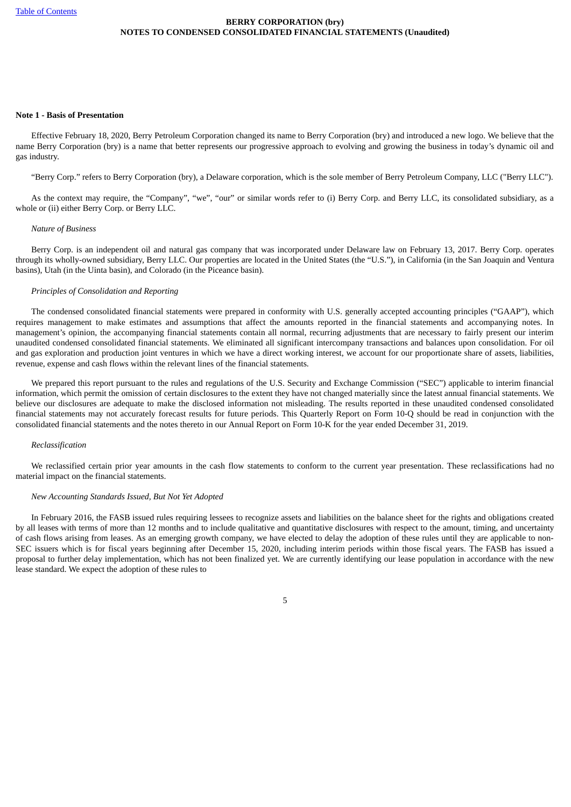#### <span id="page-6-0"></span>**Note 1 - Basis of Presentation**

Effective February 18, 2020, Berry Petroleum Corporation changed its name to Berry Corporation (bry) and introduced a new logo. We believe that the name Berry Corporation (bry) is a name that better represents our progressive approach to evolving and growing the business in today's dynamic oil and gas industry.

"Berry Corp." refers to Berry Corporation (bry), a Delaware corporation, which is the sole member of Berry Petroleum Company, LLC ("Berry LLC").

As the context may require, the "Company", "we", "our" or similar words refer to (i) Berry Corp. and Berry LLC, its consolidated subsidiary, as a whole or (ii) either Berry Corp. or Berry LLC.

### *Nature of Business*

Berry Corp. is an independent oil and natural gas company that was incorporated under Delaware law on February 13, 2017. Berry Corp. operates through its wholly-owned subsidiary, Berry LLC. Our properties are located in the United States (the "U.S."), in California (in the San Joaquin and Ventura basins), Utah (in the Uinta basin), and Colorado (in the Piceance basin).

# *Principles of Consolidation and Reporting*

The condensed consolidated financial statements were prepared in conformity with U.S. generally accepted accounting principles ("GAAP"), which requires management to make estimates and assumptions that affect the amounts reported in the financial statements and accompanying notes. In management's opinion, the accompanying financial statements contain all normal, recurring adjustments that are necessary to fairly present our interim unaudited condensed consolidated financial statements. We eliminated all significant intercompany transactions and balances upon consolidation. For oil and gas exploration and production joint ventures in which we have a direct working interest, we account for our proportionate share of assets, liabilities, revenue, expense and cash flows within the relevant lines of the financial statements.

We prepared this report pursuant to the rules and regulations of the U.S. Security and Exchange Commission ("SEC") applicable to interim financial information, which permit the omission of certain disclosures to the extent they have not changed materially since the latest annual financial statements. We believe our disclosures are adequate to make the disclosed information not misleading. The results reported in these unaudited condensed consolidated financial statements may not accurately forecast results for future periods. This Quarterly Report on Form 10-Q should be read in conjunction with the consolidated financial statements and the notes thereto in our Annual Report on Form 10-K for the year ended December 31, 2019.

#### *Reclassification*

We reclassified certain prior year amounts in the cash flow statements to conform to the current year presentation. These reclassifications had no material impact on the financial statements.

#### *New Accounting Standards Issued, But Not Yet Adopted*

In February 2016, the FASB issued rules requiring lessees to recognize assets and liabilities on the balance sheet for the rights and obligations created by all leases with terms of more than 12 months and to include qualitative and quantitative disclosures with respect to the amount, timing, and uncertainty of cash flows arising from leases. As an emerging growth company, we have elected to delay the adoption of these rules until they are applicable to non-SEC issuers which is for fiscal years beginning after December 15, 2020, including interim periods within those fiscal years. The FASB has issued a proposal to further delay implementation, which has not been finalized yet. We are currently identifying our lease population in accordance with the new lease standard. We expect the adoption of these rules to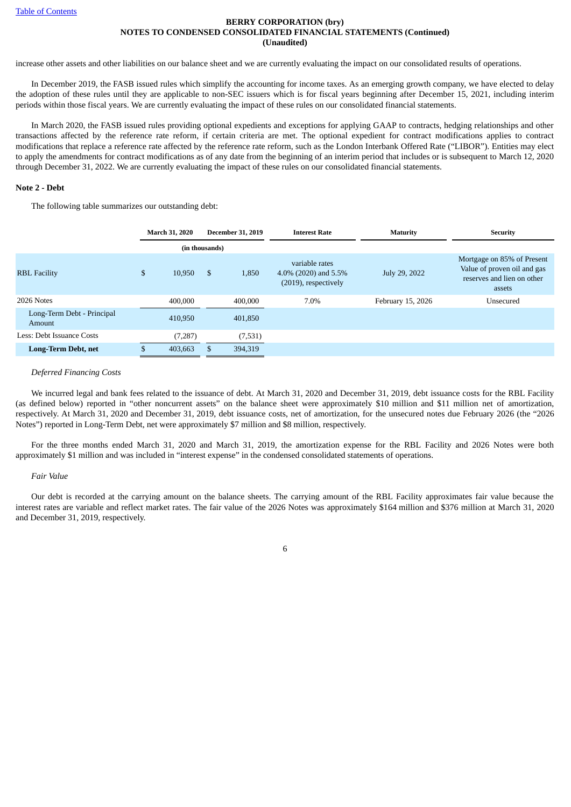increase other assets and other liabilities on our balance sheet and we are currently evaluating the impact on our consolidated results of operations.

In December 2019, the FASB issued rules which simplify the accounting for income taxes. As an emerging growth company, we have elected to delay the adoption of these rules until they are applicable to non-SEC issuers which is for fiscal years beginning after December 15, 2021, including interim periods within those fiscal years. We are currently evaluating the impact of these rules on our consolidated financial statements.

In March 2020, the FASB issued rules providing optional expedients and exceptions for applying GAAP to contracts, hedging relationships and other transactions affected by the reference rate reform, if certain criteria are met. The optional expedient for contract modifications applies to contract modifications that replace a reference rate affected by the reference rate reform, such as the London Interbank Offered Rate ("LIBOR"). Entities may elect to apply the amendments for contract modifications as of any date from the beginning of an interim period that includes or is subsequent to March 12, 2020 through December 31, 2022. We are currently evaluating the impact of these rules on our consolidated financial statements.

#### **Note 2 - Debt**

The following table summarizes our outstanding debt:

|                                      |    | <b>March 31, 2020</b><br><b>December 31, 2019</b> |    |         | <b>Interest Rate</b>                                                 | <b>Maturity</b>   | <b>Security</b>                                                                                   |
|--------------------------------------|----|---------------------------------------------------|----|---------|----------------------------------------------------------------------|-------------------|---------------------------------------------------------------------------------------------------|
|                                      |    | (in thousands)                                    |    |         |                                                                      |                   |                                                                                                   |
| <b>RBL Facility</b>                  | \$ | 10.950                                            | -S | 1,850   | variable rates<br>4.0% (2020) and $5.5\%$<br>$(2019)$ , respectively | July 29, 2022     | Mortgage on 85% of Present<br>Value of proven oil and gas<br>reserves and lien on other<br>assets |
| 2026 Notes                           |    | 400,000                                           |    | 400,000 | 7.0%                                                                 | February 15, 2026 | Unsecured                                                                                         |
| Long-Term Debt - Principal<br>Amount |    | 410,950                                           |    | 401,850 |                                                                      |                   |                                                                                                   |
| Less: Debt Issuance Costs            |    | (7, 287)                                          |    | (7,531) |                                                                      |                   |                                                                                                   |
| <b>Long-Term Debt, net</b>           |    | 403,663                                           |    | 394,319 |                                                                      |                   |                                                                                                   |

### *Deferred Financing Costs*

We incurred legal and bank fees related to the issuance of debt. At March 31, 2020 and December 31, 2019, debt issuance costs for the RBL Facility (as defined below) reported in "other noncurrent assets" on the balance sheet were approximately \$10 million and \$11 million net of amortization, respectively. At March 31, 2020 and December 31, 2019, debt issuance costs, net of amortization, for the unsecured notes due February 2026 (the "2026 Notes") reported in Long-Term Debt, net were approximately \$7 million and \$8 million, respectively.

For the three months ended March 31, 2020 and March 31, 2019, the amortization expense for the RBL Facility and 2026 Notes were both approximately \$1 million and was included in "interest expense" in the condensed consolidated statements of operations.

### *Fair Value*

Our debt is recorded at the carrying amount on the balance sheets. The carrying amount of the RBL Facility approximates fair value because the interest rates are variable and reflect market rates. The fair value of the 2026 Notes was approximately \$164 million and \$376 million at March 31, 2020 and December 31, 2019, respectively.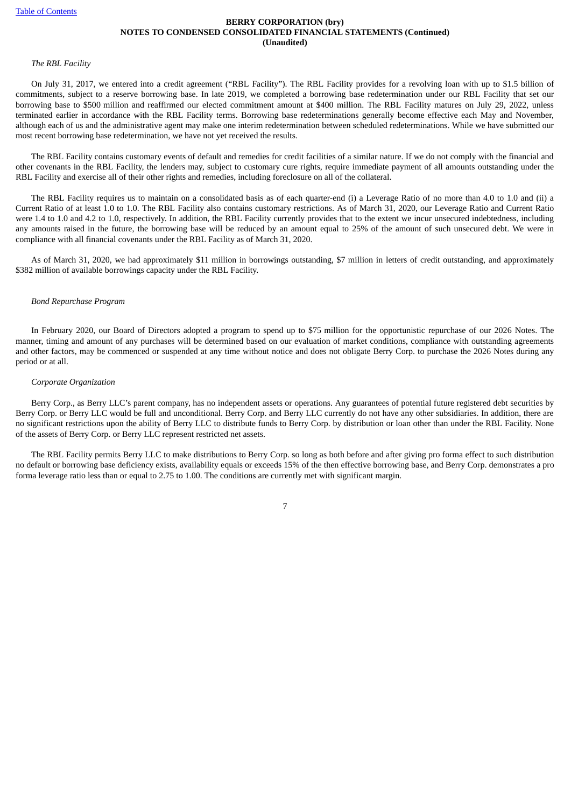#### *The RBL Facility*

On July 31, 2017, we entered into a credit agreement ("RBL Facility"). The RBL Facility provides for a revolving loan with up to \$1.5 billion of commitments, subject to a reserve borrowing base. In late 2019, we completed a borrowing base redetermination under our RBL Facility that set our borrowing base to \$500 million and reaffirmed our elected commitment amount at \$400 million. The RBL Facility matures on July 29, 2022, unless terminated earlier in accordance with the RBL Facility terms. Borrowing base redeterminations generally become effective each May and November, although each of us and the administrative agent may make one interim redetermination between scheduled redeterminations. While we have submitted our most recent borrowing base redetermination, we have not yet received the results.

The RBL Facility contains customary events of default and remedies for credit facilities of a similar nature. If we do not comply with the financial and other covenants in the RBL Facility, the lenders may, subject to customary cure rights, require immediate payment of all amounts outstanding under the RBL Facility and exercise all of their other rights and remedies, including foreclosure on all of the collateral.

The RBL Facility requires us to maintain on a consolidated basis as of each quarter-end (i) a Leverage Ratio of no more than 4.0 to 1.0 and (ii) a Current Ratio of at least 1.0 to 1.0. The RBL Facility also contains customary restrictions. As of March 31, 2020, our Leverage Ratio and Current Ratio were 1.4 to 1.0 and 4.2 to 1.0, respectively. In addition, the RBL Facility currently provides that to the extent we incur unsecured indebtedness, including any amounts raised in the future, the borrowing base will be reduced by an amount equal to 25% of the amount of such unsecured debt. We were in compliance with all financial covenants under the RBL Facility as of March 31, 2020.

As of March 31, 2020, we had approximately \$11 million in borrowings outstanding, \$7 million in letters of credit outstanding, and approximately \$382 million of available borrowings capacity under the RBL Facility.

#### *Bond Repurchase Program*

In February 2020, our Board of Directors adopted a program to spend up to \$75 million for the opportunistic repurchase of our 2026 Notes. The manner, timing and amount of any purchases will be determined based on our evaluation of market conditions, compliance with outstanding agreements and other factors, may be commenced or suspended at any time without notice and does not obligate Berry Corp. to purchase the 2026 Notes during any period or at all.

### *Corporate Organization*

Berry Corp., as Berry LLC's parent company, has no independent assets or operations. Any guarantees of potential future registered debt securities by Berry Corp. or Berry LLC would be full and unconditional. Berry Corp. and Berry LLC currently do not have any other subsidiaries. In addition, there are no significant restrictions upon the ability of Berry LLC to distribute funds to Berry Corp. by distribution or loan other than under the RBL Facility. None of the assets of Berry Corp. or Berry LLC represent restricted net assets.

The RBL Facility permits Berry LLC to make distributions to Berry Corp. so long as both before and after giving pro forma effect to such distribution no default or borrowing base deficiency exists, availability equals or exceeds 15% of the then effective borrowing base, and Berry Corp. demonstrates a pro forma leverage ratio less than or equal to 2.75 to 1.00. The conditions are currently met with significant margin.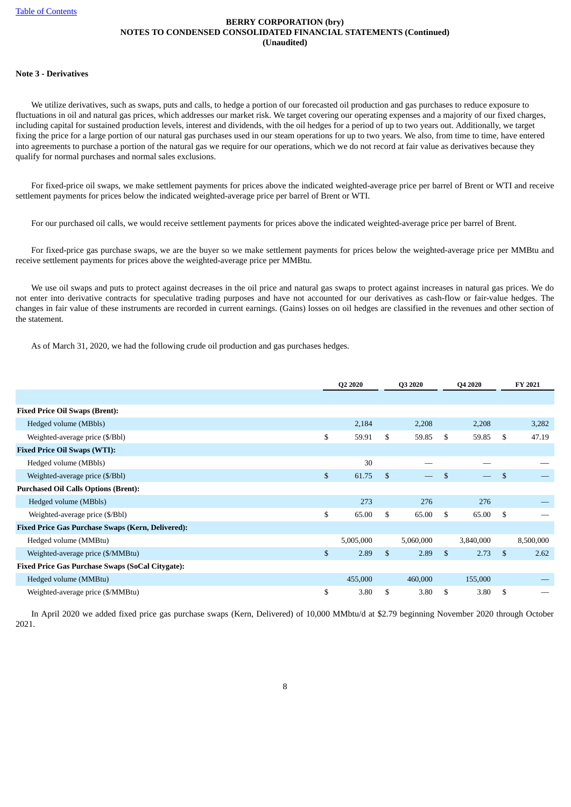### **Note 3 - Derivatives**

We utilize derivatives, such as swaps, puts and calls, to hedge a portion of our forecasted oil production and gas purchases to reduce exposure to fluctuations in oil and natural gas prices, which addresses our market risk. We target covering our operating expenses and a majority of our fixed charges, including capital for sustained production levels, interest and dividends, with the oil hedges for a period of up to two years out. Additionally, we target fixing the price for a large portion of our natural gas purchases used in our steam operations for up to two years. We also, from time to time, have entered into agreements to purchase a portion of the natural gas we require for our operations, which we do not record at fair value as derivatives because they qualify for normal purchases and normal sales exclusions.

For fixed-price oil swaps, we make settlement payments for prices above the indicated weighted-average price per barrel of Brent or WTI and receive settlement payments for prices below the indicated weighted-average price per barrel of Brent or WTI.

For our purchased oil calls, we would receive settlement payments for prices above the indicated weighted-average price per barrel of Brent.

For fixed-price gas purchase swaps, we are the buyer so we make settlement payments for prices below the weighted-average price per MMBtu and receive settlement payments for prices above the weighted-average price per MMBtu.

We use oil swaps and puts to protect against decreases in the oil price and natural gas swaps to protect against increases in natural gas prices. We do not enter into derivative contracts for speculative trading purposes and have not accounted for our derivatives as cash-flow or fair-value hedges. The changes in fair value of these instruments are recorded in current earnings. (Gains) losses on oil hedges are classified in the revenues and other section of the statement.

As of March 31, 2020, we had the following crude oil production and gas purchases hedges.

|                                                          |                | Q <sub>2</sub> 20 <sub>20</sub> |              | Q3 2020   |               | Q4 2020   |              | FY 2021   |
|----------------------------------------------------------|----------------|---------------------------------|--------------|-----------|---------------|-----------|--------------|-----------|
|                                                          |                |                                 |              |           |               |           |              |           |
| <b>Fixed Price Oil Swaps (Brent):</b>                    |                |                                 |              |           |               |           |              |           |
| Hedged volume (MBbls)                                    |                | 2,184                           |              | 2,208     |               | 2,208     |              | 3,282     |
| Weighted-average price (\$/Bbl)                          | \$             | 59.91                           | \$           | 59.85     | \$            | 59.85     | \$           | 47.19     |
| <b>Fixed Price Oil Swaps (WTI):</b>                      |                |                                 |              |           |               |           |              |           |
| Hedged volume (MBbls)                                    |                | 30                              |              |           |               |           |              |           |
| Weighted-average price (\$/Bbl)                          | $\mathfrak{S}$ | 61.75                           | \$           |           | \$            |           | \$           |           |
| <b>Purchased Oil Calls Options (Brent):</b>              |                |                                 |              |           |               |           |              |           |
| Hedged volume (MBbls)                                    |                | 273                             |              | 276       |               | 276       |              |           |
| Weighted-average price (\$/Bbl)                          | \$             | 65.00                           | \$           | 65.00     | \$            | 65.00     | \$           |           |
| <b>Fixed Price Gas Purchase Swaps (Kern, Delivered):</b> |                |                                 |              |           |               |           |              |           |
| Hedged volume (MMBtu)                                    |                | 5,005,000                       |              | 5,060,000 |               | 3,840,000 |              | 8,500,000 |
| Weighted-average price (\$/MMBtu)                        | $\mathfrak{S}$ | 2.89                            | $\mathbf{s}$ | 2.89      | $\mathcal{S}$ | 2.73      | $\mathbb{S}$ | 2.62      |
| <b>Fixed Price Gas Purchase Swaps (SoCal Citygate):</b>  |                |                                 |              |           |               |           |              |           |
| Hedged volume (MMBtu)                                    |                | 455,000                         |              | 460,000   |               | 155,000   |              |           |
| Weighted-average price (\$/MMBtu)                        | \$             | 3.80                            | \$           | 3.80      | \$            | 3.80      | \$           |           |

In April 2020 we added fixed price gas purchase swaps (Kern, Delivered) of 10,000 MMbtu/d at \$2.79 beginning November 2020 through October 2021.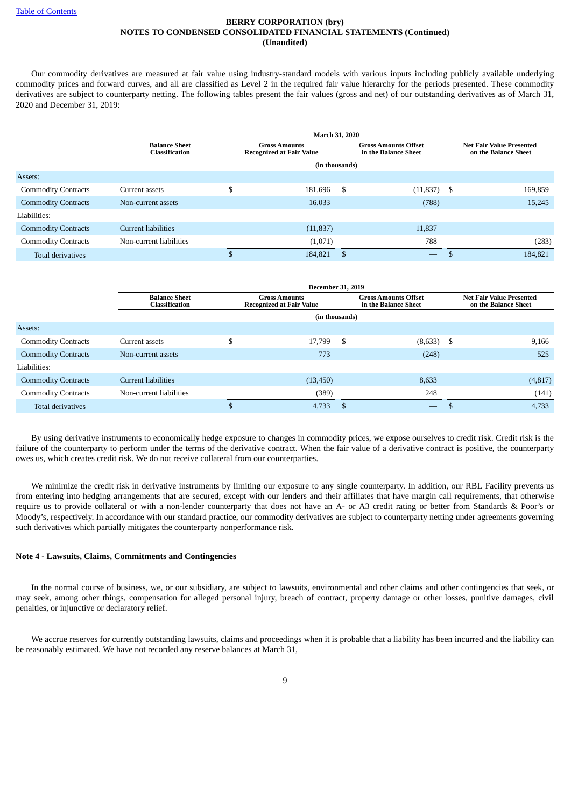Our commodity derivatives are measured at fair value using industry-standard models with various inputs including publicly available underlying commodity prices and forward curves, and all are classified as Level 2 in the required fair value hierarchy for the periods presented. These commodity derivatives are subject to counterparty netting. The following tables present the fair values (gross and net) of our outstanding derivatives as of March 31, 2020 and December 31, 2019:

|                            |                                               | <b>March 31, 2020</b> |                                                         |    |                                                     |  |                                                         |  |  |  |  |  |
|----------------------------|-----------------------------------------------|-----------------------|---------------------------------------------------------|----|-----------------------------------------------------|--|---------------------------------------------------------|--|--|--|--|--|
|                            | <b>Balance Sheet</b><br><b>Classification</b> |                       | <b>Gross Amounts</b><br><b>Recognized at Fair Value</b> |    | <b>Gross Amounts Offset</b><br>in the Balance Sheet |  | <b>Net Fair Value Presented</b><br>on the Balance Sheet |  |  |  |  |  |
|                            |                                               |                       | (in thousands)                                          |    |                                                     |  |                                                         |  |  |  |  |  |
| Assets:                    |                                               |                       |                                                         |    |                                                     |  |                                                         |  |  |  |  |  |
| <b>Commodity Contracts</b> | Current assets                                |                       | 181,696                                                 | \$ | $(11,837)$ \$                                       |  | 169,859                                                 |  |  |  |  |  |
| <b>Commodity Contracts</b> | Non-current assets                            |                       | 16,033                                                  |    | (788)                                               |  | 15,245                                                  |  |  |  |  |  |
| Liabilities:               |                                               |                       |                                                         |    |                                                     |  |                                                         |  |  |  |  |  |
| <b>Commodity Contracts</b> | Current liabilities                           |                       | (11, 837)                                               |    | 11,837                                              |  |                                                         |  |  |  |  |  |
| <b>Commodity Contracts</b> | Non-current liabilities                       |                       | (1,071)                                                 |    | 788                                                 |  | (283)                                                   |  |  |  |  |  |
| <b>Total derivatives</b>   |                                               |                       | 184.821                                                 | \$ | $\hspace{0.1mm}-\hspace{0.1mm}$                     |  | 184,821                                                 |  |  |  |  |  |

|                            |                                               | <b>December 31, 2019</b> |                                                         |     |                                                     |      |                                                         |  |  |  |  |  |
|----------------------------|-----------------------------------------------|--------------------------|---------------------------------------------------------|-----|-----------------------------------------------------|------|---------------------------------------------------------|--|--|--|--|--|
|                            | <b>Balance Sheet</b><br><b>Classification</b> |                          | <b>Gross Amounts</b><br><b>Recognized at Fair Value</b> |     | <b>Gross Amounts Offset</b><br>in the Balance Sheet |      | <b>Net Fair Value Presented</b><br>on the Balance Sheet |  |  |  |  |  |
|                            |                                               |                          | (in thousands)                                          |     |                                                     |      |                                                         |  |  |  |  |  |
| Assets:                    |                                               |                          |                                                         |     |                                                     |      |                                                         |  |  |  |  |  |
| <b>Commodity Contracts</b> | Current assets                                | \$                       | 17,799                                                  | -\$ | (8,633)                                             | - \$ | 9,166                                                   |  |  |  |  |  |
| <b>Commodity Contracts</b> | Non-current assets                            |                          | 773                                                     |     | (248)                                               |      | 525                                                     |  |  |  |  |  |
| Liabilities:               |                                               |                          |                                                         |     |                                                     |      |                                                         |  |  |  |  |  |
| <b>Commodity Contracts</b> | Current liabilities                           |                          | (13, 450)                                               |     | 8,633                                               |      | (4,817)                                                 |  |  |  |  |  |
| <b>Commodity Contracts</b> | Non-current liabilities                       |                          | (389)                                                   |     | 248                                                 |      | (141)                                                   |  |  |  |  |  |
| <b>Total derivatives</b>   |                                               |                          | 4,733                                                   |     |                                                     |      | 4,733                                                   |  |  |  |  |  |

By using derivative instruments to economically hedge exposure to changes in commodity prices, we expose ourselves to credit risk. Credit risk is the failure of the counterparty to perform under the terms of the derivative contract. When the fair value of a derivative contract is positive, the counterparty owes us, which creates credit risk. We do not receive collateral from our counterparties.

We minimize the credit risk in derivative instruments by limiting our exposure to any single counterparty. In addition, our RBL Facility prevents us from entering into hedging arrangements that are secured, except with our lenders and their affiliates that have margin call requirements, that otherwise require us to provide collateral or with a non-lender counterparty that does not have an A- or A3 credit rating or better from Standards & Poor's or Moody's, respectively. In accordance with our standard practice, our commodity derivatives are subject to counterparty netting under agreements governing such derivatives which partially mitigates the counterparty nonperformance risk.

### **Note 4 - Lawsuits, Claims, Commitments and Contingencies**

In the normal course of business, we, or our subsidiary, are subject to lawsuits, environmental and other claims and other contingencies that seek, or may seek, among other things, compensation for alleged personal injury, breach of contract, property damage or other losses, punitive damages, civil penalties, or injunctive or declaratory relief.

We accrue reserves for currently outstanding lawsuits, claims and proceedings when it is probable that a liability has been incurred and the liability can be reasonably estimated. We have not recorded any reserve balances at March 31,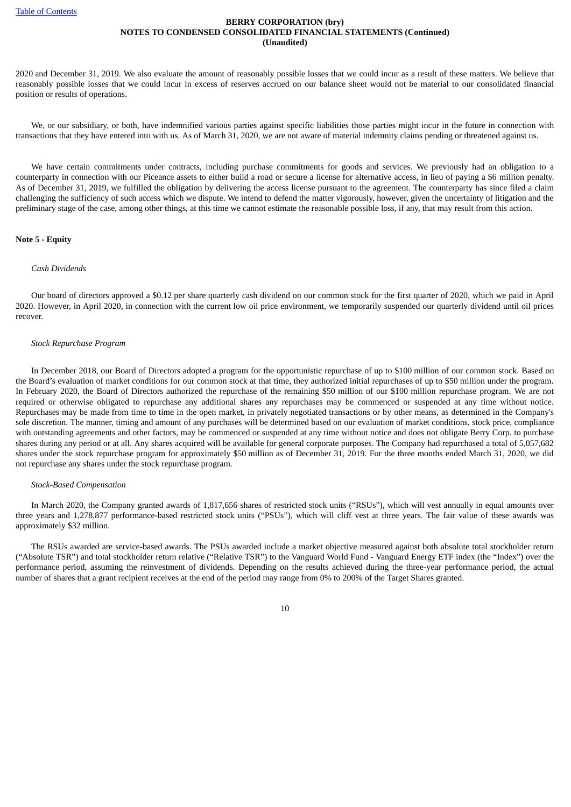2020 and December 31, 2019. We also evaluate the amount of reasonably possible losses that we could incur as a result of these matters. We believe that reasonably possible losses that we could incur in excess of reserves accrued on our balance sheet would not be material to our consolidated financial position or results of operations.

We, or our subsidiary, or both, have indemnified various parties against specific liabilities those parties might incur in the future in connection with transactions that they have entered into with us. As of March 31, 2020, we are not aware of material indemnity claims pending or threatened against us.

We have certain commitments under contracts, including purchase commitments for goods and services. We previously had an obligation to a counterparty in connection with our Piceance assets to either build a road or secure a license for alternative access, in lieu of paying a \$6 million penalty. As of December 31, 2019, we fulfilled the obligation by delivering the access license pursuant to the agreement. The counterparty has since filed a claim challenging the sufficiency of such access which we dispute. We intend to defend the matter vigorously, however, given the uncertainty of litigation and the preliminary stage of the case, among other things, at this time we cannot estimate the reasonable possible loss, if any, that may result from this action.

# **Note 5 - Equity**

# *Cash Dividends*

Our board of directors approved a \$0.12 per share quarterly cash dividend on our common stock for the first quarter of 2020, which we paid in April 2020. However, in April 2020, in connection with the current low oil price environment, we temporarily suspended our quarterly dividend until oil prices recover.

#### *Stock Repurchase Program*

In December 2018, our Board of Directors adopted a program for the opportunistic repurchase of up to \$100 million of our common stock. Based on the Board's evaluation of market conditions for our common stock at that time, they authorized initial repurchases of up to \$50 million under the program. In February 2020, the Board of Directors authorized the repurchase of the remaining \$50 million of our \$100 million repurchase program. We are not required or otherwise obligated to repurchase any additional shares any repurchases may be commenced or suspended at any time without notice. Repurchases may be made from time to time in the open market, in privately negotiated transactions or by other means, as determined in the Company's sole discretion. The manner, timing and amount of any purchases will be determined based on our evaluation of market conditions, stock price, compliance with outstanding agreements and other factors, may be commenced or suspended at any time without notice and does not obligate Berry Corp. to purchase shares during any period or at all. Any shares acquired will be available for general corporate purposes. The Company had repurchased a total of 5,057,682 shares under the stock repurchase program for approximately \$50 million as of December 31, 2019. For the three months ended March 31, 2020, we did not repurchase any shares under the stock repurchase program.

#### *Stock-Based Compensation*

In March 2020, the Company granted awards of 1,817,656 shares of restricted stock units ("RSUs"), which will vest annually in equal amounts over three years and 1,278,877 performance-based restricted stock units ("PSUs"), which will cliff vest at three years. The fair value of these awards was approximately \$32 million.

The RSUs awarded are service-based awards. The PSUs awarded include a market objective measured against both absolute total stockholder return ("Absolute TSR") and total stockholder return relative ("Relative TSR") to the Vanguard World Fund - Vanguard Energy ETF index (the "Index") over the performance period, assuming the reinvestment of dividends. Depending on the results achieved during the three-year performance period, the actual number of shares that a grant recipient receives at the end of the period may range from 0% to 200% of the Target Shares granted.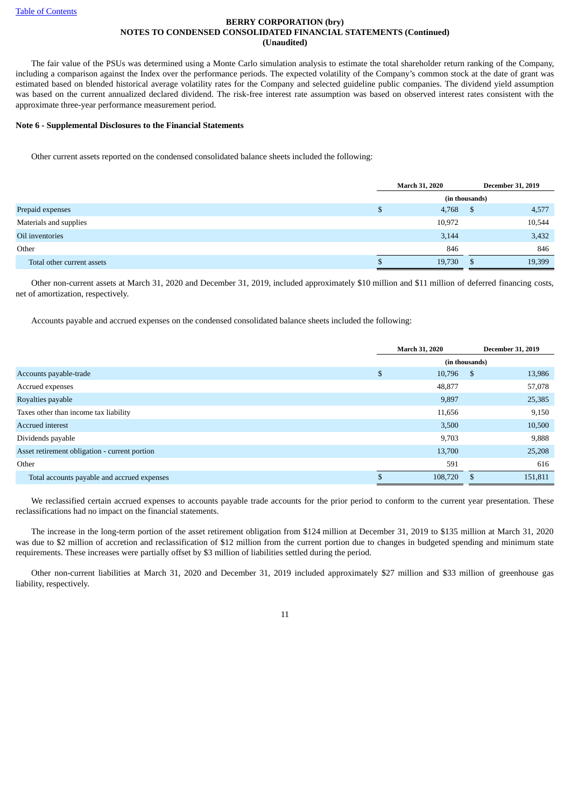The fair value of the PSUs was determined using a Monte Carlo simulation analysis to estimate the total shareholder return ranking of the Company, including a comparison against the Index over the performance periods. The expected volatility of the Company's common stock at the date of grant was estimated based on blended historical average volatility rates for the Company and selected guideline public companies. The dividend yield assumption was based on the current annualized declared dividend. The risk-free interest rate assumption was based on observed interest rates consistent with the approximate three-year performance measurement period.

## **Note 6 - Supplemental Disclosures to the Financial Statements**

Other current assets reported on the condensed consolidated balance sheets included the following:

|                            |   | <b>March 31, 2020</b> |    | <b>December 31, 2019</b> |
|----------------------------|---|-----------------------|----|--------------------------|
|                            |   | (in thousands)        |    |                          |
| Prepaid expenses           | Φ | 4,768                 | S  | 4,577                    |
| Materials and supplies     |   | 10,972                |    | 10,544                   |
| Oil inventories            |   | 3,144                 |    | 3,432                    |
| Other                      |   | 846                   |    | 846                      |
| Total other current assets |   | 19,730                | -S | 19,399                   |
|                            |   |                       |    |                          |

Other non-current assets at March 31, 2020 and December 31, 2019, included approximately \$10 million and \$11 million of deferred financing costs, net of amortization, respectively.

Accounts payable and accrued expenses on the condensed consolidated balance sheets included the following:

|                                               | March 31, 2020 |      | <b>December 31, 2019</b> |  |
|-----------------------------------------------|----------------|------|--------------------------|--|
|                                               | (in thousands) |      |                          |  |
| Accounts payable-trade                        | \$<br>10,796   | - \$ | 13,986                   |  |
| Accrued expenses                              | 48,877         |      | 57,078                   |  |
| Royalties payable                             | 9,897          |      | 25,385                   |  |
| Taxes other than income tax liability         | 11,656         |      | 9,150                    |  |
| Accrued interest                              | 3,500          |      | 10,500                   |  |
| Dividends payable                             | 9,703          |      | 9,888                    |  |
| Asset retirement obligation - current portion | 13,700         |      | 25,208                   |  |
| Other                                         | 591            |      | 616                      |  |
| Total accounts payable and accrued expenses   | 108,720        | -S   | 151,811                  |  |

We reclassified certain accrued expenses to accounts payable trade accounts for the prior period to conform to the current year presentation. These reclassifications had no impact on the financial statements.

The increase in the long-term portion of the asset retirement obligation from \$124 million at December 31, 2019 to \$135 million at March 31, 2020 was due to \$2 million of accretion and reclassification of \$12 million from the current portion due to changes in budgeted spending and minimum state requirements. These increases were partially offset by \$3 million of liabilities settled during the period.

Other non-current liabilities at March 31, 2020 and December 31, 2019 included approximately \$27 million and \$33 million of greenhouse gas liability, respectively.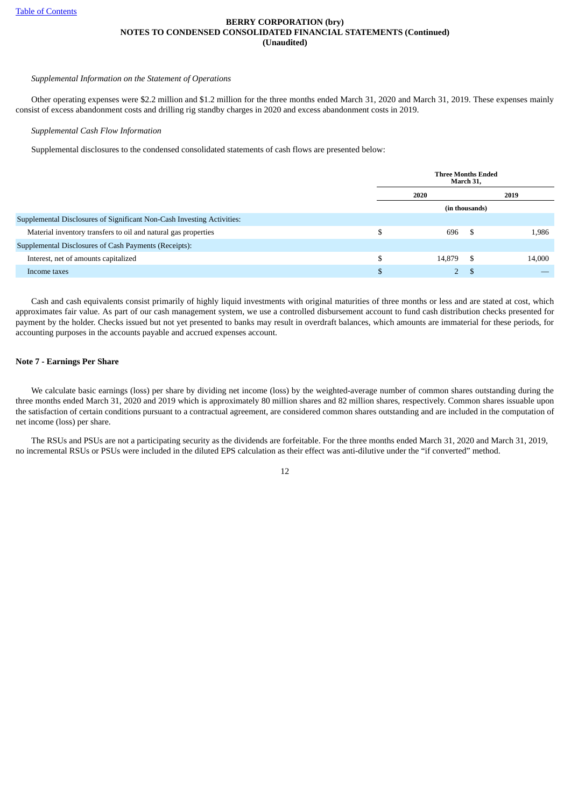## *Supplemental Information on the Statement of Operations*

Other operating expenses were \$2.2 million and \$1.2 million for the three months ended March 31, 2020 and March 31, 2019. These expenses mainly consist of excess abandonment costs and drilling rig standby charges in 2020 and excess abandonment costs in 2019.

## *Supplemental Cash Flow Information*

Supplemental disclosures to the condensed consolidated statements of cash flows are presented below:

|                                                                        |    | <b>Three Months Ended</b><br>March 31, |      |        |  |  |
|------------------------------------------------------------------------|----|----------------------------------------|------|--------|--|--|
|                                                                        |    | 2019                                   |      |        |  |  |
|                                                                        |    | (in thousands)                         |      |        |  |  |
| Supplemental Disclosures of Significant Non-Cash Investing Activities: |    |                                        |      |        |  |  |
| Material inventory transfers to oil and natural gas properties         |    | 696                                    | -S   | 1,986  |  |  |
| Supplemental Disclosures of Cash Payments (Receipts):                  |    |                                        |      |        |  |  |
| Interest, net of amounts capitalized                                   | \$ | 14,879                                 | -S   | 14,000 |  |  |
| Income taxes                                                           | \$ | 2.                                     | - 55 |        |  |  |

Cash and cash equivalents consist primarily of highly liquid investments with original maturities of three months or less and are stated at cost, which approximates fair value. As part of our cash management system, we use a controlled disbursement account to fund cash distribution checks presented for payment by the holder. Checks issued but not yet presented to banks may result in overdraft balances, which amounts are immaterial for these periods, for accounting purposes in the accounts payable and accrued expenses account.

# **Note 7 - Earnings Per Share**

We calculate basic earnings (loss) per share by dividing net income (loss) by the weighted-average number of common shares outstanding during the three months ended March 31, 2020 and 2019 which is approximately 80 million shares and 82 million shares, respectively. Common shares issuable upon the satisfaction of certain conditions pursuant to a contractual agreement, are considered common shares outstanding and are included in the computation of net income (loss) per share.

The RSUs and PSUs are not a participating security as the dividends are forfeitable. For the three months ended March 31, 2020 and March 31, 2019, no incremental RSUs or PSUs were included in the diluted EPS calculation as their effect was anti-dilutive under the "if converted" method.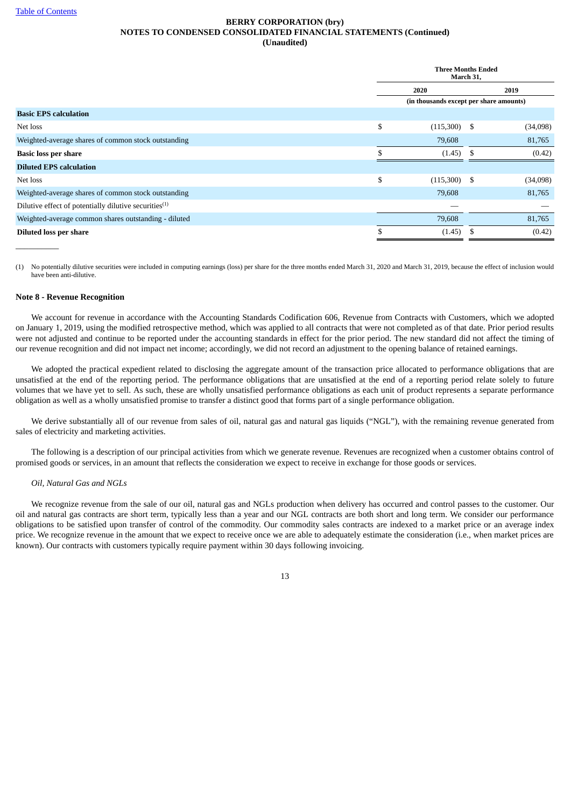|                                                                   | <b>Three Months Ended</b><br>March 31,  |     |          |  |  |
|-------------------------------------------------------------------|-----------------------------------------|-----|----------|--|--|
|                                                                   | 2020                                    |     | 2019     |  |  |
|                                                                   | (in thousands except per share amounts) |     |          |  |  |
| <b>Basic EPS calculation</b>                                      |                                         |     |          |  |  |
| Net loss                                                          | \$<br>(115,300)                         | -\$ | (34,098) |  |  |
| Weighted-average shares of common stock outstanding               | 79,608                                  |     | 81,765   |  |  |
| <b>Basic loss per share</b>                                       | (1.45)                                  | -\$ | (0.42)   |  |  |
| <b>Diluted EPS calculation</b>                                    |                                         |     |          |  |  |
| Net loss                                                          | \$<br>(115,300)                         | \$  | (34,098) |  |  |
| Weighted-average shares of common stock outstanding               | 79,608                                  |     | 81,765   |  |  |
| Dilutive effect of potentially dilutive securities <sup>(1)</sup> |                                         |     |          |  |  |
| Weighted-average common shares outstanding - diluted              | 79,608                                  |     | 81,765   |  |  |
| <b>Diluted loss per share</b>                                     | (1.45)                                  | -\$ | (0.42)   |  |  |
|                                                                   |                                         |     |          |  |  |

(1) No potentially dilutive securities were included in computing earnings (loss) per share for the three months ended March 31, 2020 and March 31, 2019, because the effect of inclusion would have been anti-dilutive.

### **Note 8 - Revenue Recognition**

We account for revenue in accordance with the Accounting Standards Codification 606, Revenue from Contracts with Customers, which we adopted on January 1, 2019, using the modified retrospective method, which was applied to all contracts that were not completed as of that date. Prior period results were not adjusted and continue to be reported under the accounting standards in effect for the prior period. The new standard did not affect the timing of our revenue recognition and did not impact net income; accordingly, we did not record an adjustment to the opening balance of retained earnings.

We adopted the practical expedient related to disclosing the aggregate amount of the transaction price allocated to performance obligations that are unsatisfied at the end of the reporting period. The performance obligations that are unsatisfied at the end of a reporting period relate solely to future volumes that we have yet to sell. As such, these are wholly unsatisfied performance obligations as each unit of product represents a separate performance obligation as well as a wholly unsatisfied promise to transfer a distinct good that forms part of a single performance obligation.

We derive substantially all of our revenue from sales of oil, natural gas and natural gas liquids ("NGL"), with the remaining revenue generated from sales of electricity and marketing activities.

The following is a description of our principal activities from which we generate revenue. Revenues are recognized when a customer obtains control of promised goods or services, in an amount that reflects the consideration we expect to receive in exchange for those goods or services.

#### *Oil, Natural Gas and NGLs*

We recognize revenue from the sale of our oil, natural gas and NGLs production when delivery has occurred and control passes to the customer. Our oil and natural gas contracts are short term, typically less than a year and our NGL contracts are both short and long term. We consider our performance obligations to be satisfied upon transfer of control of the commodity. Our commodity sales contracts are indexed to a market price or an average index price. We recognize revenue in the amount that we expect to receive once we are able to adequately estimate the consideration (i.e., when market prices are known). Our contracts with customers typically require payment within 30 days following invoicing.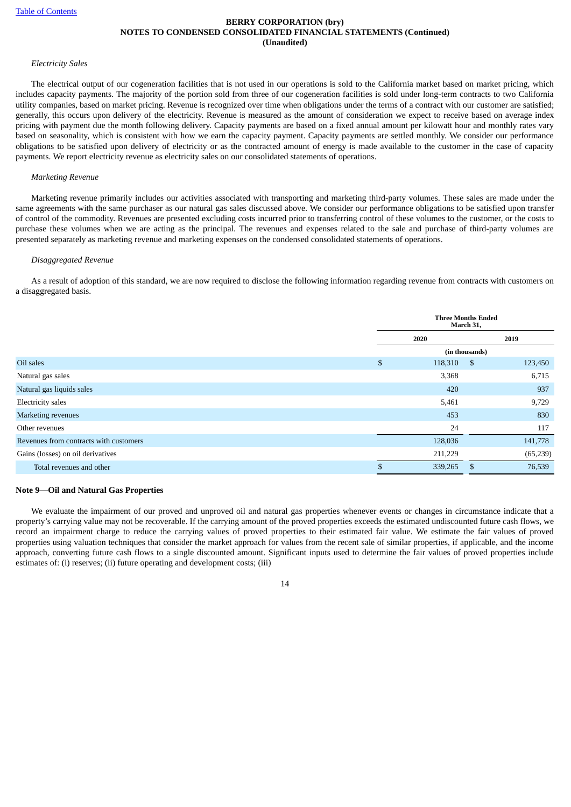### *Electricity Sales*

The electrical output of our cogeneration facilities that is not used in our operations is sold to the California market based on market pricing, which includes capacity payments. The majority of the portion sold from three of our cogeneration facilities is sold under long-term contracts to two California utility companies, based on market pricing. Revenue is recognized over time when obligations under the terms of a contract with our customer are satisfied; generally, this occurs upon delivery of the electricity. Revenue is measured as the amount of consideration we expect to receive based on average index pricing with payment due the month following delivery. Capacity payments are based on a fixed annual amount per kilowatt hour and monthly rates vary based on seasonality, which is consistent with how we earn the capacity payment. Capacity payments are settled monthly. We consider our performance obligations to be satisfied upon delivery of electricity or as the contracted amount of energy is made available to the customer in the case of capacity payments. We report electricity revenue as electricity sales on our consolidated statements of operations.

## *Marketing Revenue*

Marketing revenue primarily includes our activities associated with transporting and marketing third-party volumes. These sales are made under the same agreements with the same purchaser as our natural gas sales discussed above. We consider our performance obligations to be satisfied upon transfer of control of the commodity. Revenues are presented excluding costs incurred prior to transferring control of these volumes to the customer, or the costs to purchase these volumes when we are acting as the principal. The revenues and expenses related to the sale and purchase of third-party volumes are presented separately as marketing revenue and marketing expenses on the condensed consolidated statements of operations.

#### *Disaggregated Revenue*

As a result of adoption of this standard, we are now required to disclose the following information regarding revenue from contracts with customers on a disaggregated basis.

|                                        |                | <b>Three Months Ended</b><br>March 31, |                    |           |  |  |  |  |
|----------------------------------------|----------------|----------------------------------------|--------------------|-----------|--|--|--|--|
|                                        |                | 2020                                   |                    | 2019      |  |  |  |  |
|                                        | (in thousands) |                                        |                    |           |  |  |  |  |
| Oil sales                              | \$             | 118,310                                | \$                 | 123,450   |  |  |  |  |
| Natural gas sales                      |                | 3,368                                  |                    | 6,715     |  |  |  |  |
| Natural gas liquids sales              |                | 420                                    |                    | 937       |  |  |  |  |
| <b>Electricity</b> sales               |                | 5,461                                  |                    | 9,729     |  |  |  |  |
| <b>Marketing revenues</b>              |                | 453                                    |                    | 830       |  |  |  |  |
| Other revenues                         |                | 24                                     |                    | 117       |  |  |  |  |
| Revenues from contracts with customers |                | 128,036                                |                    | 141,778   |  |  |  |  |
| Gains (losses) on oil derivatives      |                | 211,229                                |                    | (65, 239) |  |  |  |  |
| Total revenues and other               |                | 339,265                                | $\mathbf{\hat{S}}$ | 76,539    |  |  |  |  |
|                                        |                |                                        |                    |           |  |  |  |  |

#### **Note 9—Oil and Natural Gas Properties**

We evaluate the impairment of our proved and unproved oil and natural gas properties whenever events or changes in circumstance indicate that a property's carrying value may not be recoverable. If the carrying amount of the proved properties exceeds the estimated undiscounted future cash flows, we record an impairment charge to reduce the carrying values of proved properties to their estimated fair value. We estimate the fair values of proved properties using valuation techniques that consider the market approach for values from the recent sale of similar properties, if applicable, and the income approach, converting future cash flows to a single discounted amount. Significant inputs used to determine the fair values of proved properties include estimates of: (i) reserves; (ii) future operating and development costs; (iii)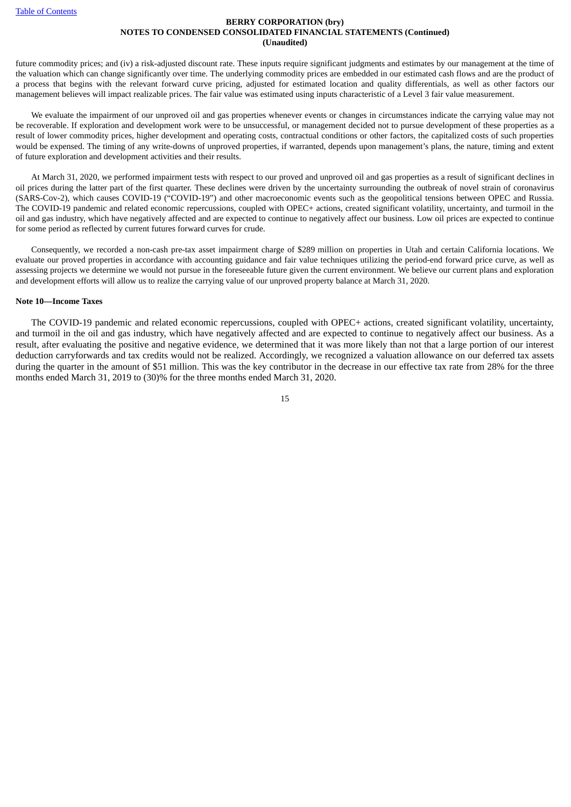future commodity prices; and (iv) a risk-adjusted discount rate. These inputs require significant judgments and estimates by our management at the time of the valuation which can change significantly over time. The underlying commodity prices are embedded in our estimated cash flows and are the product of a process that begins with the relevant forward curve pricing, adjusted for estimated location and quality differentials, as well as other factors our management believes will impact realizable prices. The fair value was estimated using inputs characteristic of a Level 3 fair value measurement.

We evaluate the impairment of our unproved oil and gas properties whenever events or changes in circumstances indicate the carrying value may not be recoverable. If exploration and development work were to be unsuccessful, or management decided not to pursue development of these properties as a result of lower commodity prices, higher development and operating costs, contractual conditions or other factors, the capitalized costs of such properties would be expensed. The timing of any write-downs of unproved properties, if warranted, depends upon management's plans, the nature, timing and extent of future exploration and development activities and their results.

At March 31, 2020, we performed impairment tests with respect to our proved and unproved oil and gas properties as a result of significant declines in oil prices during the latter part of the first quarter. These declines were driven by the uncertainty surrounding the outbreak of novel strain of coronavirus (SARS-Cov-2), which causes COVID-19 ("COVID-19") and other macroeconomic events such as the geopolitical tensions between OPEC and Russia. The COVID-19 pandemic and related economic repercussions, coupled with OPEC+ actions, created significant volatility, uncertainty, and turmoil in the oil and gas industry, which have negatively affected and are expected to continue to negatively affect our business. Low oil prices are expected to continue for some period as reflected by current futures forward curves for crude.

Consequently, we recorded a non-cash pre-tax asset impairment charge of \$289 million on properties in Utah and certain California locations. We evaluate our proved properties in accordance with accounting guidance and fair value techniques utilizing the period-end forward price curve, as well as assessing projects we determine we would not pursue in the foreseeable future given the current environment. We believe our current plans and exploration and development efforts will allow us to realize the carrying value of our unproved property balance at March 31, 2020.

# **Note 10—Income Taxes**

The COVID-19 pandemic and related economic repercussions, coupled with OPEC+ actions, created significant volatility, uncertainty, and turmoil in the oil and gas industry, which have negatively affected and are expected to continue to negatively affect our business. As a result, after evaluating the positive and negative evidence, we determined that it was more likely than not that a large portion of our interest deduction carryforwards and tax credits would not be realized. Accordingly, we recognized a valuation allowance on our deferred tax assets during the quarter in the amount of \$51 million. This was the key contributor in the decrease in our effective tax rate from 28% for the three months ended March 31, 2019 to (30)% for the three months ended March 31, 2020.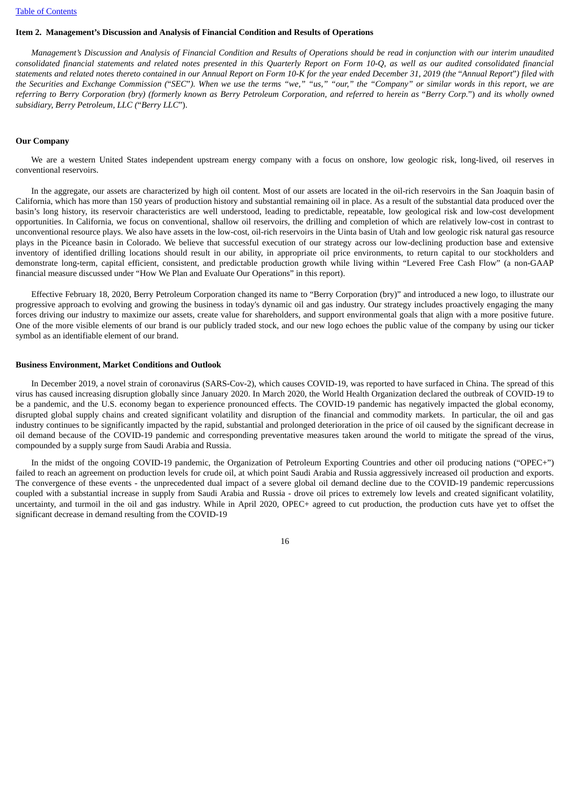#### <span id="page-17-0"></span>**Item 2. Management's Discussion and Analysis of Financial Condition and Results of Operations**

Management's Discussion and Analysis of Financial Condition and Results of Operations should be read in conjunction with our interim unaudited consolidated financial statements and related notes presented in this Quarterly Report on Form 10-Q, as well as our audited consolidated financial statements and related notes thereto contained in our Annual Report on Form 10-K for the year ended December 31, 2019 (the "Annual Report") filed with the Securities and Exchange Commission ("SEC"). When we use the terms "we," "us," "our," the "Company" or similar words in this report, we are referring to Berry Corporation (bry) (formerly known as Berry Petroleum Corporation, and referred to herein as "Berry Corp.") and its wholly owned *subsidiary, Berry Petroleum, LLC (*"*Berry LLC*").

## **Our Company**

We are a western United States independent upstream energy company with a focus on onshore, low geologic risk, long-lived, oil reserves in conventional reservoirs.

In the aggregate, our assets are characterized by high oil content. Most of our assets are located in the oil-rich reservoirs in the San Joaquin basin of California, which has more than 150 years of production history and substantial remaining oil in place. As a result of the substantial data produced over the basin's long history, its reservoir characteristics are well understood, leading to predictable, repeatable, low geological risk and low-cost development opportunities. In California, we focus on conventional, shallow oil reservoirs, the drilling and completion of which are relatively low-cost in contrast to unconventional resource plays. We also have assets in the low-cost, oil-rich reservoirs in the Uinta basin of Utah and low geologic risk natural gas resource plays in the Piceance basin in Colorado. We believe that successful execution of our strategy across our low-declining production base and extensive inventory of identified drilling locations should result in our ability, in appropriate oil price environments, to return capital to our stockholders and demonstrate long-term, capital efficient, consistent, and predictable production growth while living within "Levered Free Cash Flow" (a non-GAAP financial measure discussed under "How We Plan and Evaluate Our Operations" in this report).

Effective February 18, 2020, Berry Petroleum Corporation changed its name to "Berry Corporation (bry)" and introduced a new logo, to illustrate our progressive approach to evolving and growing the business in today's dynamic oil and gas industry. Our strategy includes proactively engaging the many forces driving our industry to maximize our assets, create value for shareholders, and support environmental goals that align with a more positive future. One of the more visible elements of our brand is our publicly traded stock, and our new logo echoes the public value of the company by using our ticker symbol as an identifiable element of our brand.

#### **Business Environment, Market Conditions and Outlook**

In December 2019, a novel strain of coronavirus (SARS-Cov-2), which causes COVID-19, was reported to have surfaced in China. The spread of this virus has caused increasing disruption globally since January 2020. In March 2020, the World Health Organization declared the outbreak of COVID-19 to be a pandemic, and the U.S. economy began to experience pronounced effects. The COVID-19 pandemic has negatively impacted the global economy, disrupted global supply chains and created significant volatility and disruption of the financial and commodity markets. In particular, the oil and gas industry continues to be significantly impacted by the rapid, substantial and prolonged deterioration in the price of oil caused by the significant decrease in oil demand because of the COVID-19 pandemic and corresponding preventative measures taken around the world to mitigate the spread of the virus, compounded by a supply surge from Saudi Arabia and Russia.

In the midst of the ongoing COVID-19 pandemic, the Organization of Petroleum Exporting Countries and other oil producing nations ("OPEC+") failed to reach an agreement on production levels for crude oil, at which point Saudi Arabia and Russia aggressively increased oil production and exports. The convergence of these events - the unprecedented dual impact of a severe global oil demand decline due to the COVID-19 pandemic repercussions coupled with a substantial increase in supply from Saudi Arabia and Russia - drove oil prices to extremely low levels and created significant volatility, uncertainty, and turmoil in the oil and gas industry. While in April 2020, OPEC+ agreed to cut production, the production cuts have yet to offset the significant decrease in demand resulting from the COVID-19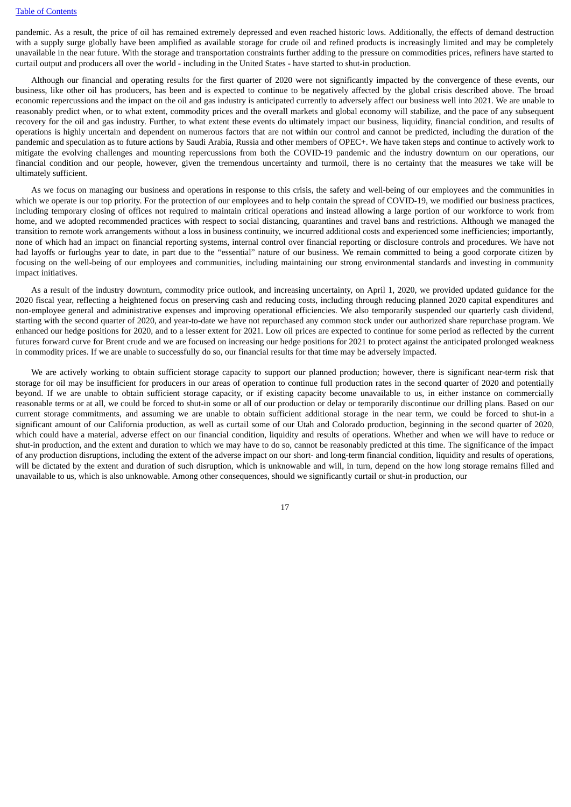pandemic. As a result, the price of oil has remained extremely depressed and even reached historic lows. Additionally, the effects of demand destruction with a supply surge globally have been amplified as available storage for crude oil and refined products is increasingly limited and may be completely unavailable in the near future. With the storage and transportation constraints further adding to the pressure on commodities prices, refiners have started to curtail output and producers all over the world - including in the United States - have started to shut-in production.

Although our financial and operating results for the first quarter of 2020 were not significantly impacted by the convergence of these events, our business, like other oil has producers, has been and is expected to continue to be negatively affected by the global crisis described above. The broad economic repercussions and the impact on the oil and gas industry is anticipated currently to adversely affect our business well into 2021. We are unable to reasonably predict when, or to what extent, commodity prices and the overall markets and global economy will stabilize, and the pace of any subsequent recovery for the oil and gas industry. Further, to what extent these events do ultimately impact our business, liquidity, financial condition, and results of operations is highly uncertain and dependent on numerous factors that are not within our control and cannot be predicted, including the duration of the pandemic and speculation as to future actions by Saudi Arabia, Russia and other members of OPEC+. We have taken steps and continue to actively work to mitigate the evolving challenges and mounting repercussions from both the COVID-19 pandemic and the industry downturn on our operations, our financial condition and our people, however, given the tremendous uncertainty and turmoil, there is no certainty that the measures we take will be ultimately sufficient.

As we focus on managing our business and operations in response to this crisis, the safety and well-being of our employees and the communities in which we operate is our top priority. For the protection of our employees and to help contain the spread of COVID-19, we modified our business practices, including temporary closing of offices not required to maintain critical operations and instead allowing a large portion of our workforce to work from home, and we adopted recommended practices with respect to social distancing, quarantines and travel bans and restrictions. Although we managed the transition to remote work arrangements without a loss in business continuity, we incurred additional costs and experienced some inefficiencies; importantly, none of which had an impact on financial reporting systems, internal control over financial reporting or disclosure controls and procedures. We have not had layoffs or furloughs year to date, in part due to the "essential" nature of our business. We remain committed to being a good corporate citizen by focusing on the well-being of our employees and communities, including maintaining our strong environmental standards and investing in community impact initiatives.

As a result of the industry downturn, commodity price outlook, and increasing uncertainty, on April 1, 2020, we provided updated guidance for the 2020 fiscal year, reflecting a heightened focus on preserving cash and reducing costs, including through reducing planned 2020 capital expenditures and non-employee general and administrative expenses and improving operational efficiencies. We also temporarily suspended our quarterly cash dividend, starting with the second quarter of 2020, and year-to-date we have not repurchased any common stock under our authorized share repurchase program. We enhanced our hedge positions for 2020, and to a lesser extent for 2021. Low oil prices are expected to continue for some period as reflected by the current futures forward curve for Brent crude and we are focused on increasing our hedge positions for 2021 to protect against the anticipated prolonged weakness in commodity prices. If we are unable to successfully do so, our financial results for that time may be adversely impacted.

We are actively working to obtain sufficient storage capacity to support our planned production; however, there is significant near-term risk that storage for oil may be insufficient for producers in our areas of operation to continue full production rates in the second quarter of 2020 and potentially beyond. If we are unable to obtain sufficient storage capacity, or if existing capacity become unavailable to us, in either instance on commercially reasonable terms or at all, we could be forced to shut-in some or all of our production or delay or temporarily discontinue our drilling plans. Based on our current storage commitments, and assuming we are unable to obtain sufficient additional storage in the near term, we could be forced to shut-in a significant amount of our California production, as well as curtail some of our Utah and Colorado production, beginning in the second quarter of 2020, which could have a material, adverse effect on our financial condition, liquidity and results of operations. Whether and when we will have to reduce or shut-in production, and the extent and duration to which we may have to do so, cannot be reasonably predicted at this time. The significance of the impact of any production disruptions, including the extent of the adverse impact on our short- and long-term financial condition, liquidity and results of operations, will be dictated by the extent and duration of such disruption, which is unknowable and will, in turn, depend on the how long storage remains filled and unavailable to us, which is also unknowable. Among other consequences, should we significantly curtail or shut-in production, our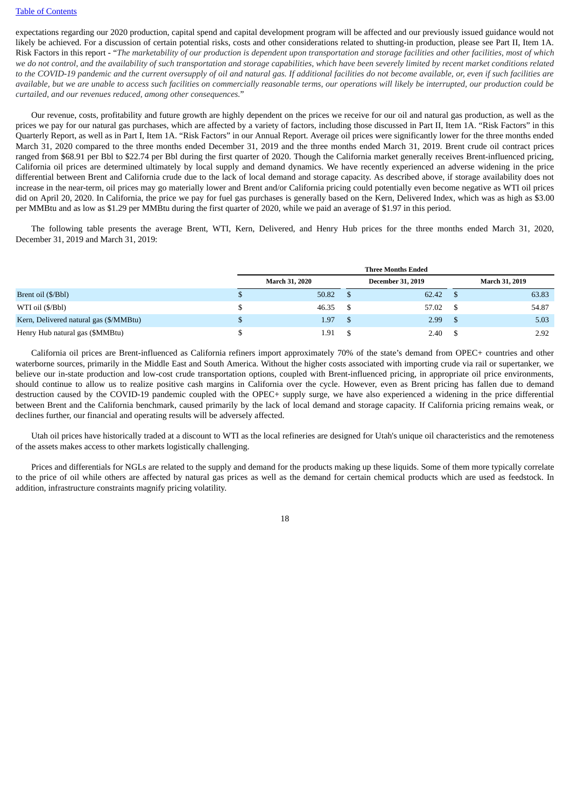expectations regarding our 2020 production, capital spend and capital development program will be affected and our previously issued guidance would not likely be achieved. For a discussion of certain potential risks, costs and other considerations related to shutting-in production, please see Part II, Item 1A. Risk Factors in this report - "The marketability of our production is dependent upon transportation and storage facilities and other facilities, most of which we do not control, and the availability of such transportation and storage capabilities, which have been severely limited by recent market conditions related to the COVID-19 pandemic and the current oversupply of oil and natural gas. If additional facilities do not become available, or, even if such facilities are available, but we are unable to access such facilities on commercially reasonable terms, our operations will likely be interrupted, our production could be *curtailed, and our revenues reduced, among other consequences.*"

Our revenue, costs, profitability and future growth are highly dependent on the prices we receive for our oil and natural gas production, as well as the prices we pay for our natural gas purchases, which are affected by a variety of factors, including those discussed in Part II, Item 1A. "Risk Factors" in this Quarterly Report, as well as in Part I, Item 1A. "Risk Factors" in our Annual Report. Average oil prices were significantly lower for the three months ended March 31, 2020 compared to the three months ended December 31, 2019 and the three months ended March 31, 2019. Brent crude oil contract prices ranged from \$68.91 per Bbl to \$22.74 per Bbl during the first quarter of 2020. Though the California market generally receives Brent-influenced pricing, California oil prices are determined ultimately by local supply and demand dynamics. We have recently experienced an adverse widening in the price differential between Brent and California crude due to the lack of local demand and storage capacity. As described above, if storage availability does not increase in the near-term, oil prices may go materially lower and Brent and/or California pricing could potentially even become negative as WTI oil prices did on April 20, 2020. In California, the price we pay for fuel gas purchases is generally based on the Kern, Delivered Index, which was as high as \$3.00 per MMBtu and as low as \$1.29 per MMBtu during the first quarter of 2020, while we paid an average of \$1.97 in this period.

The following table presents the average Brent, WTI, Kern, Delivered, and Henry Hub prices for the three months ended March 31, 2020, December 31, 2019 and March 31, 2019:

|                                        | <b>Three Months Ended</b> |                       |  |                          |                       |       |  |  |  |  |
|----------------------------------------|---------------------------|-----------------------|--|--------------------------|-----------------------|-------|--|--|--|--|
|                                        |                           | <b>March 31, 2020</b> |  | <b>December 31, 2019</b> | <b>March 31, 2019</b> |       |  |  |  |  |
| Brent oil (\$/Bbl)                     |                           | 50.82                 |  | 62.42                    |                       | 63.83 |  |  |  |  |
| WTI oil (\$/Bbl)                       |                           | 46.35                 |  | 57.02                    |                       | 54.87 |  |  |  |  |
| Kern, Delivered natural gas (\$/MMBtu) |                           | 1.97                  |  | 2.99                     |                       | 5.03  |  |  |  |  |
| Henry Hub natural gas (\$MMBtu)        |                           | 1.91                  |  | 2.40                     |                       | 2.92  |  |  |  |  |

California oil prices are Brent-influenced as California refiners import approximately 70% of the state's demand from OPEC+ countries and other waterborne sources, primarily in the Middle East and South America. Without the higher costs associated with importing crude via rail or supertanker, we believe our in-state production and low-cost crude transportation options, coupled with Brent-influenced pricing, in appropriate oil price environments, should continue to allow us to realize positive cash margins in California over the cycle. However, even as Brent pricing has fallen due to demand destruction caused by the COVID-19 pandemic coupled with the OPEC+ supply surge, we have also experienced a widening in the price differential between Brent and the California benchmark, caused primarily by the lack of local demand and storage capacity. If California pricing remains weak, or declines further, our financial and operating results will be adversely affected.

Utah oil prices have historically traded at a discount to WTI as the local refineries are designed for Utah's unique oil characteristics and the remoteness of the assets makes access to other markets logistically challenging.

Prices and differentials for NGLs are related to the supply and demand for the products making up these liquids. Some of them more typically correlate to the price of oil while others are affected by natural gas prices as well as the demand for certain chemical products which are used as feedstock. In addition, infrastructure constraints magnify pricing volatility.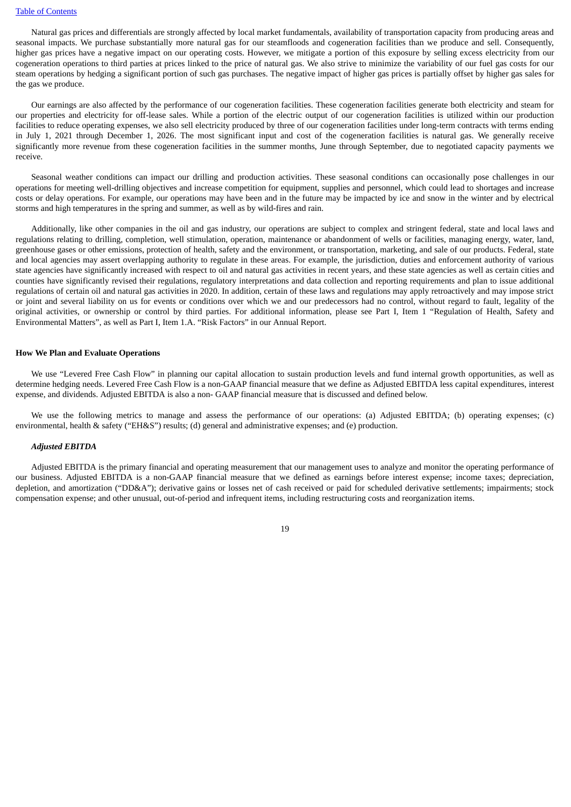Natural gas prices and differentials are strongly affected by local market fundamentals, availability of transportation capacity from producing areas and seasonal impacts. We purchase substantially more natural gas for our steamfloods and cogeneration facilities than we produce and sell. Consequently, higher gas prices have a negative impact on our operating costs. However, we mitigate a portion of this exposure by selling excess electricity from our cogeneration operations to third parties at prices linked to the price of natural gas. We also strive to minimize the variability of our fuel gas costs for our steam operations by hedging a significant portion of such gas purchases. The negative impact of higher gas prices is partially offset by higher gas sales for the gas we produce.

Our earnings are also affected by the performance of our cogeneration facilities. These cogeneration facilities generate both electricity and steam for our properties and electricity for off-lease sales. While a portion of the electric output of our cogeneration facilities is utilized within our production facilities to reduce operating expenses, we also sell electricity produced by three of our cogeneration facilities under long-term contracts with terms ending in July 1, 2021 through December 1, 2026. The most significant input and cost of the cogeneration facilities is natural gas. We generally receive significantly more revenue from these cogeneration facilities in the summer months, June through September, due to negotiated capacity payments we receive.

Seasonal weather conditions can impact our drilling and production activities. These seasonal conditions can occasionally pose challenges in our operations for meeting well-drilling objectives and increase competition for equipment, supplies and personnel, which could lead to shortages and increase costs or delay operations. For example, our operations may have been and in the future may be impacted by ice and snow in the winter and by electrical storms and high temperatures in the spring and summer, as well as by wild-fires and rain.

Additionally, like other companies in the oil and gas industry, our operations are subject to complex and stringent federal, state and local laws and regulations relating to drilling, completion, well stimulation, operation, maintenance or abandonment of wells or facilities, managing energy, water, land, greenhouse gases or other emissions, protection of health, safety and the environment, or transportation, marketing, and sale of our products. Federal, state and local agencies may assert overlapping authority to regulate in these areas. For example, the jurisdiction, duties and enforcement authority of various state agencies have significantly increased with respect to oil and natural gas activities in recent years, and these state agencies as well as certain cities and counties have significantly revised their regulations, regulatory interpretations and data collection and reporting requirements and plan to issue additional regulations of certain oil and natural gas activities in 2020. In addition, certain of these laws and regulations may apply retroactively and may impose strict or joint and several liability on us for events or conditions over which we and our predecessors had no control, without regard to fault, legality of the original activities, or ownership or control by third parties. For additional information, please see Part I, Item 1 "Regulation of Health, Safety and Environmental Matters", as well as Part I, Item 1.A. "Risk Factors" in our Annual Report.

#### **How We Plan and Evaluate Operations**

We use "Levered Free Cash Flow" in planning our capital allocation to sustain production levels and fund internal growth opportunities, as well as determine hedging needs. Levered Free Cash Flow is a non-GAAP financial measure that we define as Adjusted EBITDA less capital expenditures, interest expense, and dividends. Adjusted EBITDA is also a non- GAAP financial measure that is discussed and defined below.

We use the following metrics to manage and assess the performance of our operations: (a) Adjusted EBITDA; (b) operating expenses; (c) environmental, health & safety ("EH&S") results; (d) general and administrative expenses; and (e) production.

### *Adjusted EBITDA*

Adjusted EBITDA is the primary financial and operating measurement that our management uses to analyze and monitor the operating performance of our business. Adjusted EBITDA is a non-GAAP financial measure that we defined as earnings before interest expense; income taxes; depreciation, depletion, and amortization ("DD&A"); derivative gains or losses net of cash received or paid for scheduled derivative settlements; impairments; stock compensation expense; and other unusual, out-of-period and infrequent items, including restructuring costs and reorganization items.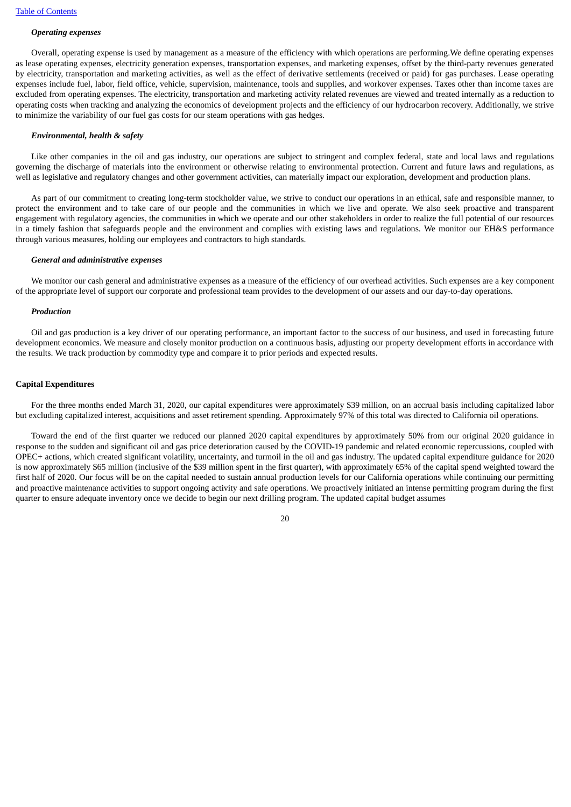# *Operating expenses*

Overall, operating expense is used by management as a measure of the efficiency with which operations are performing.We define operating expenses as lease operating expenses, electricity generation expenses, transportation expenses, and marketing expenses, offset by the third-party revenues generated by electricity, transportation and marketing activities, as well as the effect of derivative settlements (received or paid) for gas purchases. Lease operating expenses include fuel, labor, field office, vehicle, supervision, maintenance, tools and supplies, and workover expenses. Taxes other than income taxes are excluded from operating expenses. The electricity, transportation and marketing activity related revenues are viewed and treated internally as a reduction to operating costs when tracking and analyzing the economics of development projects and the efficiency of our hydrocarbon recovery. Additionally, we strive to minimize the variability of our fuel gas costs for our steam operations with gas hedges.

#### *Environmental, health & safety*

Like other companies in the oil and gas industry, our operations are subject to stringent and complex federal, state and local laws and regulations governing the discharge of materials into the environment or otherwise relating to environmental protection. Current and future laws and regulations, as well as legislative and regulatory changes and other government activities, can materially impact our exploration, development and production plans.

As part of our commitment to creating long-term stockholder value, we strive to conduct our operations in an ethical, safe and responsible manner, to protect the environment and to take care of our people and the communities in which we live and operate. We also seek proactive and transparent engagement with regulatory agencies, the communities in which we operate and our other stakeholders in order to realize the full potential of our resources in a timely fashion that safeguards people and the environment and complies with existing laws and regulations. We monitor our EH&S performance through various measures, holding our employees and contractors to high standards.

#### *General and administrative expenses*

We monitor our cash general and administrative expenses as a measure of the efficiency of our overhead activities. Such expenses are a key component of the appropriate level of support our corporate and professional team provides to the development of our assets and our day-to-day operations.

#### *Production*

Oil and gas production is a key driver of our operating performance, an important factor to the success of our business, and used in forecasting future development economics. We measure and closely monitor production on a continuous basis, adjusting our property development efforts in accordance with the results. We track production by commodity type and compare it to prior periods and expected results.

### **Capital Expenditures**

For the three months ended March 31, 2020, our capital expenditures were approximately \$39 million, on an accrual basis including capitalized labor but excluding capitalized interest, acquisitions and asset retirement spending. Approximately 97% of this total was directed to California oil operations.

Toward the end of the first quarter we reduced our planned 2020 capital expenditures by approximately 50% from our original 2020 guidance in response to the sudden and significant oil and gas price deterioration caused by the COVID-19 pandemic and related economic repercussions, coupled with OPEC+ actions, which created significant volatility, uncertainty, and turmoil in the oil and gas industry. The updated capital expenditure guidance for 2020 is now approximately \$65 million (inclusive of the \$39 million spent in the first quarter), with approximately 65% of the capital spend weighted toward the first half of 2020. Our focus will be on the capital needed to sustain annual production levels for our California operations while continuing our permitting and proactive maintenance activities to support ongoing activity and safe operations. We proactively initiated an intense permitting program during the first quarter to ensure adequate inventory once we decide to begin our next drilling program. The updated capital budget assumes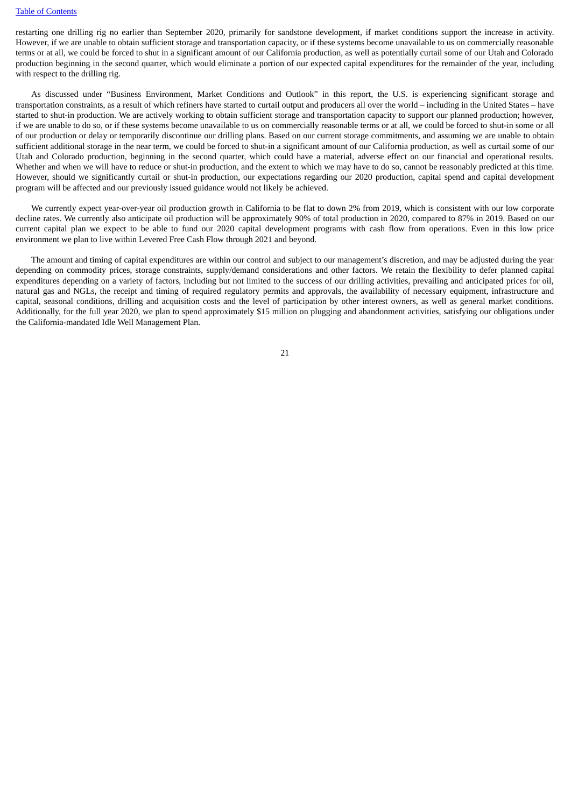#### Table of [Contents](#page-1-0)

restarting one drilling rig no earlier than September 2020, primarily for sandstone development, if market conditions support the increase in activity. However, if we are unable to obtain sufficient storage and transportation capacity, or if these systems become unavailable to us on commercially reasonable terms or at all, we could be forced to shut in a significant amount of our California production, as well as potentially curtail some of our Utah and Colorado production beginning in the second quarter, which would eliminate a portion of our expected capital expenditures for the remainder of the year, including with respect to the drilling rig.

As discussed under "Business Environment, Market Conditions and Outlook" in this report, the U.S. is experiencing significant storage and transportation constraints, as a result of which refiners have started to curtail output and producers all over the world – including in the United States – have started to shut-in production. We are actively working to obtain sufficient storage and transportation capacity to support our planned production; however, if we are unable to do so, or if these systems become unavailable to us on commercially reasonable terms or at all, we could be forced to shut-in some or all of our production or delay or temporarily discontinue our drilling plans. Based on our current storage commitments, and assuming we are unable to obtain sufficient additional storage in the near term, we could be forced to shut-in a significant amount of our California production, as well as curtail some of our Utah and Colorado production, beginning in the second quarter, which could have a material, adverse effect on our financial and operational results. Whether and when we will have to reduce or shut-in production, and the extent to which we may have to do so, cannot be reasonably predicted at this time. However, should we significantly curtail or shut-in production, our expectations regarding our 2020 production, capital spend and capital development program will be affected and our previously issued guidance would not likely be achieved.

We currently expect year-over-year oil production growth in California to be flat to down 2% from 2019, which is consistent with our low corporate decline rates. We currently also anticipate oil production will be approximately 90% of total production in 2020, compared to 87% in 2019. Based on our current capital plan we expect to be able to fund our 2020 capital development programs with cash flow from operations. Even in this low price environment we plan to live within Levered Free Cash Flow through 2021 and beyond.

The amount and timing of capital expenditures are within our control and subject to our management's discretion, and may be adjusted during the year depending on commodity prices, storage constraints, supply/demand considerations and other factors. We retain the flexibility to defer planned capital expenditures depending on a variety of factors, including but not limited to the success of our drilling activities, prevailing and anticipated prices for oil, natural gas and NGLs, the receipt and timing of required regulatory permits and approvals, the availability of necessary equipment, infrastructure and capital, seasonal conditions, drilling and acquisition costs and the level of participation by other interest owners, as well as general market conditions. Additionally, for the full year 2020, we plan to spend approximately \$15 million on plugging and abandonment activities, satisfying our obligations under the California-mandated Idle Well Management Plan.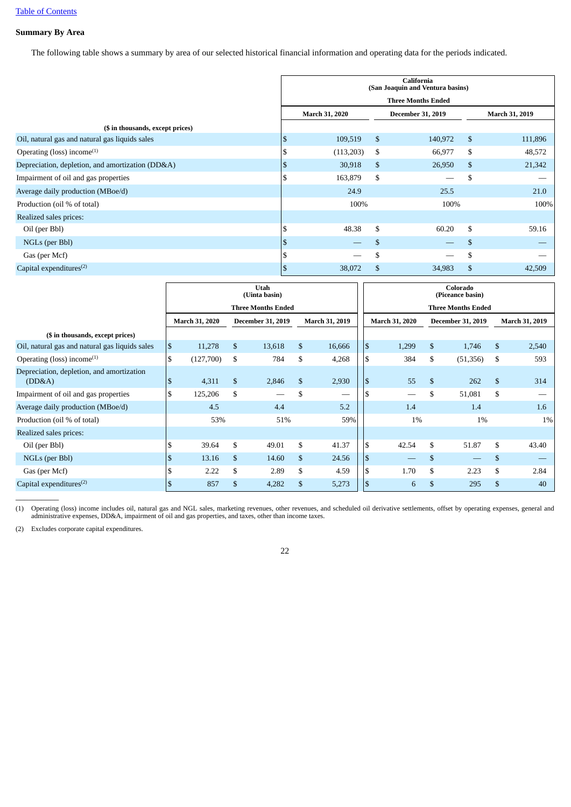# **Summary By Area**

The following table shows a summary by area of our selected historical financial information and operating data for the periods indicated.

|                                                  | <b>California</b><br>(San Joaquin and Ventura basins) |                       |                       |         |    |         |  |  |  |  |
|--------------------------------------------------|-------------------------------------------------------|-----------------------|-----------------------|---------|----|---------|--|--|--|--|
|                                                  | <b>Three Months Ended</b>                             |                       |                       |         |    |         |  |  |  |  |
|                                                  |                                                       | <b>March 31, 2020</b> | <b>March 31, 2019</b> |         |    |         |  |  |  |  |
| (\$ in thousands, except prices)                 |                                                       |                       |                       |         |    |         |  |  |  |  |
| Oil, natural gas and natural gas liquids sales   |                                                       | 109,519               | \$                    | 140,972 | \$ | 111,896 |  |  |  |  |
| Operating (loss) income $(1)$                    |                                                       | (113,203)             | \$                    | 66,977  | \$ | 48,572  |  |  |  |  |
| Depreciation, depletion, and amortization (DD&A) |                                                       | 30,918                | \$                    | 26,950  | \$ | 21,342  |  |  |  |  |
| Impairment of oil and gas properties             |                                                       | 163,879               | \$                    |         | \$ |         |  |  |  |  |
| Average daily production (MBoe/d)                |                                                       | 24.9                  |                       | 25.5    |    | 21.0    |  |  |  |  |
| Production (oil % of total)                      |                                                       | 100%                  |                       | 100%    |    | 100%    |  |  |  |  |
| Realized sales prices:                           |                                                       |                       |                       |         |    |         |  |  |  |  |
| Oil (per Bbl)                                    |                                                       | 48.38                 | \$                    | 60.20   | \$ | 59.16   |  |  |  |  |
| NGLs (per Bbl)                                   |                                                       |                       | \$                    |         | S. |         |  |  |  |  |
| Gas (per Mcf)                                    |                                                       |                       | \$                    |         | \$ |         |  |  |  |  |
| Capital expenditures $(2)$                       |                                                       | 38,072                | \$                    | 34,983  | \$ | 42,509  |  |  |  |  |

|                                                     |                |                |                          | <b>Utah</b><br>(Uinta basin) |                |        | Colorado<br>(Piceance basin) |                       |    |                          |              |                |  |  |
|-----------------------------------------------------|----------------|----------------|--------------------------|------------------------------|----------------|--------|------------------------------|-----------------------|----|--------------------------|--------------|----------------|--|--|
|                                                     |                |                |                          | <b>Three Months Ended</b>    |                |        | <b>Three Months Ended</b>    |                       |    |                          |              |                |  |  |
|                                                     |                | March 31, 2020 | <b>December 31, 2019</b> |                              | March 31, 2019 |        |                              | <b>March 31, 2020</b> |    | <b>December 31, 2019</b> |              | March 31, 2019 |  |  |
| (\$ in thousands, except prices)                    |                |                |                          |                              |                |        |                              |                       |    |                          |              |                |  |  |
| Oil, natural gas and natural gas liquids sales      | $\mathfrak{S}$ | 11,278         | \$                       | 13,618                       | \$             | 16,666 |                              | 1,299                 | \$ | 1,746                    | \$           | 2,540          |  |  |
| Operating (loss) income $(1)$                       | $\mathbb{S}$   | (127,700)      | \$                       | 784                          | \$             | 4,268  |                              | 384                   | \$ | (51, 356)                | \$           | 593            |  |  |
| Depreciation, depletion, and amortization<br>(DD&A) | $\mathfrak{s}$ | 4,311          | \$                       | 2,846                        | $\mathbb{S}$   | 2,930  |                              | 55                    | \$ | 262                      | $\mathbf{s}$ | 314            |  |  |
| Impairment of oil and gas properties                | \$             | 125,206        | \$                       |                              | \$             | –      |                              | –                     | \$ | 51,081                   | \$           |                |  |  |
| Average daily production (MBoe/d)                   |                | 4.5            |                          | 4.4                          |                | 5.2    |                              | 1.4                   |    | 1.4                      |              | 1.6            |  |  |
| Production (oil % of total)                         |                | 53%            |                          | 51%                          |                | 59%    |                              | 1%                    |    | 1%                       |              | $1\%$          |  |  |
| Realized sales prices:                              |                |                |                          |                              |                |        |                              |                       |    |                          |              |                |  |  |
| Oil (per Bbl)                                       | \$             | 39.64          | \$                       | 49.01                        | \$             | 41.37  |                              | 42.54<br>l \$         | \$ | 51.87                    | \$           | 43.40          |  |  |
| NGLs (per Bbl)                                      |                | 13.16          | \$                       | 14.60                        | \$             | 24.56  |                              |                       | \$ |                          | \$           |                |  |  |
| Gas (per Mcf)                                       |                | 2.22           | \$                       | 2.89                         | \$             | 4.59   |                              | 1.70                  | \$ | 2.23                     | \$           | 2.84           |  |  |
| Capital expenditures $(2)$                          |                | 857            | \$                       | 4,282                        | \$             | 5,273  | ıя                           | 6                     | \$ | 295                      | \$           | 40             |  |  |

(1) Operating (loss) income includes oil, natural gas and NGL sales, marketing revenues, other revenues, and scheduled oil derivative settlements, offset by operating expenses, general and administrative expenses, DD&A, impairment of oil and gas properties, and taxes, other than income taxes.

(2) Excludes corporate capital expenditures.

 $\overline{\phantom{a}}$  . The contract of  $\overline{\phantom{a}}$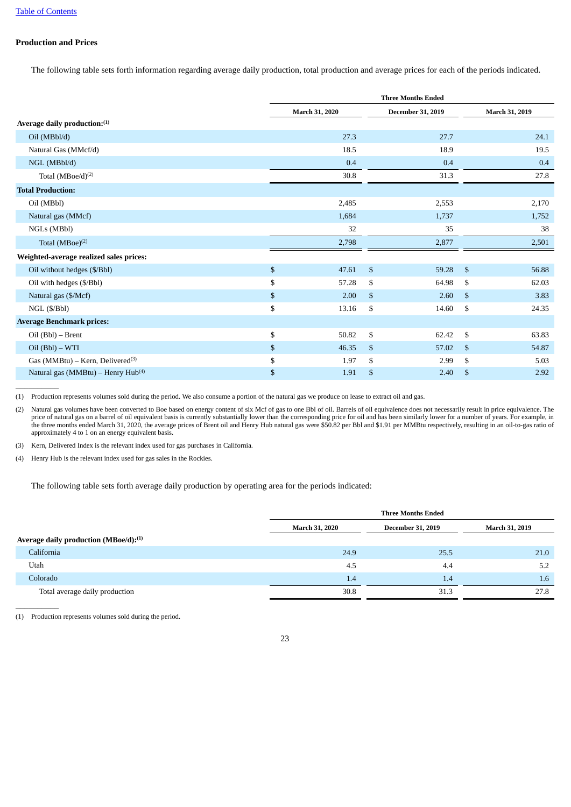# **Production and Prices**

The following table sets forth information regarding average daily production, total production and average prices for each of the periods indicated.

|                                                | <b>Three Months Ended</b> |                |                          |                |       |  |  |  |  |
|------------------------------------------------|---------------------------|----------------|--------------------------|----------------|-------|--|--|--|--|
|                                                | March 31, 2020            |                | <b>December 31, 2019</b> | March 31, 2019 |       |  |  |  |  |
| Average daily production: <sup>(1)</sup>       |                           |                |                          |                |       |  |  |  |  |
| Oil (MBbl/d)                                   | 27.3                      |                | 27.7                     |                | 24.1  |  |  |  |  |
| Natural Gas (MMcf/d)                           | 18.5                      |                | 18.9                     |                | 19.5  |  |  |  |  |
| NGL (MBbl/d)                                   | 0.4                       |                | 0.4                      |                | 0.4   |  |  |  |  |
| Total $(MBoe/d)^{(2)}$                         | 30.8                      |                | 31.3                     |                | 27.8  |  |  |  |  |
| <b>Total Production:</b>                       |                           |                |                          |                |       |  |  |  |  |
| Oil (MBbl)                                     | 2,485                     |                | 2,553                    |                | 2,170 |  |  |  |  |
| Natural gas (MMcf)                             | 1,684                     |                | 1,737                    |                | 1,752 |  |  |  |  |
| NGLs (MBbl)                                    | 32                        |                | 35                       |                | 38    |  |  |  |  |
| Total $(MBoe)^{(2)}$                           | 2,798                     |                | 2,877                    |                | 2,501 |  |  |  |  |
| Weighted-average realized sales prices:        |                           |                |                          |                |       |  |  |  |  |
| Oil without hedges (\$/Bbl)                    | \$<br>47.61               | $\mathfrak{S}$ | 59.28                    | $\mathfrak{S}$ | 56.88 |  |  |  |  |
| Oil with hedges (\$/Bbl)                       | \$<br>57.28               | \$             | 64.98                    | \$             | 62.03 |  |  |  |  |
| Natural gas (\$/Mcf)                           | \$<br>2.00                | \$             | 2.60                     | $\mathbb{S}$   | 3.83  |  |  |  |  |
| NGL (\$/Bbl)                                   | \$<br>13.16               | \$             | 14.60                    | \$             | 24.35 |  |  |  |  |
| <b>Average Benchmark prices:</b>               |                           |                |                          |                |       |  |  |  |  |
| $Oil (Bbl) - Brent$                            | \$<br>50.82               | \$             | 62.42                    | \$             | 63.83 |  |  |  |  |
| Oil (Bbl) – WTI                                | \$<br>46.35               | $\mathfrak{S}$ | 57.02                    | $\mathfrak{S}$ | 54.87 |  |  |  |  |
| Gas (MMBtu) - Kern, Delivered <sup>(3)</sup>   | \$<br>1.97                | \$             | 2.99                     | \$             | 5.03  |  |  |  |  |
| Natural gas (MMBtu) - Henry Hub <sup>(4)</sup> | \$<br>1.91                | \$             | 2.40                     | $\mathfrak{s}$ | 2.92  |  |  |  |  |
|                                                |                           |                |                          |                |       |  |  |  |  |

(1) Production represents volumes sold during the period. We also consume a portion of the natural gas we produce on lease to extract oil and gas.

(2) Natural gas volumes have been converted to Boe based on energy content of six Mcf of gas to one Bbl of oil. Barrels of oil equivalence does not necessarily result in price equivalence. The price of natural gas on a barrel of oil equivalent basis is currently substantially lower than the corresponding price for oil and has been similarly lower for a number of years. For example, in the three months ended March 31, 2020, the average prices of Brent oil and Henry Hub natural gas were \$50.82 per Bbl and \$1.91 per MMBtu respectively, resulting in an oil-to-gas ratio of approximately 4 to 1 on an energy equivalent basis.

(3) Kern, Delivered Index is the relevant index used for gas purchases in California.

(4) Henry Hub is the relevant index used for gas sales in the Rockies.

The following table sets forth average daily production by operating area for the periods indicated:

|                                                   | <b>Three Months Ended</b> |                          |                       |  |  |  |  |  |
|---------------------------------------------------|---------------------------|--------------------------|-----------------------|--|--|--|--|--|
|                                                   | <b>March 31, 2020</b>     | <b>December 31, 2019</b> | <b>March 31, 2019</b> |  |  |  |  |  |
| Average daily production (MBoe/d): <sup>(1)</sup> |                           |                          |                       |  |  |  |  |  |
| California                                        | 24.9                      | 25.5                     | 21.0                  |  |  |  |  |  |
| Utah                                              | 4.5                       | 4.4                      | 5.2                   |  |  |  |  |  |
| Colorado                                          | 1.4                       | 1.4                      | 1.6                   |  |  |  |  |  |
| Total average daily production                    | 30.8                      | 31.3                     | 27.8                  |  |  |  |  |  |
|                                                   |                           |                          |                       |  |  |  |  |  |

(1) Production represents volumes sold during the period.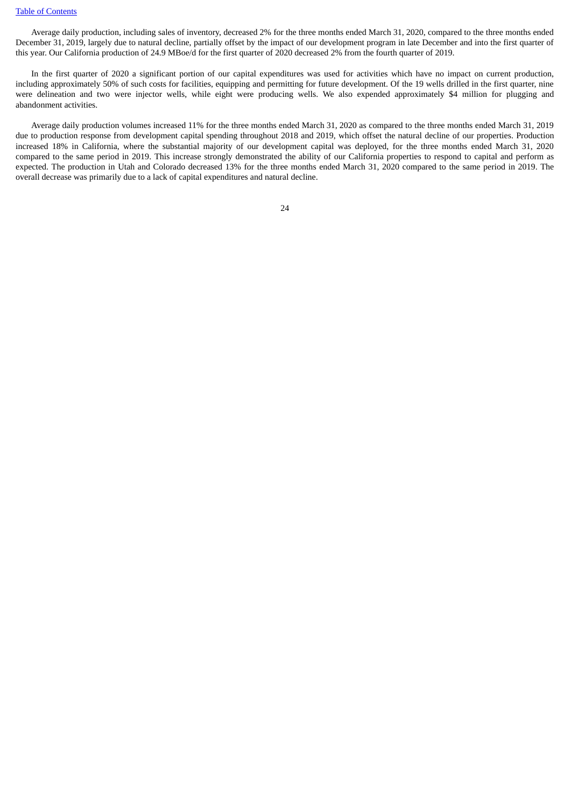### Table of [Contents](#page-1-0)

Average daily production, including sales of inventory, decreased 2% for the three months ended March 31, 2020, compared to the three months ended December 31, 2019, largely due to natural decline, partially offset by the impact of our development program in late December and into the first quarter of this year. Our California production of 24.9 MBoe/d for the first quarter of 2020 decreased 2% from the fourth quarter of 2019.

In the first quarter of 2020 a significant portion of our capital expenditures was used for activities which have no impact on current production, including approximately 50% of such costs for facilities, equipping and permitting for future development. Of the 19 wells drilled in the first quarter, nine were delineation and two were injector wells, while eight were producing wells. We also expended approximately \$4 million for plugging and abandonment activities.

Average daily production volumes increased 11% for the three months ended March 31, 2020 as compared to the three months ended March 31, 2019 due to production response from development capital spending throughout 2018 and 2019, which offset the natural decline of our properties. Production increased 18% in California, where the substantial majority of our development capital was deployed, for the three months ended March 31, 2020 compared to the same period in 2019. This increase strongly demonstrated the ability of our California properties to respond to capital and perform as expected. The production in Utah and Colorado decreased 13% for the three months ended March 31, 2020 compared to the same period in 2019. The overall decrease was primarily due to a lack of capital expenditures and natural decline.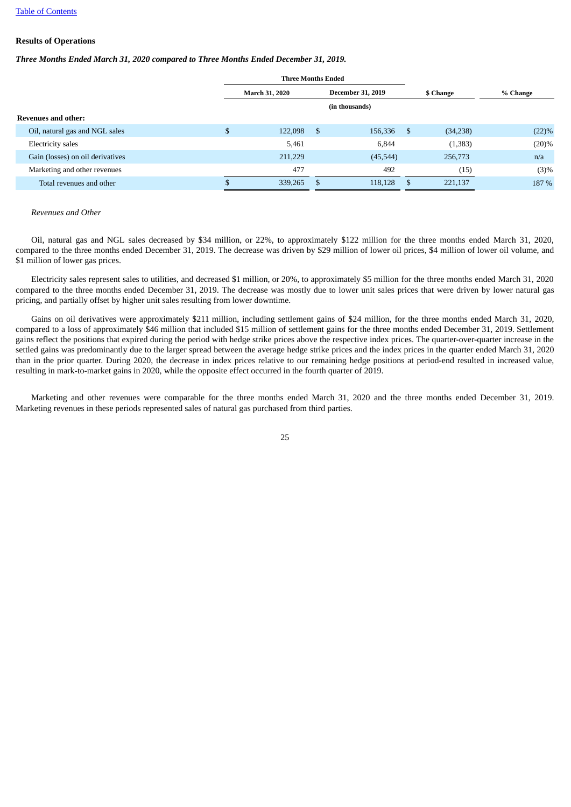# **Results of Operations**

# *Three Months Ended March 31, 2020 compared to Three Months Ended December 31, 2019.*

|                                  |                       | <b>Three Months Ended</b> |      |                          |           |          |          |  |
|----------------------------------|-----------------------|---------------------------|------|--------------------------|-----------|----------|----------|--|
|                                  | <b>March 31, 2020</b> |                           |      | <b>December 31, 2019</b> | \$ Change |          | % Change |  |
|                                  |                       |                           |      | (in thousands)           |           |          |          |  |
| <b>Revenues and other:</b>       |                       |                           |      |                          |           |          |          |  |
| Oil, natural gas and NGL sales   |                       | 122,098                   | - \$ | 156,336                  | -S        | (34,238) | (22)%    |  |
| Electricity sales                |                       | 5,461                     |      | 6,844                    |           | (1,383)  | (20)%    |  |
| Gain (losses) on oil derivatives |                       | 211,229                   |      | (45, 544)                |           | 256,773  | n/a      |  |
| Marketing and other revenues     |                       | 477                       |      | 492                      |           | (15)     | (3)%     |  |
| Total revenues and other         |                       | 339,265                   |      | 118,128                  | -S        | 221,137  | 187 %    |  |

#### *Revenues and Other*

Oil, natural gas and NGL sales decreased by \$34 million, or 22%, to approximately \$122 million for the three months ended March 31, 2020, compared to the three months ended December 31, 2019. The decrease was driven by \$29 million of lower oil prices, \$4 million of lower oil volume, and \$1 million of lower gas prices.

Electricity sales represent sales to utilities, and decreased \$1 million, or 20%, to approximately \$5 million for the three months ended March 31, 2020 compared to the three months ended December 31, 2019. The decrease was mostly due to lower unit sales prices that were driven by lower natural gas pricing, and partially offset by higher unit sales resulting from lower downtime.

Gains on oil derivatives were approximately \$211 million, including settlement gains of \$24 million, for the three months ended March 31, 2020, compared to a loss of approximately \$46 million that included \$15 million of settlement gains for the three months ended December 31, 2019. Settlement gains reflect the positions that expired during the period with hedge strike prices above the respective index prices. The quarter-over-quarter increase in the settled gains was predominantly due to the larger spread between the average hedge strike prices and the index prices in the quarter ended March 31, 2020 than in the prior quarter. During 2020, the decrease in index prices relative to our remaining hedge positions at period-end resulted in increased value, resulting in mark-to-market gains in 2020, while the opposite effect occurred in the fourth quarter of 2019.

Marketing and other revenues were comparable for the three months ended March 31, 2020 and the three months ended December 31, 2019. Marketing revenues in these periods represented sales of natural gas purchased from third parties.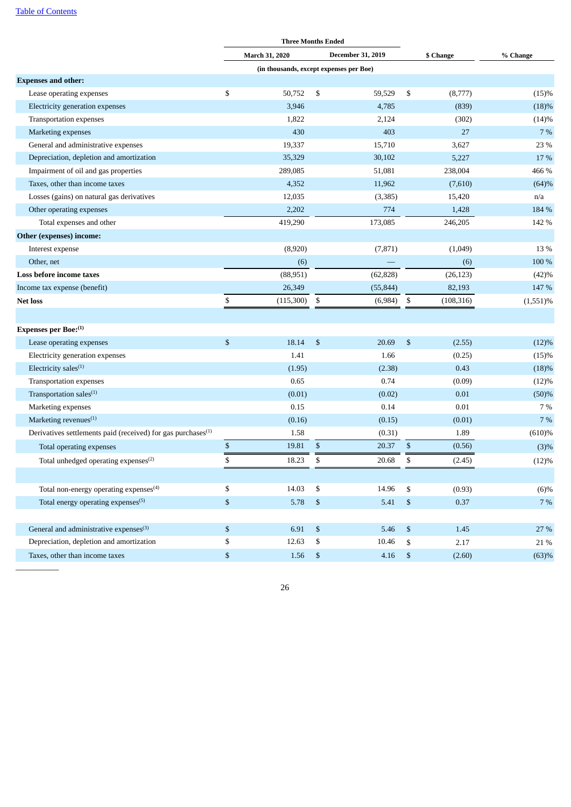|  |  | <b>Table of Contents</b> |
|--|--|--------------------------|
|  |  |                          |

|                                                                    |                | <b>Three Months Ended</b>               |                |                          |              |            |             |
|--------------------------------------------------------------------|----------------|-----------------------------------------|----------------|--------------------------|--------------|------------|-------------|
|                                                                    |                | March 31, 2020                          |                | <b>December 31, 2019</b> |              | \$ Change  | % Change    |
|                                                                    |                | (in thousands, except expenses per Boe) |                |                          |              |            |             |
| <b>Expenses and other:</b>                                         |                |                                         |                |                          |              |            |             |
| Lease operating expenses                                           | \$             | 50,752                                  | \$             | 59,529                   | \$           | (8,777)    | (15)%       |
| Electricity generation expenses                                    |                | 3,946                                   |                | 4,785                    |              | (839)      | (18)%       |
| <b>Transportation expenses</b>                                     |                | 1,822                                   |                | 2,124                    |              | (302)      | (14)%       |
| Marketing expenses                                                 |                | 430                                     |                | 403                      |              | 27         | 7 %         |
| General and administrative expenses                                |                | 19,337                                  |                | 15,710                   |              | 3,627      | 23 %        |
| Depreciation, depletion and amortization                           |                | 35,329                                  |                | 30,102                   |              | 5,227      | 17 %        |
| Impairment of oil and gas properties                               |                | 289,085                                 |                | 51,081                   |              | 238,004    | 466 %       |
| Taxes, other than income taxes                                     |                | 4,352                                   |                | 11,962                   |              | (7,610)    | (64)%       |
| Losses (gains) on natural gas derivatives                          |                | 12,035                                  |                | (3, 385)                 |              | 15,420     | n/a         |
| Other operating expenses                                           |                | 2,202                                   |                | 774                      |              | 1,428      | 184 %       |
| Total expenses and other                                           |                | 419,290                                 |                | 173,085                  |              | 246,205    | 142 %       |
| Other (expenses) income:                                           |                |                                         |                |                          |              |            |             |
| Interest expense                                                   |                | (8,920)                                 |                | (7, 871)                 |              | (1,049)    | 13 %        |
| Other, net                                                         |                | (6)                                     |                |                          |              | (6)        | 100 %       |
| Loss before income taxes                                           |                | (88,951)                                |                | (62, 828)                |              | (26, 123)  | (42)%       |
| Income tax expense (benefit)                                       |                | 26,349                                  |                | (55, 844)                |              | 82,193     | 147 %       |
| <b>Net loss</b>                                                    | \$             | (115, 300)                              | \$             | (6,984)                  | \$           | (108, 316) | $(1,551)\%$ |
|                                                                    |                |                                         |                |                          |              |            |             |
| <b>Expenses per Boe:</b> <sup>(1)</sup>                            |                |                                         |                |                          |              |            |             |
| Lease operating expenses                                           | \$             | 18.14                                   | \$             | 20.69                    | \$           | (2.55)     | (12)%       |
| Electricity generation expenses                                    |                | 1.41                                    |                | 1.66                     |              | (0.25)     | (15)%       |
| Electricity sales $(1)$                                            |                | (1.95)                                  |                | (2.38)                   |              | 0.43       | (18)%       |
| <b>Transportation expenses</b>                                     |                | 0.65                                    |                | 0.74                     |              | (0.09)     | (12)%       |
| Transportation sales <sup>(1)</sup>                                |                | (0.01)                                  |                | (0.02)                   |              | 0.01       | (50)%       |
| Marketing expenses                                                 |                | 0.15                                    |                | 0.14                     |              | 0.01       | 7 %         |
| Marketing revenues <sup>(1)</sup>                                  |                | (0.16)                                  |                | (0.15)                   |              | (0.01)     | $7 \ \%$    |
| Derivatives settlements paid (received) for gas purchases $^{(1)}$ |                | 1.58                                    |                | (0.31)                   |              | 1.89       | (610)%      |
| Total operating expenses                                           | \$             | 19.81                                   | \$             | 20.37                    | \$           | (0.56)     | (3)%        |
| Total unhedged operating expenses <sup>(2)</sup>                   | \$             | 18.23                                   | \$             | 20.68                    | \$           | (2.45)     | (12)%       |
|                                                                    |                |                                         |                |                          |              |            |             |
| Total non-energy operating expenses <sup>(4)</sup>                 | \$             | 14.03                                   | $\mathbb{S}$   | 14.96                    | \$           | (0.93)     | (6)%        |
| Total energy operating expenses <sup>(5)</sup>                     | $\mathbb{S}$   | 5.78                                    | $\mathbb{S}$   | 5.41                     | $\mathbb{S}$ | 0.37       | $7\,\%$     |
|                                                                    |                |                                         |                |                          |              |            |             |
|                                                                    |                |                                         |                |                          |              |            |             |
| General and administrative expenses <sup>(3)</sup>                 | $\mathfrak{S}$ | 6.91                                    | $\mathbb{S}$   | 5.46                     | $\mathbb{S}$ | 1.45       | 27 %        |
| Depreciation, depletion and amortization                           | \$             | 12.63                                   | \$             | 10.46                    | \$           | 2.17       | 21 %        |
| Taxes, other than income taxes                                     | \$             | 1.56                                    | $$\mathbb{S}$$ | 4.16                     | $\$$         | (2.60)     | (63)%       |
|                                                                    |                |                                         |                |                          |              |            |             |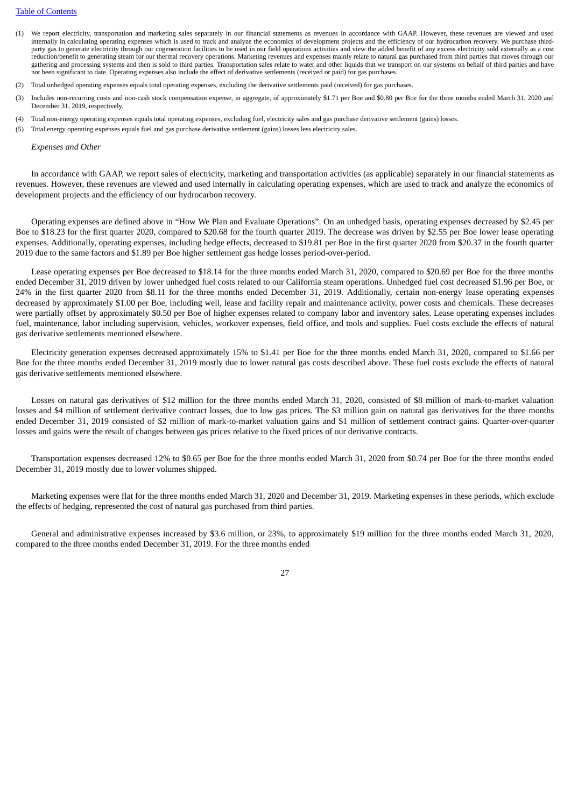#### Table of [Contents](#page-1-0)

- (1) We report electricity, transportation and marketing sales separately in our financial statements as revenues in accordance with GAAP. However, these revenues are viewed and used internally in calculating operating expenses which is used to track and analyze the economics of development projects and the efficiency of our hydrocarbon recovery. We purchase thirdparty gas to generate electricity through our cogeneration facilities to be used in our field operations activities and view the added benefit of any excess electricity sold externally as a cost reduction/benefit to generating steam for our thermal recovery operations. Marketing revenues and expenses mainly relate to natural gas purchased from third parties that moves through our gathering and processing systems and then is sold to third parties. Transportation sales relate to water and other liquids that we transport on our systems on behalf of third parties and have not been significant to date. Operating expenses also include the effect of derivative settlements (received or paid) for gas purchases.
- (2) Total unhedged operating expenses equals total operating expenses, excluding the derivative settlements paid (received) for gas purchases.
- (3) Includes non-recurring costs and non-cash stock compensation expense, in aggregate, of approximately \$1.71 per Boe and \$0.80 per Boe for the three months ended March 31, 2020 and December 31, 2019, respectively.
- (4) Total non-energy operating expenses equals total operating expenses, excluding fuel, electricity sales and gas purchase derivative settlement (gains) losses.
- (5) Total energy operating expenses equals fuel and gas purchase derivative settlement (gains) losses less electricity sales.

#### *Expenses and Other*

In accordance with GAAP, we report sales of electricity, marketing and transportation activities (as applicable) separately in our financial statements as revenues. However, these revenues are viewed and used internally in calculating operating expenses, which are used to track and analyze the economics of development projects and the efficiency of our hydrocarbon recovery.

Operating expenses are defined above in "How We Plan and Evaluate Operations". On an unhedged basis, operating expenses decreased by \$2.45 per Boe to \$18.23 for the first quarter 2020, compared to \$20.68 for the fourth quarter 2019. The decrease was driven by \$2.55 per Boe lower lease operating expenses. Additionally, operating expenses, including hedge effects, decreased to \$19.81 per Boe in the first quarter 2020 from \$20.37 in the fourth quarter 2019 due to the same factors and \$1.89 per Boe higher settlement gas hedge losses period-over-period.

Lease operating expenses per Boe decreased to \$18.14 for the three months ended March 31, 2020, compared to \$20.69 per Boe for the three months ended December 31, 2019 driven by lower unhedged fuel costs related to our California steam operations. Unhedged fuel cost decreased \$1.96 per Boe, or 24% in the first quarter 2020 from \$8.11 for the three months ended December 31, 2019. Additionally, certain non-energy lease operating expenses decreased by approximately \$1.00 per Boe, including well, lease and facility repair and maintenance activity, power costs and chemicals. These decreases were partially offset by approximately \$0.50 per Boe of higher expenses related to company labor and inventory sales. Lease operating expenses includes fuel, maintenance, labor including supervision, vehicles, workover expenses, field office, and tools and supplies. Fuel costs exclude the effects of natural gas derivative settlements mentioned elsewhere.

Electricity generation expenses decreased approximately 15% to \$1.41 per Boe for the three months ended March 31, 2020, compared to \$1.66 per Boe for the three months ended December 31, 2019 mostly due to lower natural gas costs described above. These fuel costs exclude the effects of natural gas derivative settlements mentioned elsewhere.

Losses on natural gas derivatives of \$12 million for the three months ended March 31, 2020, consisted of \$8 million of mark-to-market valuation losses and \$4 million of settlement derivative contract losses, due to low gas prices. The \$3 million gain on natural gas derivatives for the three months ended December 31, 2019 consisted of \$2 million of mark-to-market valuation gains and \$1 million of settlement contract gains. Quarter-over-quarter losses and gains were the result of changes between gas prices relative to the fixed prices of our derivative contracts.

Transportation expenses decreased 12% to \$0.65 per Boe for the three months ended March 31, 2020 from \$0.74 per Boe for the three months ended December 31, 2019 mostly due to lower volumes shipped.

Marketing expenses were flat for the three months ended March 31, 2020 and December 31, 2019. Marketing expenses in these periods, which exclude the effects of hedging, represented the cost of natural gas purchased from third parties.

General and administrative expenses increased by \$3.6 million, or 23%, to approximately \$19 million for the three months ended March 31, 2020, compared to the three months ended December 31, 2019. For the three months ended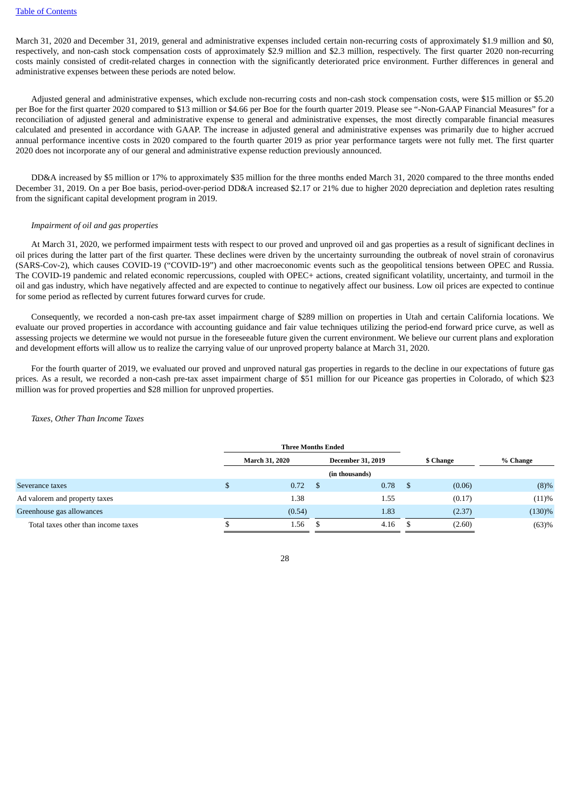March 31, 2020 and December 31, 2019, general and administrative expenses included certain non-recurring costs of approximately \$1.9 million and \$0, respectively, and non-cash stock compensation costs of approximately \$2.9 million and \$2.3 million, respectively. The first quarter 2020 non-recurring costs mainly consisted of credit-related charges in connection with the significantly deteriorated price environment. Further differences in general and administrative expenses between these periods are noted below.

Adjusted general and administrative expenses, which exclude non-recurring costs and non-cash stock compensation costs, were \$15 million or \$5.20 per Boe for the first quarter 2020 compared to \$13 million or \$4.66 per Boe for the fourth quarter 2019. Please see "-Non-GAAP Financial Measures" for a reconciliation of adjusted general and administrative expense to general and administrative expenses, the most directly comparable financial measures calculated and presented in accordance with GAAP. The increase in adjusted general and administrative expenses was primarily due to higher accrued annual performance incentive costs in 2020 compared to the fourth quarter 2019 as prior year performance targets were not fully met. The first quarter 2020 does not incorporate any of our general and administrative expense reduction previously announced.

DD&A increased by \$5 million or 17% to approximately \$35 million for the three months ended March 31, 2020 compared to the three months ended December 31, 2019. On a per Boe basis, period-over-period DD&A increased \$2.17 or 21% due to higher 2020 depreciation and depletion rates resulting from the significant capital development program in 2019.

### *Impairment of oil and gas properties*

At March 31, 2020, we performed impairment tests with respect to our proved and unproved oil and gas properties as a result of significant declines in oil prices during the latter part of the first quarter. These declines were driven by the uncertainty surrounding the outbreak of novel strain of coronavirus (SARS-Cov-2), which causes COVID-19 ("COVID-19") and other macroeconomic events such as the geopolitical tensions between OPEC and Russia. The COVID-19 pandemic and related economic repercussions, coupled with OPEC+ actions, created significant volatility, uncertainty, and turmoil in the oil and gas industry, which have negatively affected and are expected to continue to negatively affect our business. Low oil prices are expected to continue for some period as reflected by current futures forward curves for crude.

Consequently, we recorded a non-cash pre-tax asset impairment charge of \$289 million on properties in Utah and certain California locations. We evaluate our proved properties in accordance with accounting guidance and fair value techniques utilizing the period-end forward price curve, as well as assessing projects we determine we would not pursue in the foreseeable future given the current environment. We believe our current plans and exploration and development efforts will allow us to realize the carrying value of our unproved property balance at March 31, 2020.

For the fourth quarter of 2019, we evaluated our proved and unproved natural gas properties in regards to the decline in our expectations of future gas prices. As a result, we recorded a non-cash pre-tax asset impairment charge of \$51 million for our Piceance gas properties in Colorado, of which \$23 million was for proved properties and \$28 million for unproved properties.

### *Taxes, Other Than Income Taxes*

|                                     | <b>Three Months Ended</b> |                          |              |        |          |
|-------------------------------------|---------------------------|--------------------------|--------------|--------|----------|
|                                     | <b>March 31, 2020</b>     | <b>December 31, 2019</b> | \$ Change    |        | % Change |
|                                     |                           | (in thousands)           |              |        |          |
| Severance taxes                     | 0.72                      | 0.78                     | <sup>S</sup> | (0.06) | $(8)\%$  |
| Ad valorem and property taxes       | 1.38                      | 1.55                     |              | (0.17) | (11)%    |
| Greenhouse gas allowances           | (0.54)                    | 1.83                     |              | (2.37) | (130)%   |
| Total taxes other than income taxes | 1.56                      | 4.16                     |              | (2.60) | (63)%    |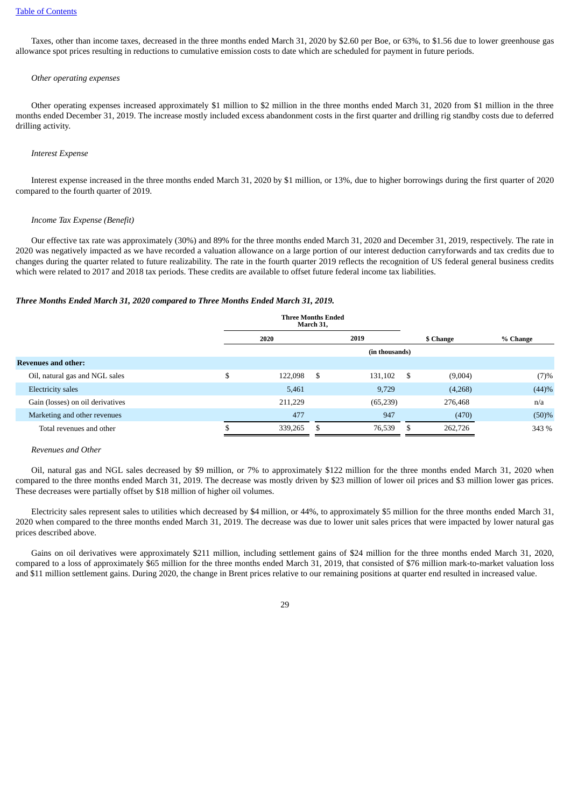Taxes, other than income taxes, decreased in the three months ended March 31, 2020 by \$2.60 per Boe, or 63%, to \$1.56 due to lower greenhouse gas allowance spot prices resulting in reductions to cumulative emission costs to date which are scheduled for payment in future periods.

# *Other operating expenses*

Other operating expenses increased approximately \$1 million to \$2 million in the three months ended March 31, 2020 from \$1 million in the three months ended December 31, 2019. The increase mostly included excess abandonment costs in the first quarter and drilling rig standby costs due to deferred drilling activity.

# *Interest Expense*

Interest expense increased in the three months ended March 31, 2020 by \$1 million, or 13%, due to higher borrowings during the first quarter of 2020 compared to the fourth quarter of 2019.

#### *Income Tax Expense (Benefit)*

Our effective tax rate was approximately (30%) and 89% for the three months ended March 31, 2020 and December 31, 2019, respectively. The rate in 2020 was negatively impacted as we have recorded a valuation allowance on a large portion of our interest deduction carryforwards and tax credits due to changes during the quarter related to future realizability. The rate in the fourth quarter 2019 reflects the recognition of US federal general business credits which were related to 2017 and 2018 tax periods. These credits are available to offset future federal income tax liabilities.

### *Three Months Ended March 31, 2020 compared to Three Months Ended March 31, 2019.*

|                                  |    | <b>Three Months Ended</b> | March 31, |                |     |           |          |
|----------------------------------|----|---------------------------|-----------|----------------|-----|-----------|----------|
|                                  |    | 2020                      |           | 2019           |     | \$ Change | % Change |
|                                  |    |                           |           | (in thousands) |     |           |          |
| <b>Revenues and other:</b>       |    |                           |           |                |     |           |          |
| Oil, natural gas and NGL sales   | J. | 122,098                   | - \$      | 131,102        | -\$ | (9,004)   | (7)%     |
| <b>Electricity sales</b>         |    | 5,461                     |           | 9,729          |     | (4,268)   | (44)%    |
| Gain (losses) on oil derivatives |    | 211,229                   |           | (65, 239)      |     | 276,468   | n/a      |
| Marketing and other revenues     |    | 477                       |           | 947            |     | (470)     | (50)%    |
| Total revenues and other         |    | 339,265                   |           | 76,539         | -55 | 262,726   | 343 %    |

#### *Revenues and Other*

Oil, natural gas and NGL sales decreased by \$9 million, or 7% to approximately \$122 million for the three months ended March 31, 2020 when compared to the three months ended March 31, 2019. The decrease was mostly driven by \$23 million of lower oil prices and \$3 million lower gas prices. These decreases were partially offset by \$18 million of higher oil volumes.

Electricity sales represent sales to utilities which decreased by \$4 million, or 44%, to approximately \$5 million for the three months ended March 31, 2020 when compared to the three months ended March 31, 2019. The decrease was due to lower unit sales prices that were impacted by lower natural gas prices described above.

Gains on oil derivatives were approximately \$211 million, including settlement gains of \$24 million for the three months ended March 31, 2020, compared to a loss of approximately \$65 million for the three months ended March 31, 2019, that consisted of \$76 million mark-to-market valuation loss and \$11 million settlement gains. During 2020, the change in Brent prices relative to our remaining positions at quarter end resulted in increased value.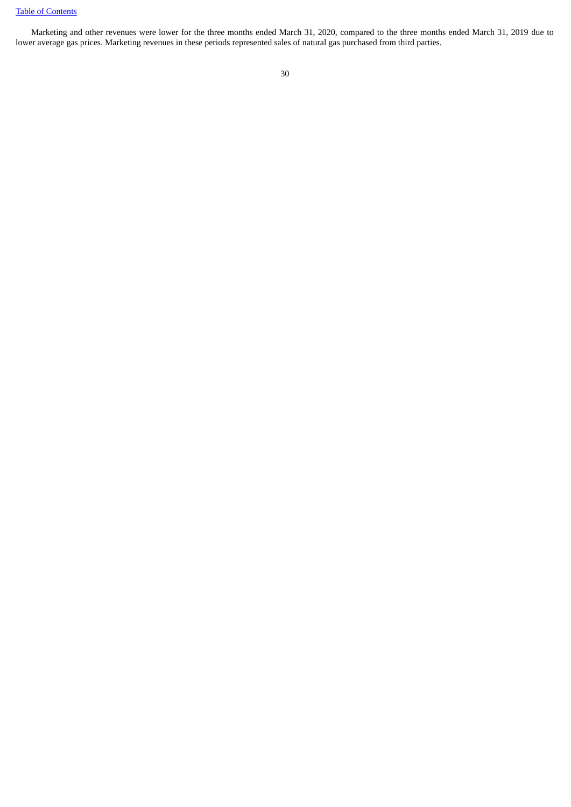# Table of [Contents](#page-1-0)

Marketing and other revenues were lower for the three months ended March 31, 2020, compared to the three months ended March 31, 2019 due to lower average gas prices. Marketing revenues in these periods represented sales of natural gas purchased from third parties.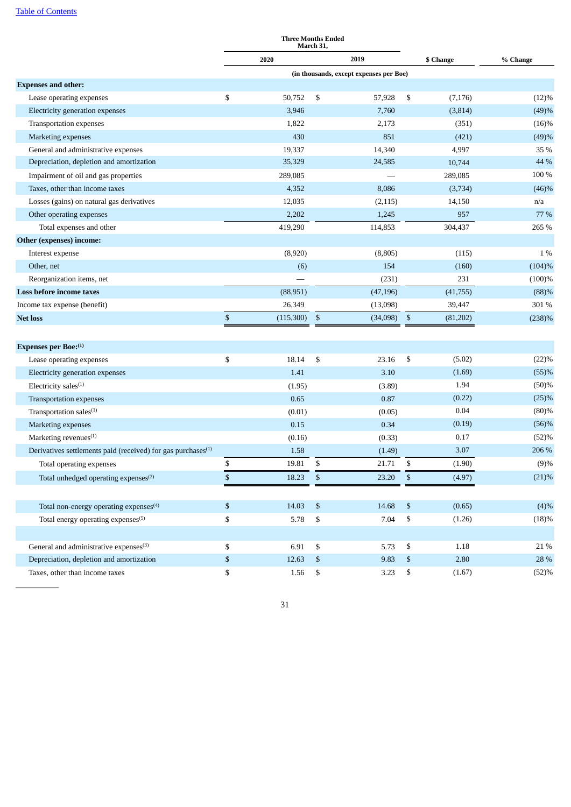$\overline{\phantom{a}}$  . The contract of  $\overline{\phantom{a}}$ 

|                                                                 |              | <b>Three Months Ended</b><br>March 31,  |                |           |                |                |                |
|-----------------------------------------------------------------|--------------|-----------------------------------------|----------------|-----------|----------------|----------------|----------------|
|                                                                 |              | 2020                                    |                | 2019      |                | \$ Change      | % Change       |
|                                                                 |              | (in thousands, except expenses per Boe) |                |           |                |                |                |
| <b>Expenses and other:</b>                                      |              |                                         |                |           |                |                |                |
| Lease operating expenses                                        | \$           | 50,752                                  | \$             | 57,928    | \$             | (7, 176)       | (12)%          |
| Electricity generation expenses                                 |              | 3,946                                   |                | 7,760     |                | (3,814)        | (49)%          |
| Transportation expenses                                         |              | 1,822                                   |                | 2,173     |                | (351)          | (16)%          |
| Marketing expenses                                              |              | 430                                     |                | 851       |                | (421)          | (49)%          |
| General and administrative expenses                             |              | 19,337                                  |                | 14,340    |                | 4,997          | 35 %           |
| Depreciation, depletion and amortization                        |              | 35,329                                  |                | 24,585    |                | 10,744         | 44 %           |
| Impairment of oil and gas properties                            |              | 289,085                                 |                |           |                | 289,085        | 100 %          |
| Taxes, other than income taxes                                  |              | 4,352                                   |                | 8,086     |                | (3,734)        | (46)%          |
| Losses (gains) on natural gas derivatives                       |              | 12,035                                  |                | (2, 115)  |                | 14,150         | n/a            |
| Other operating expenses                                        |              | 2,202                                   |                | 1,245     |                | 957            | 77 %           |
| Total expenses and other                                        |              | 419,290                                 |                | 114,853   |                | 304,437        | 265 %          |
| Other (expenses) income:                                        |              |                                         |                |           |                |                |                |
| Interest expense                                                |              | (8,920)                                 |                | (8, 805)  |                | (115)          | 1 %            |
| Other, net                                                      |              | (6)                                     |                | 154       |                | (160)          | (104)%         |
| Reorganization items, net                                       |              |                                         |                | (231)     |                | 231            | (100)%         |
| Loss before income taxes                                        |              | (88,951)                                |                | (47, 196) |                | (41, 755)      | (88)%          |
| Income tax expense (benefit)                                    |              | 26,349                                  |                | (13,098)  |                | 39,447         | 301 %          |
| <b>Net loss</b>                                                 | $\mathbb{S}$ | (115,300)                               | $\mathfrak{s}$ | (34,098)  | \$             | (81,202)       | (238)%         |
|                                                                 |              |                                         |                |           |                |                |                |
| <b>Expenses per Boe:</b> <sup>(1)</sup>                         |              |                                         |                | 23.16     | \$             | (5.02)         | (22)%          |
| Lease operating expenses                                        | \$           | 18.14                                   | \$             |           |                |                |                |
| Electricity generation expenses                                 |              | 1.41                                    |                | 3.10      |                | (1.69)<br>1.94 | (55)%          |
| Electricity sales <sup>(1)</sup>                                |              | (1.95)                                  |                | (3.89)    |                |                | (50)%          |
| <b>Transportation expenses</b>                                  |              | 0.65                                    |                | 0.87      |                | (0.22)<br>0.04 | (25)%          |
| Transportation sales <sup>(1)</sup>                             |              | (0.01)                                  |                | (0.05)    |                |                | (80)%          |
| Marketing expenses                                              |              | 0.15                                    |                | 0.34      |                | (0.19)<br>0.17 | (56)%          |
| Marketing revenues <sup>(1)</sup>                               |              | (0.16)                                  |                | (0.33)    |                | 3.07           | (52)%<br>206 % |
| Derivatives settlements paid (received) for gas purchases $(1)$ |              | 1.58                                    |                | (1.49)    |                |                |                |
| Total operating expenses                                        | \$           | 19.81                                   | \$             | 21.71     | \$             | (1.90)         | (9)%           |
| Total unhedged operating expenses <sup>(2)</sup>                | \$           | 18.23                                   | \$             | 23.20     | $\mathfrak{S}$ | (4.97)         | (21)%          |
| Total non-energy operating expenses <sup>(4)</sup>              | \$           | 14.03                                   | \$             | 14.68     | $\,$           | (0.65)         | (4)%           |
| Total energy operating expenses <sup>(5)</sup>                  | \$           | 5.78                                    | \$             | 7.04      | \$             | (1.26)         | (18)%          |
|                                                                 |              |                                         |                |           |                |                |                |
| General and administrative expenses <sup>(3)</sup>              | \$           | 6.91                                    | \$             | 5.73      | \$             | 1.18           | 21 %           |
| Depreciation, depletion and amortization                        | \$           | 12.63                                   | $\$$           | 9.83      | \$             | 2.80           | 28 %           |
| Taxes, other than income taxes                                  | \$           | 1.56                                    | \$             | 3.23      | \$             | (1.67)         | (52)%          |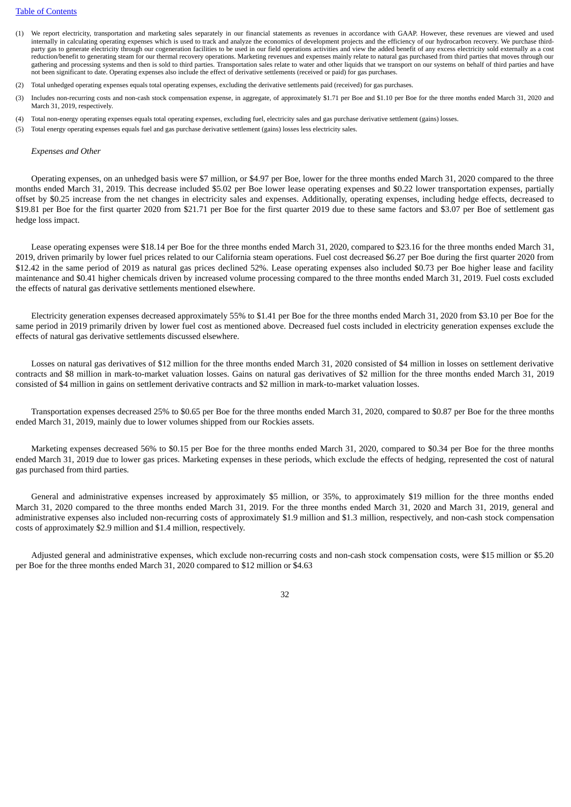#### Table of [Contents](#page-1-0)

- (1) We report electricity, transportation and marketing sales separately in our financial statements as revenues in accordance with GAAP. However, these revenues are viewed and used internally in calculating operating expenses which is used to track and analyze the economics of development projects and the efficiency of our hydrocarbon recovery. We purchase thirdparty gas to generate electricity through our cogeneration facilities to be used in our field operations activities and view the added benefit of any excess electricity sold externally as a cost reduction/benefit to generating steam for our thermal recovery operations. Marketing revenues and expenses mainly relate to natural gas purchased from third parties that moves through our gathering and processing systems and then is sold to third parties. Transportation sales relate to water and other liquids that we transport on our systems on behalf of third parties and have not been significant to date. Operating expenses also include the effect of derivative settlements (received or paid) for gas purchases.
- (2) Total unhedged operating expenses equals total operating expenses, excluding the derivative settlements paid (received) for gas purchases.
- (3) Includes non-recurring costs and non-cash stock compensation expense, in aggregate, of approximately \$1.71 per Boe and \$1.10 per Boe for the three months ended March 31, 2020 and March 31, 2019, respectively.
- (4) Total non-energy operating expenses equals total operating expenses, excluding fuel, electricity sales and gas purchase derivative settlement (gains) losses.
- (5) Total energy operating expenses equals fuel and gas purchase derivative settlement (gains) losses less electricity sales.

#### *Expenses and Other*

Operating expenses, on an unhedged basis were \$7 million, or \$4.97 per Boe, lower for the three months ended March 31, 2020 compared to the three months ended March 31, 2019. This decrease included \$5.02 per Boe lower lease operating expenses and \$0.22 lower transportation expenses, partially offset by \$0.25 increase from the net changes in electricity sales and expenses. Additionally, operating expenses, including hedge effects, decreased to \$19.81 per Boe for the first quarter 2020 from \$21.71 per Boe for the first quarter 2019 due to these same factors and \$3.07 per Boe of settlement gas hedge loss impact.

Lease operating expenses were \$18.14 per Boe for the three months ended March 31, 2020, compared to \$23.16 for the three months ended March 31, 2019, driven primarily by lower fuel prices related to our California steam operations. Fuel cost decreased \$6.27 per Boe during the first quarter 2020 from \$12.42 in the same period of 2019 as natural gas prices declined 52%. Lease operating expenses also included \$0.73 per Boe higher lease and facility maintenance and \$0.41 higher chemicals driven by increased volume processing compared to the three months ended March 31, 2019. Fuel costs excluded the effects of natural gas derivative settlements mentioned elsewhere.

Electricity generation expenses decreased approximately 55% to \$1.41 per Boe for the three months ended March 31, 2020 from \$3.10 per Boe for the same period in 2019 primarily driven by lower fuel cost as mentioned above. Decreased fuel costs included in electricity generation expenses exclude the effects of natural gas derivative settlements discussed elsewhere.

Losses on natural gas derivatives of \$12 million for the three months ended March 31, 2020 consisted of \$4 million in losses on settlement derivative contracts and \$8 million in mark-to-market valuation losses. Gains on natural gas derivatives of \$2 million for the three months ended March 31, 2019 consisted of \$4 million in gains on settlement derivative contracts and \$2 million in mark-to-market valuation losses.

Transportation expenses decreased 25% to \$0.65 per Boe for the three months ended March 31, 2020, compared to \$0.87 per Boe for the three months ended March 31, 2019, mainly due to lower volumes shipped from our Rockies assets.

Marketing expenses decreased 56% to \$0.15 per Boe for the three months ended March 31, 2020, compared to \$0.34 per Boe for the three months ended March 31, 2019 due to lower gas prices. Marketing expenses in these periods, which exclude the effects of hedging, represented the cost of natural gas purchased from third parties.

General and administrative expenses increased by approximately \$5 million, or 35%, to approximately \$19 million for the three months ended March 31, 2020 compared to the three months ended March 31, 2019. For the three months ended March 31, 2020 and March 31, 2019, general and administrative expenses also included non-recurring costs of approximately \$1.9 million and \$1.3 million, respectively, and non-cash stock compensation costs of approximately \$2.9 million and \$1.4 million, respectively.

Adjusted general and administrative expenses, which exclude non-recurring costs and non-cash stock compensation costs, were \$15 million or \$5.20 per Boe for the three months ended March 31, 2020 compared to \$12 million or \$4.63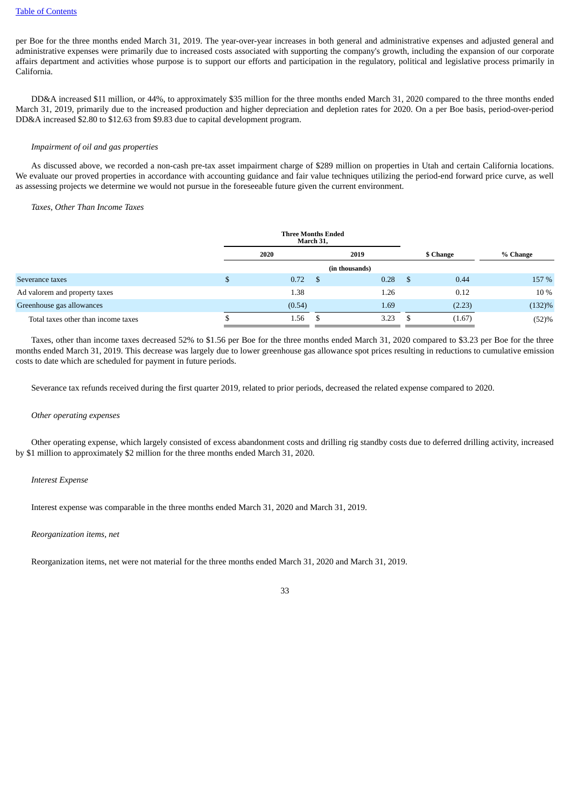per Boe for the three months ended March 31, 2019. The year-over-year increases in both general and administrative expenses and adjusted general and administrative expenses were primarily due to increased costs associated with supporting the company's growth, including the expansion of our corporate affairs department and activities whose purpose is to support our efforts and participation in the regulatory, political and legislative process primarily in California.

DD&A increased \$11 million, or 44%, to approximately \$35 million for the three months ended March 31, 2020 compared to the three months ended March 31, 2019, primarily due to the increased production and higher depreciation and depletion rates for 2020. On a per Boe basis, period-over-period DD&A increased \$2.80 to \$12.63 from \$9.83 due to capital development program.

### *Impairment of oil and gas properties*

As discussed above, we recorded a non-cash pre-tax asset impairment charge of \$289 million on properties in Utah and certain California locations. We evaluate our proved properties in accordance with accounting guidance and fair value techniques utilizing the period-end forward price curve, as well as assessing projects we determine we would not pursue in the foreseeable future given the current environment.

### *Taxes, Other Than Income Taxes*

|                                     | <b>Three Months Ended</b> | March 31, |                |      |           |          |
|-------------------------------------|---------------------------|-----------|----------------|------|-----------|----------|
|                                     | 2020                      |           | 2019           |      | \$ Change | % Change |
|                                     |                           |           | (in thousands) |      |           |          |
| Severance taxes                     | \$<br>0.72                | - \$      | 0.28           | - \$ | 0.44      | 157 %    |
| Ad valorem and property taxes       | 1.38                      |           | 1.26           |      | 0.12      | 10 %     |
| Greenhouse gas allowances           | (0.54)                    |           | 1.69           |      | (2.23)    | (132)%   |
| Total taxes other than income taxes | 1.56                      |           | 3.23           |      | (1.67)    | (52)%    |

Taxes, other than income taxes decreased 52% to \$1.56 per Boe for the three months ended March 31, 2020 compared to \$3.23 per Boe for the three months ended March 31, 2019. This decrease was largely due to lower greenhouse gas allowance spot prices resulting in reductions to cumulative emission costs to date which are scheduled for payment in future periods.

Severance tax refunds received during the first quarter 2019, related to prior periods, decreased the related expense compared to 2020.

### *Other operating expenses*

Other operating expense, which largely consisted of excess abandonment costs and drilling rig standby costs due to deferred drilling activity, increased by \$1 million to approximately \$2 million for the three months ended March 31, 2020.

### *Interest Expense*

Interest expense was comparable in the three months ended March 31, 2020 and March 31, 2019.

### *Reorganization items, net*

Reorganization items, net were not material for the three months ended March 31, 2020 and March 31, 2019.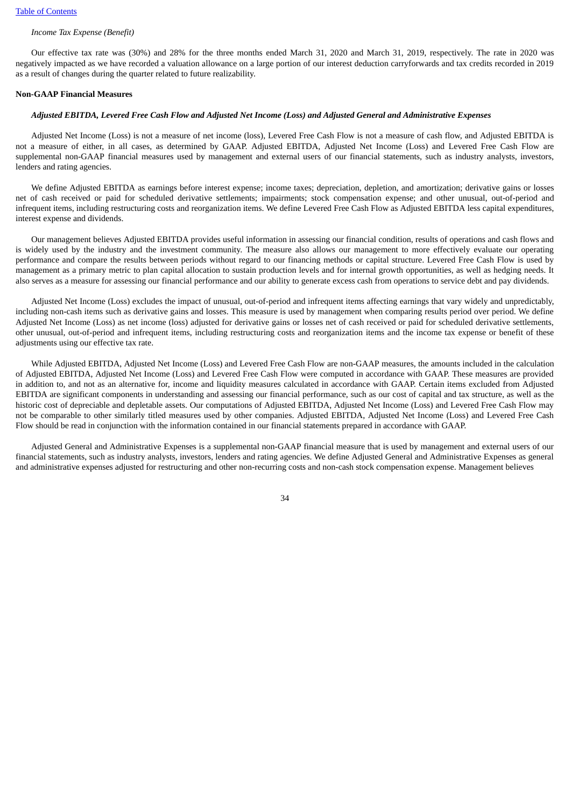# *Income Tax Expense (Benefit)*

Our effective tax rate was (30%) and 28% for the three months ended March 31, 2020 and March 31, 2019, respectively. The rate in 2020 was negatively impacted as we have recorded a valuation allowance on a large portion of our interest deduction carryforwards and tax credits recorded in 2019 as a result of changes during the quarter related to future realizability.

### **Non-GAAP Financial Measures**

### Adjusted EBITDA, Levered Free Cash Flow and Adjusted Net Income (Loss) and Adjusted General and Administrative Expenses

Adjusted Net Income (Loss) is not a measure of net income (loss), Levered Free Cash Flow is not a measure of cash flow, and Adjusted EBITDA is not a measure of either, in all cases, as determined by GAAP. Adjusted EBITDA, Adjusted Net Income (Loss) and Levered Free Cash Flow are supplemental non-GAAP financial measures used by management and external users of our financial statements, such as industry analysts, investors, lenders and rating agencies.

We define Adjusted EBITDA as earnings before interest expense; income taxes; depreciation, depletion, and amortization; derivative gains or losses net of cash received or paid for scheduled derivative settlements; impairments; stock compensation expense; and other unusual, out-of-period and infrequent items, including restructuring costs and reorganization items. We define Levered Free Cash Flow as Adjusted EBITDA less capital expenditures, interest expense and dividends.

Our management believes Adjusted EBITDA provides useful information in assessing our financial condition, results of operations and cash flows and is widely used by the industry and the investment community. The measure also allows our management to more effectively evaluate our operating performance and compare the results between periods without regard to our financing methods or capital structure. Levered Free Cash Flow is used by management as a primary metric to plan capital allocation to sustain production levels and for internal growth opportunities, as well as hedging needs. It also serves as a measure for assessing our financial performance and our ability to generate excess cash from operations to service debt and pay dividends.

Adjusted Net Income (Loss) excludes the impact of unusual, out-of-period and infrequent items affecting earnings that vary widely and unpredictably, including non-cash items such as derivative gains and losses. This measure is used by management when comparing results period over period. We define Adjusted Net Income (Loss) as net income (loss) adjusted for derivative gains or losses net of cash received or paid for scheduled derivative settlements, other unusual, out-of-period and infrequent items, including restructuring costs and reorganization items and the income tax expense or benefit of these adjustments using our effective tax rate.

While Adjusted EBITDA, Adjusted Net Income (Loss) and Levered Free Cash Flow are non-GAAP measures, the amounts included in the calculation of Adjusted EBITDA, Adjusted Net Income (Loss) and Levered Free Cash Flow were computed in accordance with GAAP. These measures are provided in addition to, and not as an alternative for, income and liquidity measures calculated in accordance with GAAP. Certain items excluded from Adjusted EBITDA are significant components in understanding and assessing our financial performance, such as our cost of capital and tax structure, as well as the historic cost of depreciable and depletable assets. Our computations of Adjusted EBITDA, Adjusted Net Income (Loss) and Levered Free Cash Flow may not be comparable to other similarly titled measures used by other companies. Adjusted EBITDA, Adjusted Net Income (Loss) and Levered Free Cash Flow should be read in conjunction with the information contained in our financial statements prepared in accordance with GAAP.

Adjusted General and Administrative Expenses is a supplemental non-GAAP financial measure that is used by management and external users of our financial statements, such as industry analysts, investors, lenders and rating agencies. We define Adjusted General and Administrative Expenses as general and administrative expenses adjusted for restructuring and other non-recurring costs and non-cash stock compensation expense. Management believes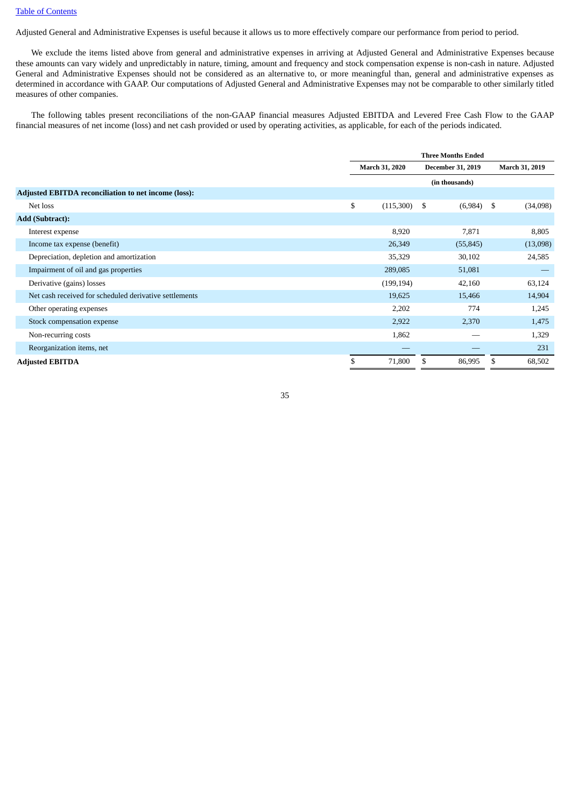# Table of [Contents](#page-1-0)

Adjusted General and Administrative Expenses is useful because it allows us to more effectively compare our performance from period to period.

We exclude the items listed above from general and administrative expenses in arriving at Adjusted General and Administrative Expenses because these amounts can vary widely and unpredictably in nature, timing, amount and frequency and stock compensation expense is non-cash in nature. Adjusted General and Administrative Expenses should not be considered as an alternative to, or more meaningful than, general and administrative expenses as determined in accordance with GAAP. Our computations of Adjusted General and Administrative Expenses may not be comparable to other similarly titled measures of other companies.

The following tables present reconciliations of the non-GAAP financial measures Adjusted EBITDA and Levered Free Cash Flow to the GAAP financial measures of net income (loss) and net cash provided or used by operating activities, as applicable, for each of the periods indicated.

|                                                             | <b>Three Months Ended</b> |                       |                          |           |                |          |  |
|-------------------------------------------------------------|---------------------------|-----------------------|--------------------------|-----------|----------------|----------|--|
|                                                             |                           | <b>March 31, 2020</b> | <b>December 31, 2019</b> |           | March 31, 2019 |          |  |
|                                                             |                           |                       |                          |           |                |          |  |
| <b>Adjusted EBITDA reconciliation to net income (loss):</b> |                           |                       |                          |           |                |          |  |
| Net loss                                                    | \$                        | $(115,300)$ \$        |                          | (6,984)   | -\$            | (34,098) |  |
| <b>Add (Subtract):</b>                                      |                           |                       |                          |           |                |          |  |
| Interest expense                                            |                           | 8,920                 |                          | 7,871     |                | 8,805    |  |
| Income tax expense (benefit)                                |                           | 26,349                |                          | (55, 845) |                | (13,098) |  |
| Depreciation, depletion and amortization                    |                           | 35,329                |                          | 30,102    |                | 24,585   |  |
| Impairment of oil and gas properties                        |                           | 289,085               |                          | 51,081    |                |          |  |
| Derivative (gains) losses                                   |                           | (199, 194)            |                          | 42,160    |                | 63,124   |  |
| Net cash received for scheduled derivative settlements      |                           | 19,625                |                          | 15,466    |                | 14,904   |  |
| Other operating expenses                                    |                           | 2,202                 |                          | 774       |                | 1,245    |  |
| Stock compensation expense                                  |                           | 2,922                 |                          | 2,370     |                | 1,475    |  |
| Non-recurring costs                                         |                           | 1,862                 |                          |           |                | 1,329    |  |
| Reorganization items, net                                   |                           |                       |                          |           |                | 231      |  |
| <b>Adjusted EBITDA</b>                                      | \$                        | 71,800                | S                        | 86,995    | \$             | 68,502   |  |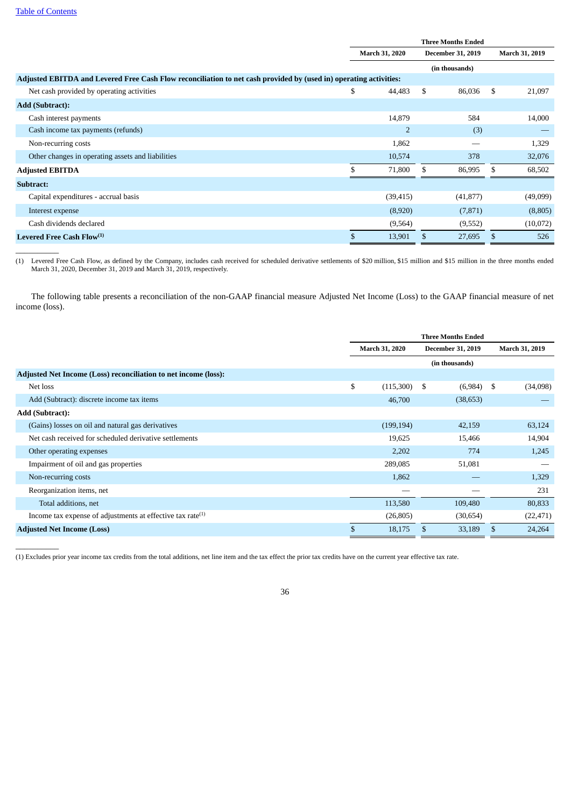$\overline{\phantom{a}}$  . The contract of  $\overline{\phantom{a}}$ 

 $\overline{\phantom{a}}$  . The contract of  $\overline{\phantom{a}}$ 

|                                                                                                                   | <b>Three Months Ended</b>                         |                |    |                |     |          |
|-------------------------------------------------------------------------------------------------------------------|---------------------------------------------------|----------------|----|----------------|-----|----------|
|                                                                                                                   | <b>March 31, 2020</b><br><b>December 31, 2019</b> |                |    | March 31, 2019 |     |          |
|                                                                                                                   | (in thousands)                                    |                |    |                |     |          |
| Adjusted EBITDA and Levered Free Cash Flow reconciliation to net cash provided by (used in) operating activities: |                                                   |                |    |                |     |          |
| Net cash provided by operating activities                                                                         | S                                                 | 44,483         | \$ | 86,036         | \$  | 21,097   |
| <b>Add (Subtract):</b>                                                                                            |                                                   |                |    |                |     |          |
| Cash interest payments                                                                                            |                                                   | 14,879         |    | 584            |     | 14,000   |
| Cash income tax payments (refunds)                                                                                |                                                   | $\overline{2}$ |    | (3)            |     |          |
| Non-recurring costs                                                                                               |                                                   | 1,862          |    |                |     | 1,329    |
| Other changes in operating assets and liabilities                                                                 |                                                   | 10,574         |    | 378            |     | 32,076   |
| <b>Adjusted EBITDA</b>                                                                                            |                                                   | 71,800         | £. | 86,995         | \$. | 68,502   |
| Subtract:                                                                                                         |                                                   |                |    |                |     |          |
| Capital expenditures - accrual basis                                                                              |                                                   | (39, 415)      |    | (41, 877)      |     | (49,099) |
| Interest expense                                                                                                  |                                                   | (8,920)        |    | (7, 871)       |     | (8,805)  |
| Cash dividends declared                                                                                           |                                                   | (9, 564)       |    | (9,552)        |     | (10,072) |
| Levered Free Cash $Flow^{(1)}$                                                                                    | \$.                                               | 13,901         |    | 27,695         |     | 526      |

(1) Levered Free Cash Flow, as defined by the Company, includes cash received for scheduled derivative settlements of \$20 million, \$15 million and \$15 million in the three months ended March 31, 2020, December 31, 2019 and March 31, 2019, respectively.

The following table presents a reconciliation of the non-GAAP financial measure Adjusted Net Income (Loss) to the GAAP financial measure of net income (loss).

|                                                                 |    | <b>Three Months Ended</b> |                          |                |           |  |  |
|-----------------------------------------------------------------|----|---------------------------|--------------------------|----------------|-----------|--|--|
|                                                                 |    | <b>March 31, 2020</b>     | <b>December 31, 2019</b> | March 31, 2019 |           |  |  |
|                                                                 |    |                           |                          |                |           |  |  |
| Adjusted Net Income (Loss) reconciliation to net income (loss): |    |                           |                          |                |           |  |  |
| Net loss                                                        | \$ | (115,300)                 | (6,984)<br>-\$           | \$             | (34,098)  |  |  |
| Add (Subtract): discrete income tax items                       |    | 46,700                    | (38, 653)                |                |           |  |  |
| <b>Add (Subtract):</b>                                          |    |                           |                          |                |           |  |  |
| (Gains) losses on oil and natural gas derivatives               |    | (199, 194)                | 42,159                   |                | 63,124    |  |  |
| Net cash received for scheduled derivative settlements          |    | 19,625                    | 15,466                   |                | 14,904    |  |  |
| Other operating expenses                                        |    | 2,202                     | 774                      |                | 1,245     |  |  |
| Impairment of oil and gas properties                            |    | 289,085                   | 51,081                   |                |           |  |  |
| Non-recurring costs                                             |    | 1,862                     |                          |                | 1,329     |  |  |
| Reorganization items, net                                       |    | __                        |                          |                | 231       |  |  |
| Total additions, net                                            |    | 113,580                   | 109,480                  |                | 80,833    |  |  |
| Income tax expense of adjustments at effective tax rate $(1)$   |    | (26, 805)                 | (30,654)                 |                | (22, 471) |  |  |
| <b>Adjusted Net Income (Loss)</b>                               | S  | 18,175                    | 33,189                   | S              | 24,264    |  |  |
|                                                                 |    |                           |                          |                |           |  |  |

(1) Excludes prior year income tax credits from the total additions, net line item and the tax effect the prior tax credits have on the current year effective tax rate.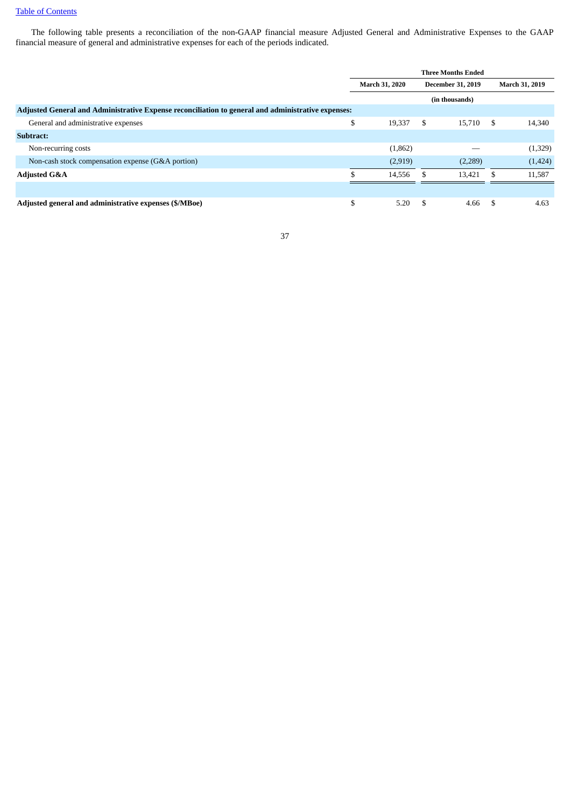# Table of [Contents](#page-1-0)

The following table presents a reconciliation of the non-GAAP financial measure Adjusted General and Administrative Expenses to the GAAP financial measure of general and administrative expenses for each of the periods indicated.

|                                                                                                    | <b>Three Months Ended</b>                         |         |     |                       |    |         |  |
|----------------------------------------------------------------------------------------------------|---------------------------------------------------|---------|-----|-----------------------|----|---------|--|
|                                                                                                    | <b>March 31, 2020</b><br><b>December 31, 2019</b> |         |     | <b>March 31, 2019</b> |    |         |  |
|                                                                                                    | (in thousands)                                    |         |     |                       |    |         |  |
| Adjusted General and Administrative Expense reconciliation to general and administrative expenses: |                                                   |         |     |                       |    |         |  |
| General and administrative expenses                                                                | \$                                                | 19,337  | \$  | 15.710                | \$ | 14,340  |  |
| Subtract:                                                                                          |                                                   |         |     |                       |    |         |  |
| Non-recurring costs                                                                                |                                                   | (1,862) |     |                       |    | (1,329) |  |
| Non-cash stock compensation expense (G&A portion)                                                  |                                                   | (2,919) |     | (2,289)               |    | (1,424) |  |
| <b>Adjusted G&amp;A</b>                                                                            |                                                   | 14,556  |     | 13,421                |    | 11,587  |  |
|                                                                                                    |                                                   |         |     |                       |    |         |  |
| Adjusted general and administrative expenses (\$/MBoe)                                             | \$                                                | 5.20    | -\$ | 4.66                  | -S | 4.63    |  |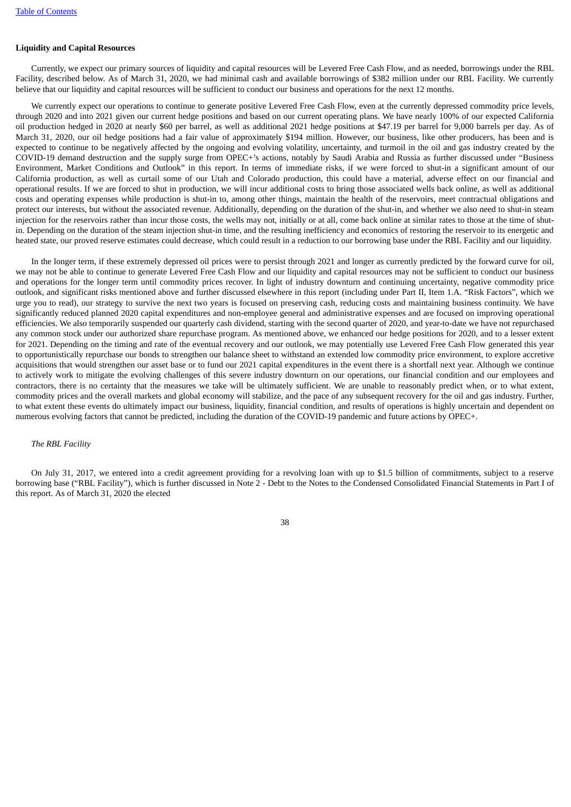# **Liquidity and Capital Resources**

Currently, we expect our primary sources of liquidity and capital resources will be Levered Free Cash Flow, and as needed, borrowings under the RBL Facility, described below. As of March 31, 2020, we had minimal cash and available borrowings of \$382 million under our RBL Facility. We currently believe that our liquidity and capital resources will be sufficient to conduct our business and operations for the next 12 months.

We currently expect our operations to continue to generate positive Levered Free Cash Flow, even at the currently depressed commodity price levels, through 2020 and into 2021 given our current hedge positions and based on our current operating plans. We have nearly 100% of our expected California oil production hedged in 2020 at nearly \$60 per barrel, as well as additional 2021 hedge positions at \$47.19 per barrel for 9,000 barrels per day. As of March 31, 2020, our oil hedge positions had a fair value of approximately \$194 million. However, our business, like other producers, has been and is expected to continue to be negatively affected by the ongoing and evolving volatility, uncertainty, and turmoil in the oil and gas industry created by the COVID-19 demand destruction and the supply surge from OPEC+'s actions, notably by Saudi Arabia and Russia as further discussed under "Business Environment, Market Conditions and Outlook" in this report. In terms of immediate risks, if we were forced to shut-in a significant amount of our California production, as well as curtail some of our Utah and Colorado production, this could have a material, adverse effect on our financial and operational results. If we are forced to shut in production, we will incur additional costs to bring those associated wells back online, as well as additional costs and operating expenses while production is shut-in to, among other things, maintain the health of the reservoirs, meet contractual obligations and protect our interests, but without the associated revenue. Additionally, depending on the duration of the shut-in, and whether we also need to shut-in steam injection for the reservoirs rather than incur those costs, the wells may not, initially or at all, come back online at similar rates to those at the time of shutin. Depending on the duration of the steam injection shut-in time, and the resulting inefficiency and economics of restoring the reservoir to its energetic and heated state, our proved reserve estimates could decrease, which could result in a reduction to our borrowing base under the RBL Facility and our liquidity.

In the longer term, if these extremely depressed oil prices were to persist through 2021 and longer as currently predicted by the forward curve for oil, we may not be able to continue to generate Levered Free Cash Flow and our liquidity and capital resources may not be sufficient to conduct our business and operations for the longer term until commodity prices recover. In light of industry downturn and continuing uncertainty, negative commodity price outlook, and significant risks mentioned above and further discussed elsewhere in this report (including under Part II, Item 1.A. "Risk Factors", which we urge you to read), our strategy to survive the next two years is focused on preserving cash, reducing costs and maintaining business continuity. We have significantly reduced planned 2020 capital expenditures and non-employee general and administrative expenses and are focused on improving operational efficiencies. We also temporarily suspended our quarterly cash dividend, starting with the second quarter of 2020, and year-to-date we have not repurchased any common stock under our authorized share repurchase program. As mentioned above, we enhanced our hedge positions for 2020, and to a lesser extent for 2021. Depending on the timing and rate of the eventual recovery and our outlook, we may potentially use Levered Free Cash Flow generated this year to opportunistically repurchase our bonds to strengthen our balance sheet to withstand an extended low commodity price environment, to explore accretive acquisitions that would strengthen our asset base or to fund our 2021 capital expenditures in the event there is a shortfall next year. Although we continue to actively work to mitigate the evolving challenges of this severe industry downturn on our operations, our financial condition and our employees and contractors, there is no certainty that the measures we take will be ultimately sufficient. We are unable to reasonably predict when, or to what extent, commodity prices and the overall markets and global economy will stabilize, and the pace of any subsequent recovery for the oil and gas industry. Further, to what extent these events do ultimately impact our business, liquidity, financial condition, and results of operations is highly uncertain and dependent on numerous evolving factors that cannot be predicted, including the duration of the COVID-19 pandemic and future actions by OPEC+.

# *The RBL Facility*

On July 31, 2017, we entered into a credit agreement providing for a revolving loan with up to \$1.5 billion of commitments, subject to a reserve borrowing base ("RBL Facility"), which is further discussed in Note 2 - Debt to the Notes to the Condensed Consolidated Financial Statements in Part I of this report. As of March 31, 2020 the elected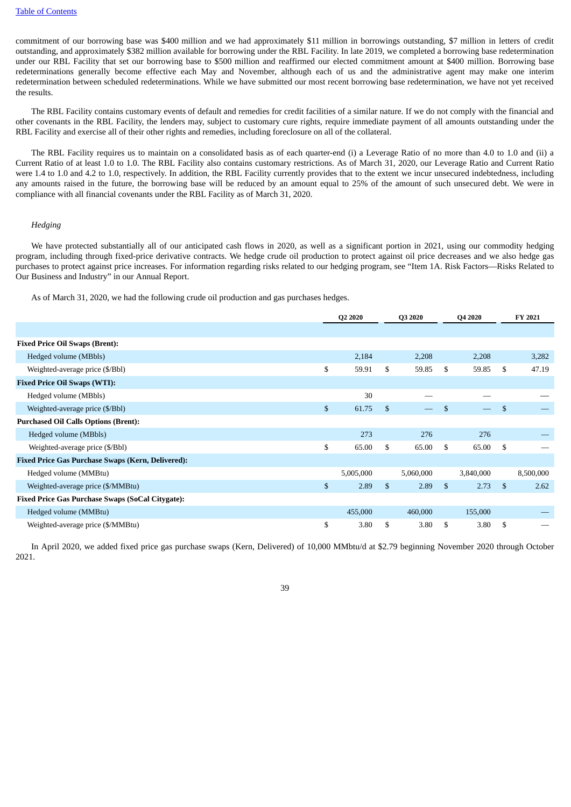commitment of our borrowing base was \$400 million and we had approximately \$11 million in borrowings outstanding, \$7 million in letters of credit outstanding, and approximately \$382 million available for borrowing under the RBL Facility. In late 2019, we completed a borrowing base redetermination under our RBL Facility that set our borrowing base to \$500 million and reaffirmed our elected commitment amount at \$400 million. Borrowing base redeterminations generally become effective each May and November, although each of us and the administrative agent may make one interim redetermination between scheduled redeterminations. While we have submitted our most recent borrowing base redetermination, we have not yet received the results.

The RBL Facility contains customary events of default and remedies for credit facilities of a similar nature. If we do not comply with the financial and other covenants in the RBL Facility, the lenders may, subject to customary cure rights, require immediate payment of all amounts outstanding under the RBL Facility and exercise all of their other rights and remedies, including foreclosure on all of the collateral.

The RBL Facility requires us to maintain on a consolidated basis as of each quarter-end (i) a Leverage Ratio of no more than 4.0 to 1.0 and (ii) a Current Ratio of at least 1.0 to 1.0. The RBL Facility also contains customary restrictions. As of March 31, 2020, our Leverage Ratio and Current Ratio were 1.4 to 1.0 and 4.2 to 1.0, respectively. In addition, the RBL Facility currently provides that to the extent we incur unsecured indebtedness, including any amounts raised in the future, the borrowing base will be reduced by an amount equal to 25% of the amount of such unsecured debt. We were in compliance with all financial covenants under the RBL Facility as of March 31, 2020.

#### *Hedging*

We have protected substantially all of our anticipated cash flows in 2020, as well as a significant portion in 2021, using our commodity hedging program, including through fixed-price derivative contracts. We hedge crude oil production to protect against oil price decreases and we also hedge gas purchases to protect against price increases. For information regarding risks related to our hedging program, see "Item 1A. Risk Factors—Risks Related to Our Business and Industry" in our Annual Report.

As of March 31, 2020, we had the following crude oil production and gas purchases hedges.

|                                                          |                | Q2 2020   |              | Q3 2020                  |              | Q4 2020   |                | FY 2021   |  |
|----------------------------------------------------------|----------------|-----------|--------------|--------------------------|--------------|-----------|----------------|-----------|--|
|                                                          |                |           |              |                          |              |           |                |           |  |
| <b>Fixed Price Oil Swaps (Brent):</b>                    |                |           |              |                          |              |           |                |           |  |
| Hedged volume (MBbls)                                    |                | 2,184     |              | 2,208                    |              | 2,208     |                | 3,282     |  |
| Weighted-average price (\$/Bbl)                          | \$             | 59.91     | \$           | 59.85                    | \$           | 59.85     | \$             | 47.19     |  |
| <b>Fixed Price Oil Swaps (WTI):</b>                      |                |           |              |                          |              |           |                |           |  |
| Hedged volume (MBbls)                                    |                | 30        |              |                          |              |           |                |           |  |
| Weighted-average price (\$/Bbl)                          | \$             | 61.75     | $\mathbb{S}$ | $\overline{\phantom{0}}$ | \$           |           | $\mathfrak{S}$ |           |  |
| <b>Purchased Oil Calls Options (Brent):</b>              |                |           |              |                          |              |           |                |           |  |
| Hedged volume (MBbls)                                    |                | 273       |              | 276                      |              | 276       |                |           |  |
| Weighted-average price (\$/Bbl)                          | \$             | 65.00     | \$           | 65.00                    | \$           | 65.00     | $\mathfrak{S}$ |           |  |
| <b>Fixed Price Gas Purchase Swaps (Kern, Delivered):</b> |                |           |              |                          |              |           |                |           |  |
| Hedged volume (MMBtu)                                    |                | 5,005,000 |              | 5,060,000                |              | 3,840,000 |                | 8,500,000 |  |
| Weighted-average price (\$/MMBtu)                        | $\mathfrak{S}$ | 2.89      | $\mathbb{S}$ | 2.89                     | $\mathbb{S}$ | 2.73      | $\mathbb{S}$   | 2.62      |  |
| <b>Fixed Price Gas Purchase Swaps (SoCal Citygate):</b>  |                |           |              |                          |              |           |                |           |  |
| Hedged volume (MMBtu)                                    |                | 455,000   |              | 460,000                  |              | 155,000   |                |           |  |
| Weighted-average price (\$/MMBtu)                        | \$             | 3.80      | \$           | 3.80                     | \$           | 3.80      | \$             |           |  |

In April 2020, we added fixed price gas purchase swaps (Kern, Delivered) of 10,000 MMbtu/d at \$2.79 beginning November 2020 through October 2021.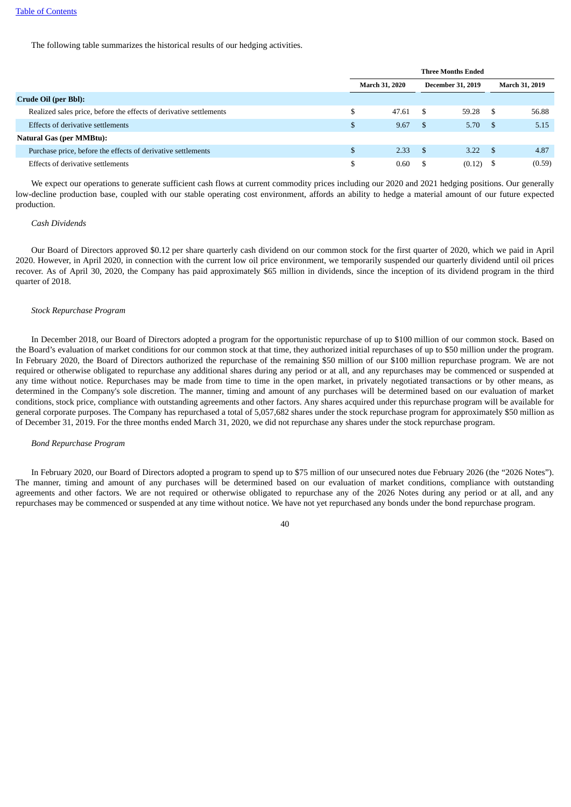The following table summarizes the historical results of our hedging activities.

|                                                                    | <b>Three Months Ended</b> |       |                          |        |                       |        |  |
|--------------------------------------------------------------------|---------------------------|-------|--------------------------|--------|-----------------------|--------|--|
|                                                                    | <b>March 31, 2020</b>     |       | <b>December 31, 2019</b> |        | <b>March 31, 2019</b> |        |  |
| Crude Oil (per Bbl):                                               |                           |       |                          |        |                       |        |  |
| Realized sales price, before the effects of derivative settlements |                           | 47.61 | - S                      | 59.28  | -S                    | 56.88  |  |
| <b>Effects of derivative settlements</b>                           | \$                        | 9.67  | - \$                     | 5.70   | - \$                  | 5.15   |  |
| <b>Natural Gas (per MMBtu):</b>                                    |                           |       |                          |        |                       |        |  |
| Purchase price, before the effects of derivative settlements       | \$                        | 2.33  | - \$                     | 3.22   | - \$                  | 4.87   |  |
| Effects of derivative settlements                                  | \$                        | 0.60  |                          | (0.12) | - 5                   | (0.59) |  |

We expect our operations to generate sufficient cash flows at current commodity prices including our 2020 and 2021 hedging positions. Our generally low-decline production base, coupled with our stable operating cost environment, affords an ability to hedge a material amount of our future expected production.

## *Cash Dividends*

Our Board of Directors approved \$0.12 per share quarterly cash dividend on our common stock for the first quarter of 2020, which we paid in April 2020. However, in April 2020, in connection with the current low oil price environment, we temporarily suspended our quarterly dividend until oil prices recover. As of April 30, 2020, the Company has paid approximately \$65 million in dividends, since the inception of its dividend program in the third quarter of 2018.

#### *Stock Repurchase Program*

In December 2018, our Board of Directors adopted a program for the opportunistic repurchase of up to \$100 million of our common stock. Based on the Board's evaluation of market conditions for our common stock at that time, they authorized initial repurchases of up to \$50 million under the program. In February 2020, the Board of Directors authorized the repurchase of the remaining \$50 million of our \$100 million repurchase program. We are not required or otherwise obligated to repurchase any additional shares during any period or at all, and any repurchases may be commenced or suspended at any time without notice. Repurchases may be made from time to time in the open market, in privately negotiated transactions or by other means, as determined in the Company's sole discretion. The manner, timing and amount of any purchases will be determined based on our evaluation of market conditions, stock price, compliance with outstanding agreements and other factors. Any shares acquired under this repurchase program will be available for general corporate purposes. The Company has repurchased a total of 5,057,682 shares under the stock repurchase program for approximately \$50 million as of December 31, 2019. For the three months ended March 31, 2020, we did not repurchase any shares under the stock repurchase program.

#### *Bond Repurchase Program*

In February 2020, our Board of Directors adopted a program to spend up to \$75 million of our unsecured notes due February 2026 (the "2026 Notes"). The manner, timing and amount of any purchases will be determined based on our evaluation of market conditions, compliance with outstanding agreements and other factors. We are not required or otherwise obligated to repurchase any of the 2026 Notes during any period or at all, and any repurchases may be commenced or suspended at any time without notice. We have not yet repurchased any bonds under the bond repurchase program.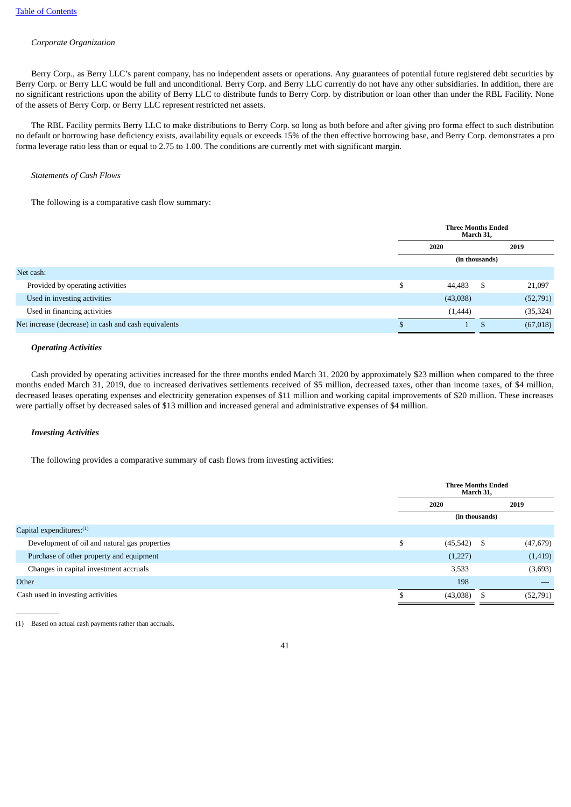# *Corporate Organization*

Berry Corp., as Berry LLC's parent company, has no independent assets or operations. Any guarantees of potential future registered debt securities by Berry Corp. or Berry LLC would be full and unconditional. Berry Corp. and Berry LLC currently do not have any other subsidiaries. In addition, there are no significant restrictions upon the ability of Berry LLC to distribute funds to Berry Corp. by distribution or loan other than under the RBL Facility. None of the assets of Berry Corp. or Berry LLC represent restricted net assets.

The RBL Facility permits Berry LLC to make distributions to Berry Corp. so long as both before and after giving pro forma effect to such distribution no default or borrowing base deficiency exists, availability equals or exceeds 15% of the then effective borrowing base, and Berry Corp. demonstrates a pro forma leverage ratio less than or equal to 2.75 to 1.00. The conditions are currently met with significant margin.

### *Statements of Cash Flows*

The following is a comparative cash flow summary:

|                                                      |    | <b>Three Months Ended</b><br>March 31, |                |           |  |  |
|------------------------------------------------------|----|----------------------------------------|----------------|-----------|--|--|
|                                                      |    | 2020                                   |                | 2019      |  |  |
|                                                      |    |                                        | (in thousands) |           |  |  |
| Net cash:                                            |    |                                        |                |           |  |  |
| Provided by operating activities                     | \$ | 44,483                                 | - S            | 21,097    |  |  |
| Used in investing activities                         |    | (43,038)                               |                | (52, 791) |  |  |
| Used in financing activities                         |    | (1,444)                                |                | (35, 324) |  |  |
| Net increase (decrease) in cash and cash equivalents | æ  |                                        | - \$           | (67,018)  |  |  |

### *Operating Activities*

Cash provided by operating activities increased for the three months ended March 31, 2020 by approximately \$23 million when compared to the three months ended March 31, 2019, due to increased derivatives settlements received of \$5 million, decreased taxes, other than income taxes, of \$4 million, decreased leases operating expenses and electricity generation expenses of \$11 million and working capital improvements of \$20 million. These increases were partially offset by decreased sales of \$13 million and increased general and administrative expenses of \$4 million.

### *Investing Activities*

The following provides a comparative summary of cash flows from investing activities:

|                                               | <b>Three Months Ended</b><br>March 31, |  |           |  |  |
|-----------------------------------------------|----------------------------------------|--|-----------|--|--|
|                                               | 2020                                   |  | 2019      |  |  |
|                                               | (in thousands)                         |  |           |  |  |
| Capital expenditures: $(1)$                   |                                        |  |           |  |  |
| Development of oil and natural gas properties | \$<br>$(45,542)$ \$                    |  | (47, 679) |  |  |
| Purchase of other property and equipment      | (1,227)                                |  | (1, 419)  |  |  |
| Changes in capital investment accruals        | 3,533                                  |  | (3,693)   |  |  |
| Other                                         | 198                                    |  |           |  |  |
| Cash used in investing activities             | (43,038)                               |  | (52,791)  |  |  |
|                                               |                                        |  |           |  |  |

(1) Based on actual cash payments rather than accruals.

 $\overline{\phantom{a}}$  . The contract of  $\overline{\phantom{a}}$ 

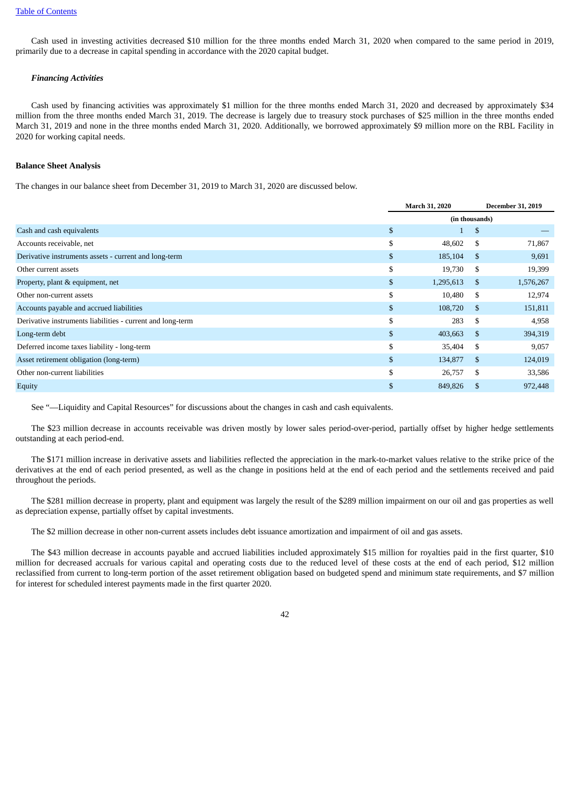Cash used in investing activities decreased \$10 million for the three months ended March 31, 2020 when compared to the same period in 2019, primarily due to a decrease in capital spending in accordance with the 2020 capital budget.

# *Financing Activities*

Cash used by financing activities was approximately \$1 million for the three months ended March 31, 2020 and decreased by approximately \$34 million from the three months ended March 31, 2019. The decrease is largely due to treasury stock purchases of \$25 million in the three months ended March 31, 2019 and none in the three months ended March 31, 2020. Additionally, we borrowed approximately \$9 million more on the RBL Facility in 2020 for working capital needs.

### **Balance Sheet Analysis**

The changes in our balance sheet from December 31, 2019 to March 31, 2020 are discussed below.

| <b>March 31, 2020</b> |    | <b>December 31, 2019</b> |  |  |
|-----------------------|----|--------------------------|--|--|
|                       |    |                          |  |  |
| \$                    | \$ |                          |  |  |
| \$<br>48,602          | \$ | 71,867                   |  |  |
| \$<br>185,104         | S. | 9,691                    |  |  |
| \$<br>19,730          | \$ | 19,399                   |  |  |
| \$<br>1,295,613       | S. | 1,576,267                |  |  |
| \$<br>10,480          | \$ | 12,974                   |  |  |
| \$<br>108,720         | S. | 151,811                  |  |  |
| \$<br>283             | \$ | 4,958                    |  |  |
| \$<br>403,663         | S. | 394,319                  |  |  |
| \$<br>35,404          | \$ | 9,057                    |  |  |
| \$<br>134,877         | S. | 124,019                  |  |  |
| \$<br>26,757          | \$ | 33,586                   |  |  |
| \$<br>849,826         | S  | 972,448                  |  |  |
|                       |    | (in thousands)           |  |  |

See "—Liquidity and Capital Resources" for discussions about the changes in cash and cash equivalents.

The \$23 million decrease in accounts receivable was driven mostly by lower sales period-over-period, partially offset by higher hedge settlements outstanding at each period-end.

The \$171 million increase in derivative assets and liabilities reflected the appreciation in the mark-to-market values relative to the strike price of the derivatives at the end of each period presented, as well as the change in positions held at the end of each period and the settlements received and paid throughout the periods.

The \$281 million decrease in property, plant and equipment was largely the result of the \$289 million impairment on our oil and gas properties as well as depreciation expense, partially offset by capital investments.

The \$2 million decrease in other non-current assets includes debt issuance amortization and impairment of oil and gas assets.

The \$43 million decrease in accounts payable and accrued liabilities included approximately \$15 million for royalties paid in the first quarter, \$10 million for decreased accruals for various capital and operating costs due to the reduced level of these costs at the end of each period, \$12 million reclassified from current to long-term portion of the asset retirement obligation based on budgeted spend and minimum state requirements, and \$7 million for interest for scheduled interest payments made in the first quarter 2020.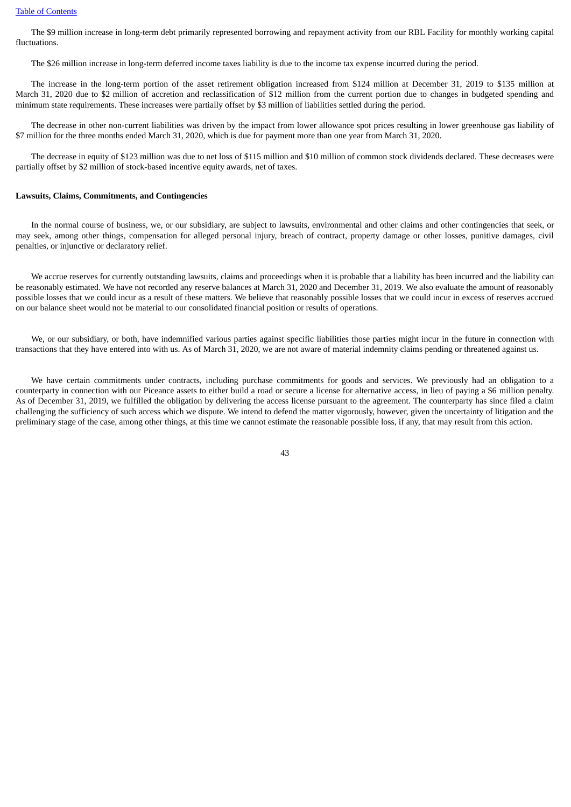The \$9 million increase in long-term debt primarily represented borrowing and repayment activity from our RBL Facility for monthly working capital fluctuations.

The \$26 million increase in long-term deferred income taxes liability is due to the income tax expense incurred during the period.

The increase in the long-term portion of the asset retirement obligation increased from \$124 million at December 31, 2019 to \$135 million at March 31, 2020 due to \$2 million of accretion and reclassification of \$12 million from the current portion due to changes in budgeted spending and minimum state requirements. These increases were partially offset by \$3 million of liabilities settled during the period.

The decrease in other non-current liabilities was driven by the impact from lower allowance spot prices resulting in lower greenhouse gas liability of \$7 million for the three months ended March 31, 2020, which is due for payment more than one year from March 31, 2020.

The decrease in equity of \$123 million was due to net loss of \$115 million and \$10 million of common stock dividends declared. These decreases were partially offset by \$2 million of stock-based incentive equity awards, net of taxes.

#### **Lawsuits, Claims, Commitments, and Contingencies**

In the normal course of business, we, or our subsidiary, are subject to lawsuits, environmental and other claims and other contingencies that seek, or may seek, among other things, compensation for alleged personal injury, breach of contract, property damage or other losses, punitive damages, civil penalties, or injunctive or declaratory relief.

We accrue reserves for currently outstanding lawsuits, claims and proceedings when it is probable that a liability has been incurred and the liability can be reasonably estimated. We have not recorded any reserve balances at March 31, 2020 and December 31, 2019. We also evaluate the amount of reasonably possible losses that we could incur as a result of these matters. We believe that reasonably possible losses that we could incur in excess of reserves accrued on our balance sheet would not be material to our consolidated financial position or results of operations.

We, or our subsidiary, or both, have indemnified various parties against specific liabilities those parties might incur in the future in connection with transactions that they have entered into with us. As of March 31, 2020, we are not aware of material indemnity claims pending or threatened against us.

We have certain commitments under contracts, including purchase commitments for goods and services. We previously had an obligation to a counterparty in connection with our Piceance assets to either build a road or secure a license for alternative access, in lieu of paying a \$6 million penalty. As of December 31, 2019, we fulfilled the obligation by delivering the access license pursuant to the agreement. The counterparty has since filed a claim challenging the sufficiency of such access which we dispute. We intend to defend the matter vigorously, however, given the uncertainty of litigation and the preliminary stage of the case, among other things, at this time we cannot estimate the reasonable possible loss, if any, that may result from this action.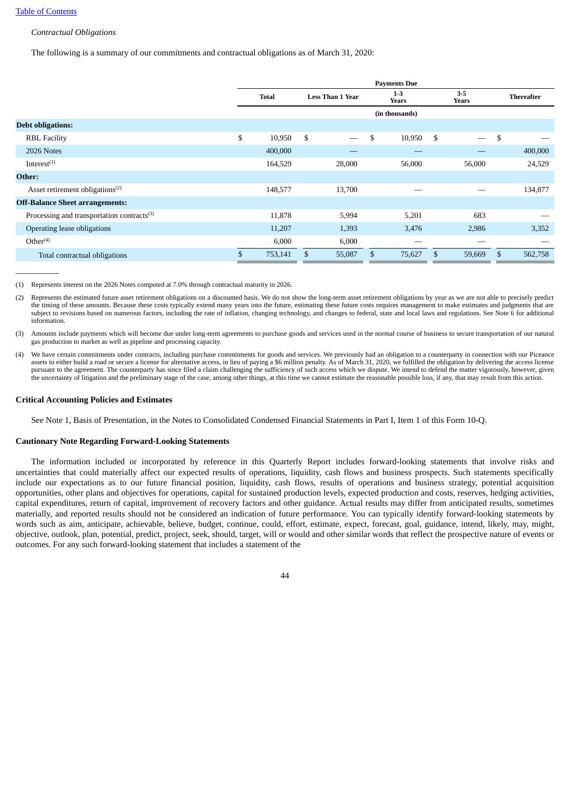$\overline{\phantom{a}}$  . The contract of  $\overline{\phantom{a}}$ 

# *Contractual Obligations*

The following is a summary of our commitments and contractual obligations as of March 31, 2020:

|                                               | <b>Payments Due</b> |    |                          |    |                       |    |                          |    |                   |  |
|-----------------------------------------------|---------------------|----|--------------------------|----|-----------------------|----|--------------------------|----|-------------------|--|
|                                               | <b>Total</b>        |    | <b>Less Than 1 Year</b>  |    | $1-3$<br><b>Years</b> |    | $3 - 5$<br><b>Years</b>  |    | <b>Thereafter</b> |  |
|                                               |                     |    |                          |    | (in thousands)        |    |                          |    |                   |  |
| <b>Debt obligations:</b>                      |                     |    |                          |    |                       |    |                          |    |                   |  |
| <b>RBL Facility</b>                           | \$<br>10,950        | \$ | $\overline{\phantom{m}}$ | \$ | 10,950                | \$ | $\overline{\phantom{m}}$ | \$ |                   |  |
| 2026 Notes                                    | 400,000             |    |                          |    |                       |    |                          |    | 400,000           |  |
| Interest $(1)$                                | 164,529             |    | 28,000                   |    | 56,000                |    | 56,000                   |    | 24,529            |  |
| Other:                                        |                     |    |                          |    |                       |    |                          |    |                   |  |
| Asset retirement obligations $(2)$            | 148,577             |    | 13,700                   |    |                       |    |                          |    | 134,877           |  |
| <b>Off-Balance Sheet arrangements:</b>        |                     |    |                          |    |                       |    |                          |    |                   |  |
| Processing and transportation contracts $(3)$ | 11,878              |    | 5,994                    |    | 5,201                 |    | 683                      |    |                   |  |
| Operating lease obligations                   | 11,207              |    | 1,393                    |    | 3,476                 |    | 2,986                    |    | 3,352             |  |
| Other <sup>(4)</sup>                          | 6,000               |    | 6,000                    |    |                       |    |                          |    |                   |  |
| Total contractual obligations                 | \$<br>753,141       | \$ | 55,087                   | \$ | 75,627                | \$ | 59,669                   | \$ | 562,758           |  |
|                                               |                     |    |                          |    |                       |    |                          |    |                   |  |

(1) Represents interest on the 2026 Notes computed at 7.0% through contractual maturity in 2026.

(2) Represents the estimated future asset retirement obligations on a discounted basis. We do not show the long-term asset retirement obligations by year as we are not able to precisely predict the timing of these amounts. Because these costs typically extend many years into the future, estimating these future costs requires management to make estimates and judgments that are subject to revisions based on numerous factors, including the rate of inflation, changing technology, and changes to federal, state and local laws and regulations. See Note 6 for additional information.

(3) Amounts include payments which will become due under long-term agreements to purchase goods and services used in the normal course of business to secure transportation of our natural gas production to market as well as pipeline and processing capacity.

(4) We have certain commitments under contracts, including purchase commitments for goods and services. We previously had an obligation to a counterparty in connection with our Piceance assets to either build a road or secure a license for alternative access, in lieu of paying a \$6 million penalty. As of March 31, 2020, we fulfilled the obligation by delivering the access license pursuant to the agreement. The counterparty has since filed a claim challenging the sufficiency of such access which we dispute. We intend to defend the matter vigorously, however, given the uncertainty of litigation and the preliminary stage of the case, among other things, at this time we cannot estimate the reasonable possible loss, if any, that may result from this action.

### **Critical Accounting Policies and Estimates**

See Note 1, Basis of Presentation, in the Notes to Consolidated Condensed Financial Statements in Part I, Item 1 of this Form 10-Q.

### **Cautionary Note Regarding Forward-Looking Statements**

The information included or incorporated by reference in this Quarterly Report includes forward-looking statements that involve risks and uncertainties that could materially affect our expected results of operations, liquidity, cash flows and business prospects. Such statements specifically include our expectations as to our future financial position, liquidity, cash flows, results of operations and business strategy, potential acquisition opportunities, other plans and objectives for operations, capital for sustained production levels, expected production and costs, reserves, hedging activities, capital expenditures, return of capital, improvement of recovery factors and other guidance. Actual results may differ from anticipated results, sometimes materially, and reported results should not be considered an indication of future performance. You can typically identify forward-looking statements by words such as aim, anticipate, achievable, believe, budget, continue, could, effort, estimate, expect, forecast, goal, guidance, intend, likely, may, might, objective, outlook, plan, potential, predict, project, seek, should, target, will or would and other similar words that reflect the prospective nature of events or outcomes. For any such forward-looking statement that includes a statement of the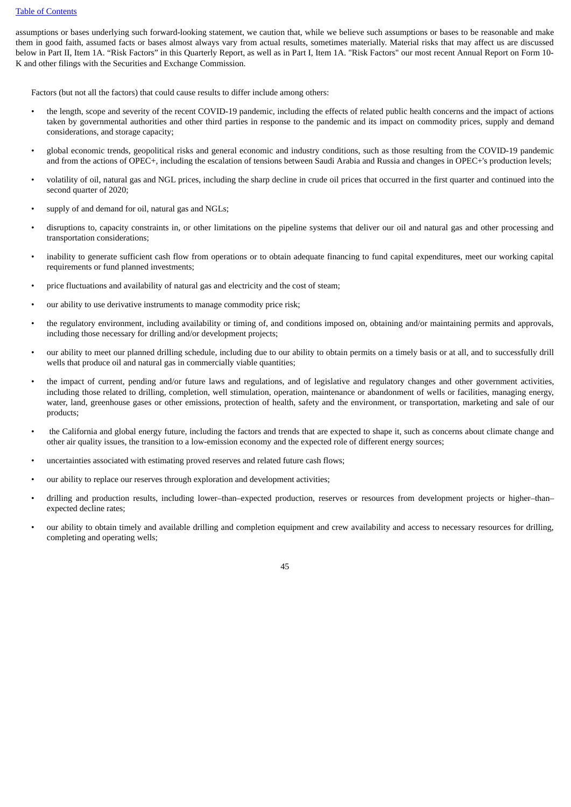# Table of [Contents](#page-1-0)

assumptions or bases underlying such forward-looking statement, we caution that, while we believe such assumptions or bases to be reasonable and make them in good faith, assumed facts or bases almost always vary from actual results, sometimes materially. Material risks that may affect us are discussed below in Part II, Item 1A. "Risk Factors" in this Quarterly Report, as well as in Part I, Item 1A. "Risk Factors" our most recent Annual Report on Form 10-K and other filings with the Securities and Exchange Commission.

Factors (but not all the factors) that could cause results to differ include among others:

- the length, scope and severity of the recent COVID-19 pandemic, including the effects of related public health concerns and the impact of actions taken by governmental authorities and other third parties in response to the pandemic and its impact on commodity prices, supply and demand considerations, and storage capacity;
- global economic trends, geopolitical risks and general economic and industry conditions, such as those resulting from the COVID-19 pandemic and from the actions of OPEC+, including the escalation of tensions between Saudi Arabia and Russia and changes in OPEC+'s production levels;
- volatility of oil, natural gas and NGL prices, including the sharp decline in crude oil prices that occurred in the first quarter and continued into the second quarter of 2020;
- supply of and demand for oil, natural gas and NGLs;
- disruptions to, capacity constraints in, or other limitations on the pipeline systems that deliver our oil and natural gas and other processing and transportation considerations;
- inability to generate sufficient cash flow from operations or to obtain adequate financing to fund capital expenditures, meet our working capital requirements or fund planned investments;
- price fluctuations and availability of natural gas and electricity and the cost of steam;
- our ability to use derivative instruments to manage commodity price risk;
- the regulatory environment, including availability or timing of, and conditions imposed on, obtaining and/or maintaining permits and approvals, including those necessary for drilling and/or development projects;
- our ability to meet our planned drilling schedule, including due to our ability to obtain permits on a timely basis or at all, and to successfully drill wells that produce oil and natural gas in commercially viable quantities;
- the impact of current, pending and/or future laws and regulations, and of legislative and regulatory changes and other government activities, including those related to drilling, completion, well stimulation, operation, maintenance or abandonment of wells or facilities, managing energy, water, land, greenhouse gases or other emissions, protection of health, safety and the environment, or transportation, marketing and sale of our products;
- the California and global energy future, including the factors and trends that are expected to shape it, such as concerns about climate change and other air quality issues, the transition to a low-emission economy and the expected role of different energy sources;
- uncertainties associated with estimating proved reserves and related future cash flows;
- our ability to replace our reserves through exploration and development activities;
- drilling and production results, including lower–than–expected production, reserves or resources from development projects or higher–than– expected decline rates;
- our ability to obtain timely and available drilling and completion equipment and crew availability and access to necessary resources for drilling, completing and operating wells;

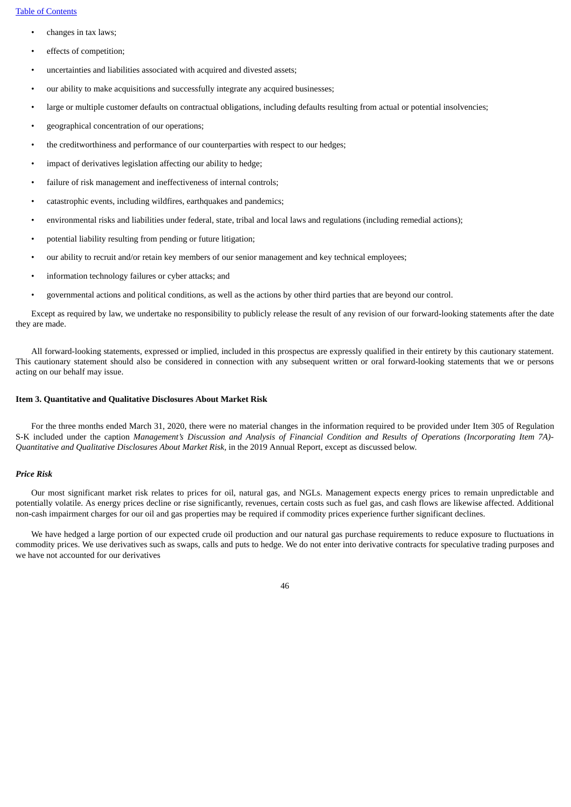- changes in tax laws;
- effects of competition;
- uncertainties and liabilities associated with acquired and divested assets;
- our ability to make acquisitions and successfully integrate any acquired businesses;
- large or multiple customer defaults on contractual obligations, including defaults resulting from actual or potential insolvencies;
- geographical concentration of our operations;
- the creditworthiness and performance of our counterparties with respect to our hedges;
- impact of derivatives legislation affecting our ability to hedge;
- failure of risk management and ineffectiveness of internal controls;
- catastrophic events, including wildfires, earthquakes and pandemics;
- environmental risks and liabilities under federal, state, tribal and local laws and regulations (including remedial actions);
- potential liability resulting from pending or future litigation;
- our ability to recruit and/or retain key members of our senior management and key technical employees;
- information technology failures or cyber attacks; and
- governmental actions and political conditions, as well as the actions by other third parties that are beyond our control.

Except as required by law, we undertake no responsibility to publicly release the result of any revision of our forward-looking statements after the date they are made.

All forward-looking statements, expressed or implied, included in this prospectus are expressly qualified in their entirety by this cautionary statement. This cautionary statement should also be considered in connection with any subsequent written or oral forward-looking statements that we or persons acting on our behalf may issue.

### <span id="page-47-0"></span>**Item 3. Quantitative and Qualitative Disclosures About Market Risk**

For the three months ended March 31, 2020, there were no material changes in the information required to be provided under Item 305 of Regulation S-K included under the caption Management's Discussion and Analysis of Financial Condition and Results of Operations (Incorporating Item 7A)-*Quantitative and Qualitative Disclosures About Market Risk,* in the 2019 Annual Report, except as discussed below.

# *Price Risk*

Our most significant market risk relates to prices for oil, natural gas, and NGLs. Management expects energy prices to remain unpredictable and potentially volatile. As energy prices decline or rise significantly, revenues, certain costs such as fuel gas, and cash flows are likewise affected. Additional non-cash impairment charges for our oil and gas properties may be required if commodity prices experience further significant declines.

We have hedged a large portion of our expected crude oil production and our natural gas purchase requirements to reduce exposure to fluctuations in commodity prices. We use derivatives such as swaps, calls and puts to hedge. We do not enter into derivative contracts for speculative trading purposes and we have not accounted for our derivatives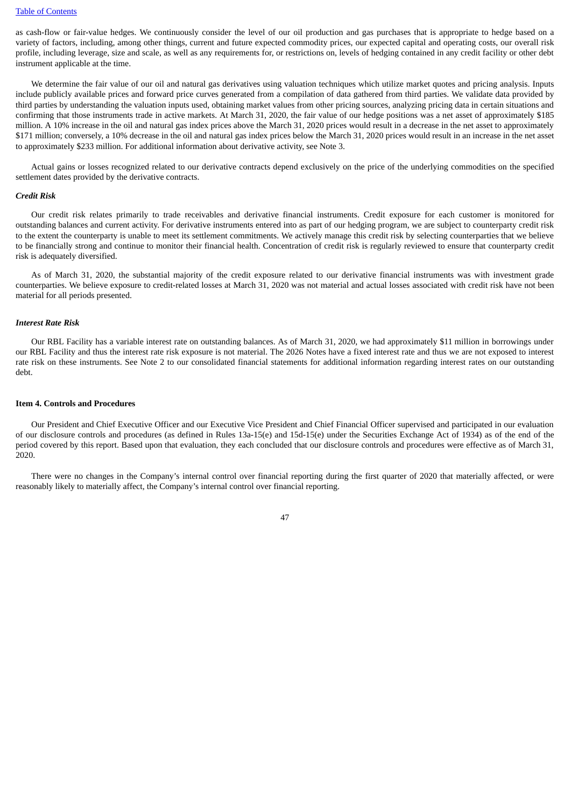#### Table of [Contents](#page-1-0)

as cash-flow or fair-value hedges. We continuously consider the level of our oil production and gas purchases that is appropriate to hedge based on a variety of factors, including, among other things, current and future expected commodity prices, our expected capital and operating costs, our overall risk profile, including leverage, size and scale, as well as any requirements for, or restrictions on, levels of hedging contained in any credit facility or other debt instrument applicable at the time.

We determine the fair value of our oil and natural gas derivatives using valuation techniques which utilize market quotes and pricing analysis. Inputs include publicly available prices and forward price curves generated from a compilation of data gathered from third parties. We validate data provided by third parties by understanding the valuation inputs used, obtaining market values from other pricing sources, analyzing pricing data in certain situations and confirming that those instruments trade in active markets. At March 31, 2020, the fair value of our hedge positions was a net asset of approximately \$185 million. A 10% increase in the oil and natural gas index prices above the March 31, 2020 prices would result in a decrease in the net asset to approximately \$171 million; conversely, a 10% decrease in the oil and natural gas index prices below the March 31, 2020 prices would result in an increase in the net asset to approximately \$233 million. For additional information about derivative activity, see Note 3.

Actual gains or losses recognized related to our derivative contracts depend exclusively on the price of the underlying commodities on the specified settlement dates provided by the derivative contracts.

#### *Credit Risk*

Our credit risk relates primarily to trade receivables and derivative financial instruments. Credit exposure for each customer is monitored for outstanding balances and current activity. For derivative instruments entered into as part of our hedging program, we are subject to counterparty credit risk to the extent the counterparty is unable to meet its settlement commitments. We actively manage this credit risk by selecting counterparties that we believe to be financially strong and continue to monitor their financial health. Concentration of credit risk is regularly reviewed to ensure that counterparty credit risk is adequately diversified.

As of March 31, 2020, the substantial majority of the credit exposure related to our derivative financial instruments was with investment grade counterparties. We believe exposure to credit-related losses at March 31, 2020 was not material and actual losses associated with credit risk have not been material for all periods presented.

# *Interest Rate Risk*

Our RBL Facility has a variable interest rate on outstanding balances. As of March 31, 2020, we had approximately \$11 million in borrowings under our RBL Facility and thus the interest rate risk exposure is not material. The 2026 Notes have a fixed interest rate and thus we are not exposed to interest rate risk on these instruments. See Note 2 to our consolidated financial statements for additional information regarding interest rates on our outstanding debt.

### <span id="page-48-0"></span>**Item 4. Controls and Procedures**

Our President and Chief Executive Officer and our Executive Vice President and Chief Financial Officer supervised and participated in our evaluation of our disclosure controls and procedures (as defined in Rules 13a-15(e) and 15d-15(e) under the Securities Exchange Act of 1934) as of the end of the period covered by this report. Based upon that evaluation, they each concluded that our disclosure controls and procedures were effective as of March 31, 2020.

There were no changes in the Company's internal control over financial reporting during the first quarter of 2020 that materially affected, or were reasonably likely to materially affect, the Company's internal control over financial reporting.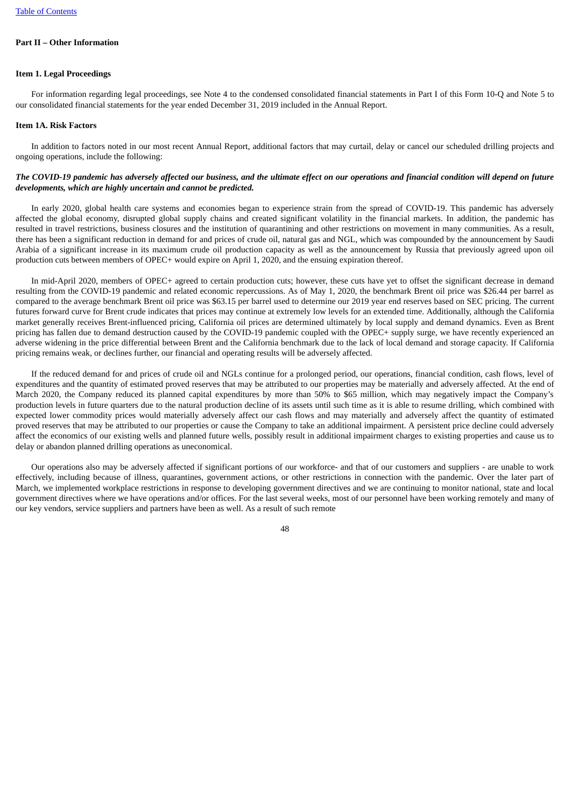## <span id="page-49-0"></span>**Part II – Other Information**

#### <span id="page-49-1"></span>**Item 1. Legal Proceedings**

For information regarding legal proceedings, see Note 4 to the condensed consolidated financial statements in Part I of this Form 10-Q and Note 5 to our consolidated financial statements for the year ended December 31, 2019 included in the Annual Report.

#### <span id="page-49-2"></span>**Item 1A. Risk Factors**

In addition to factors noted in our most recent Annual Report, additional factors that may curtail, delay or cancel our scheduled drilling projects and ongoing operations, include the following:

# The COVID-19 pandemic has adversely affected our business, and the ultimate effect on our operations and financial condition will depend on future *developments, which are highly uncertain and cannot be predicted.*

In early 2020, global health care systems and economies began to experience strain from the spread of COVID-19. This pandemic has adversely affected the global economy, disrupted global supply chains and created significant volatility in the financial markets. In addition, the pandemic has resulted in travel restrictions, business closures and the institution of quarantining and other restrictions on movement in many communities. As a result, there has been a significant reduction in demand for and prices of crude oil, natural gas and NGL, which was compounded by the announcement by Saudi Arabia of a significant increase in its maximum crude oil production capacity as well as the announcement by Russia that previously agreed upon oil production cuts between members of OPEC+ would expire on April 1, 2020, and the ensuing expiration thereof.

In mid-April 2020, members of OPEC+ agreed to certain production cuts; however, these cuts have yet to offset the significant decrease in demand resulting from the COVID-19 pandemic and related economic repercussions. As of May 1, 2020, the benchmark Brent oil price was \$26.44 per barrel as compared to the average benchmark Brent oil price was \$63.15 per barrel used to determine our 2019 year end reserves based on SEC pricing. The current futures forward curve for Brent crude indicates that prices may continue at extremely low levels for an extended time. Additionally, although the California market generally receives Brent-influenced pricing, California oil prices are determined ultimately by local supply and demand dynamics. Even as Brent pricing has fallen due to demand destruction caused by the COVID-19 pandemic coupled with the OPEC+ supply surge, we have recently experienced an adverse widening in the price differential between Brent and the California benchmark due to the lack of local demand and storage capacity. If California pricing remains weak, or declines further, our financial and operating results will be adversely affected.

If the reduced demand for and prices of crude oil and NGLs continue for a prolonged period, our operations, financial condition, cash flows, level of expenditures and the quantity of estimated proved reserves that may be attributed to our properties may be materially and adversely affected. At the end of March 2020, the Company reduced its planned capital expenditures by more than 50% to \$65 million, which may negatively impact the Company's production levels in future quarters due to the natural production decline of its assets until such time as it is able to resume drilling, which combined with expected lower commodity prices would materially adversely affect our cash flows and may materially and adversely affect the quantity of estimated proved reserves that may be attributed to our properties or cause the Company to take an additional impairment. A persistent price decline could adversely affect the economics of our existing wells and planned future wells, possibly result in additional impairment charges to existing properties and cause us to delay or abandon planned drilling operations as uneconomical.

Our operations also may be adversely affected if significant portions of our workforce- and that of our customers and suppliers - are unable to work effectively, including because of illness, quarantines, government actions, or other restrictions in connection with the pandemic. Over the later part of March, we implemented workplace restrictions in response to developing government directives and we are continuing to monitor national, state and local government directives where we have operations and/or offices. For the last several weeks, most of our personnel have been working remotely and many of our key vendors, service suppliers and partners have been as well. As a result of such remote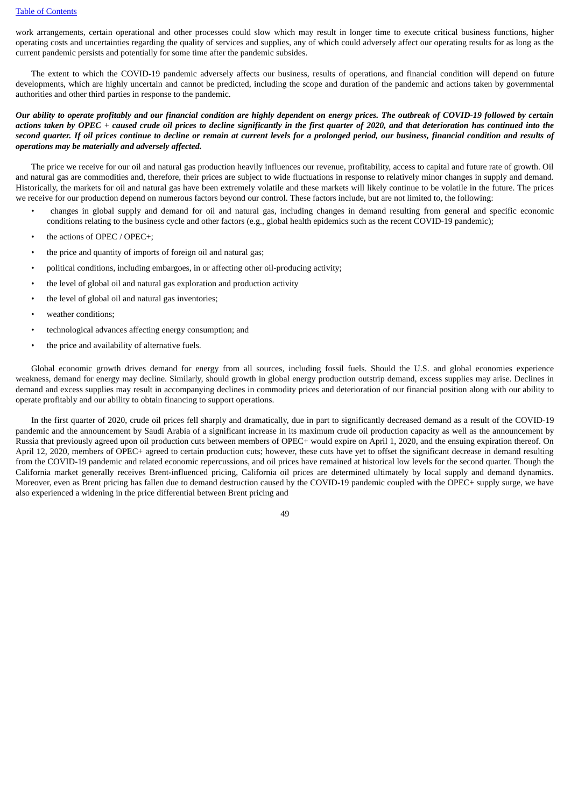work arrangements, certain operational and other processes could slow which may result in longer time to execute critical business functions, higher operating costs and uncertainties regarding the quality of services and supplies, any of which could adversely affect our operating results for as long as the current pandemic persists and potentially for some time after the pandemic subsides.

The extent to which the COVID-19 pandemic adversely affects our business, results of operations, and financial condition will depend on future developments, which are highly uncertain and cannot be predicted, including the scope and duration of the pandemic and actions taken by governmental authorities and other third parties in response to the pandemic.

# Our ability to operate profitably and our financial condition are highly dependent on energy prices. The outbreak of COVID-19 followed by certain actions taken by OPEC + caused crude oil prices to decline significantly in the first quarter of 2020, and that deterioration has continued into the second quarter. If oil prices continue to decline or remain at current levels for a prolonged period, our business, financial condition and results of *operations may be materially and adversely affected.*

The price we receive for our oil and natural gas production heavily influences our revenue, profitability, access to capital and future rate of growth. Oil and natural gas are commodities and, therefore, their prices are subject to wide fluctuations in response to relatively minor changes in supply and demand. Historically, the markets for oil and natural gas have been extremely volatile and these markets will likely continue to be volatile in the future. The prices we receive for our production depend on numerous factors beyond our control. These factors include, but are not limited to, the following:

- changes in global supply and demand for oil and natural gas, including changes in demand resulting from general and specific economic conditions relating to the business cycle and other factors (e.g., global health epidemics such as the recent COVID-19 pandemic);
- the actions of OPEC / OPEC+;
- the price and quantity of imports of foreign oil and natural gas;
- political conditions, including embargoes, in or affecting other oil-producing activity;
- the level of global oil and natural gas exploration and production activity
- the level of global oil and natural gas inventories;
- weather conditions;
- technological advances affecting energy consumption; and
- the price and availability of alternative fuels.

Global economic growth drives demand for energy from all sources, including fossil fuels. Should the U.S. and global economies experience weakness, demand for energy may decline. Similarly, should growth in global energy production outstrip demand, excess supplies may arise. Declines in demand and excess supplies may result in accompanying declines in commodity prices and deterioration of our financial position along with our ability to operate profitably and our ability to obtain financing to support operations.

In the first quarter of 2020, crude oil prices fell sharply and dramatically, due in part to significantly decreased demand as a result of the COVID-19 pandemic and the announcement by Saudi Arabia of a significant increase in its maximum crude oil production capacity as well as the announcement by Russia that previously agreed upon oil production cuts between members of OPEC+ would expire on April 1, 2020, and the ensuing expiration thereof. On April 12, 2020, members of OPEC+ agreed to certain production cuts; however, these cuts have yet to offset the significant decrease in demand resulting from the COVID-19 pandemic and related economic repercussions, and oil prices have remained at historical low levels for the second quarter. Though the California market generally receives Brent-influenced pricing, California oil prices are determined ultimately by local supply and demand dynamics. Moreover, even as Brent pricing has fallen due to demand destruction caused by the COVID-19 pandemic coupled with the OPEC+ supply surge, we have also experienced a widening in the price differential between Brent pricing and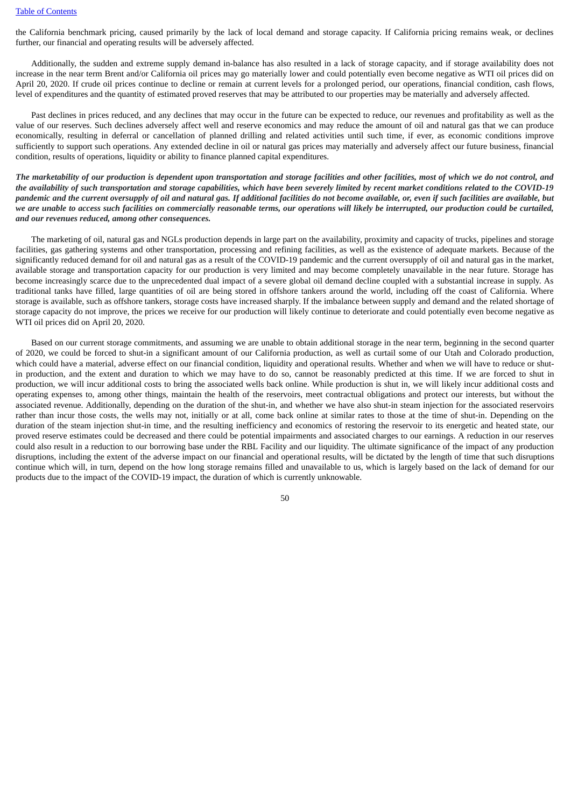the California benchmark pricing, caused primarily by the lack of local demand and storage capacity. If California pricing remains weak, or declines further, our financial and operating results will be adversely affected.

Additionally, the sudden and extreme supply demand in-balance has also resulted in a lack of storage capacity, and if storage availability does not increase in the near term Brent and/or California oil prices may go materially lower and could potentially even become negative as WTI oil prices did on April 20, 2020. If crude oil prices continue to decline or remain at current levels for a prolonged period, our operations, financial condition, cash flows, level of expenditures and the quantity of estimated proved reserves that may be attributed to our properties may be materially and adversely affected.

Past declines in prices reduced, and any declines that may occur in the future can be expected to reduce, our revenues and profitability as well as the value of our reserves. Such declines adversely affect well and reserve economics and may reduce the amount of oil and natural gas that we can produce economically, resulting in deferral or cancellation of planned drilling and related activities until such time, if ever, as economic conditions improve sufficiently to support such operations. Any extended decline in oil or natural gas prices may materially and adversely affect our future business, financial condition, results of operations, liquidity or ability to finance planned capital expenditures.

The marketability of our production is dependent upon transportation and storage facilities and other facilities, most of which we do not control, and the availability of such transportation and storage capabilities, which have been severely limited by recent market conditions related to the COVID-19 pandemic and the current oversupply of oil and natural gas. If additional facilities do not become available, or, even if such facilities are available, but we are unable to access such facilities on commercially reasonable terms, our operations will likely be interrupted, our production could be curtailed, *and our revenues reduced, among other consequences.*

The marketing of oil, natural gas and NGLs production depends in large part on the availability, proximity and capacity of trucks, pipelines and storage facilities, gas gathering systems and other transportation, processing and refining facilities, as well as the existence of adequate markets. Because of the significantly reduced demand for oil and natural gas as a result of the COVID-19 pandemic and the current oversupply of oil and natural gas in the market, available storage and transportation capacity for our production is very limited and may become completely unavailable in the near future. Storage has become increasingly scarce due to the unprecedented dual impact of a severe global oil demand decline coupled with a substantial increase in supply. As traditional tanks have filled, large quantities of oil are being stored in offshore tankers around the world, including off the coast of California. Where storage is available, such as offshore tankers, storage costs have increased sharply. If the imbalance between supply and demand and the related shortage of storage capacity do not improve, the prices we receive for our production will likely continue to deteriorate and could potentially even become negative as WTI oil prices did on April 20, 2020.

Based on our current storage commitments, and assuming we are unable to obtain additional storage in the near term, beginning in the second quarter of 2020, we could be forced to shut-in a significant amount of our California production, as well as curtail some of our Utah and Colorado production, which could have a material, adverse effect on our financial condition, liquidity and operational results. Whether and when we will have to reduce or shutin production, and the extent and duration to which we may have to do so, cannot be reasonably predicted at this time. If we are forced to shut in production, we will incur additional costs to bring the associated wells back online. While production is shut in, we will likely incur additional costs and operating expenses to, among other things, maintain the health of the reservoirs, meet contractual obligations and protect our interests, but without the associated revenue. Additionally, depending on the duration of the shut-in, and whether we have also shut-in steam injection for the associated reservoirs rather than incur those costs, the wells may not, initially or at all, come back online at similar rates to those at the time of shut-in. Depending on the duration of the steam injection shut-in time, and the resulting inefficiency and economics of restoring the reservoir to its energetic and heated state, our proved reserve estimates could be decreased and there could be potential impairments and associated charges to our earnings. A reduction in our reserves could also result in a reduction to our borrowing base under the RBL Facility and our liquidity. The ultimate significance of the impact of any production disruptions, including the extent of the adverse impact on our financial and operational results, will be dictated by the length of time that such disruptions continue which will, in turn, depend on the how long storage remains filled and unavailable to us, which is largely based on the lack of demand for our products due to the impact of the COVID-19 impact, the duration of which is currently unknowable.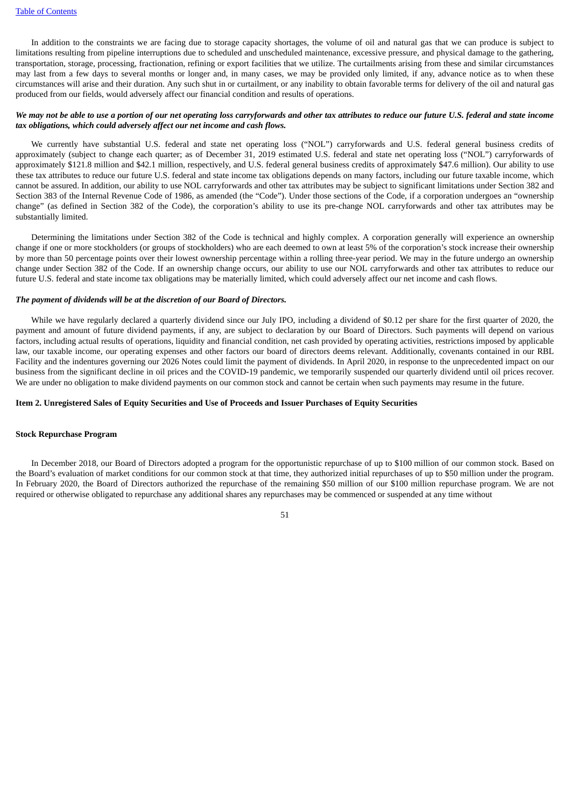In addition to the constraints we are facing due to storage capacity shortages, the volume of oil and natural gas that we can produce is subject to limitations resulting from pipeline interruptions due to scheduled and unscheduled maintenance, excessive pressure, and physical damage to the gathering, transportation, storage, processing, fractionation, refining or export facilities that we utilize. The curtailments arising from these and similar circumstances may last from a few days to several months or longer and, in many cases, we may be provided only limited, if any, advance notice as to when these circumstances will arise and their duration. Any such shut in or curtailment, or any inability to obtain favorable terms for delivery of the oil and natural gas produced from our fields, would adversely affect our financial condition and results of operations.

# We may not be able to use a portion of our net operating loss carryforwards and other tax attributes to reduce our future U.S. federal and state income *tax obligations, which could adversely affect our net income and cash flows.*

We currently have substantial U.S. federal and state net operating loss ("NOL") carryforwards and U.S. federal general business credits of approximately (subject to change each quarter; as of December 31, 2019 estimated U.S. federal and state net operating loss ("NOL") carryforwards of approximately \$121.8 million and \$42.1 million, respectively, and U.S. federal general business credits of approximately \$47.6 million). Our ability to use these tax attributes to reduce our future U.S. federal and state income tax obligations depends on many factors, including our future taxable income, which cannot be assured. In addition, our ability to use NOL carryforwards and other tax attributes may be subject to significant limitations under Section 382 and Section 383 of the Internal Revenue Code of 1986, as amended (the "Code"). Under those sections of the Code, if a corporation undergoes an "ownership change" (as defined in Section 382 of the Code), the corporation's ability to use its pre-change NOL carryforwards and other tax attributes may be substantially limited.

Determining the limitations under Section 382 of the Code is technical and highly complex. A corporation generally will experience an ownership change if one or more stockholders (or groups of stockholders) who are each deemed to own at least 5% of the corporation's stock increase their ownership by more than 50 percentage points over their lowest ownership percentage within a rolling three-year period. We may in the future undergo an ownership change under Section 382 of the Code. If an ownership change occurs, our ability to use our NOL carryforwards and other tax attributes to reduce our future U.S. federal and state income tax obligations may be materially limited, which could adversely affect our net income and cash flows.

# *The payment of dividends will be at the discretion of our Board of Directors.*

While we have regularly declared a quarterly dividend since our July IPO, including a dividend of \$0.12 per share for the first quarter of 2020, the payment and amount of future dividend payments, if any, are subject to declaration by our Board of Directors. Such payments will depend on various factors, including actual results of operations, liquidity and financial condition, net cash provided by operating activities, restrictions imposed by applicable law, our taxable income, our operating expenses and other factors our board of directors deems relevant. Additionally, covenants contained in our RBL Facility and the indentures governing our 2026 Notes could limit the payment of dividends. In April 2020, in response to the unprecedented impact on our business from the significant decline in oil prices and the COVID-19 pandemic, we temporarily suspended our quarterly dividend until oil prices recover. We are under no obligation to make dividend payments on our common stock and cannot be certain when such payments may resume in the future.

## <span id="page-52-0"></span>Item 2. Unregistered Sales of Equity Securities and Use of Proceeds and Issuer Purchases of Equity Securities

### **Stock Repurchase Program**

In December 2018, our Board of Directors adopted a program for the opportunistic repurchase of up to \$100 million of our common stock. Based on the Board's evaluation of market conditions for our common stock at that time, they authorized initial repurchases of up to \$50 million under the program. In February 2020, the Board of Directors authorized the repurchase of the remaining \$50 million of our \$100 million repurchase program. We are not required or otherwise obligated to repurchase any additional shares any repurchases may be commenced or suspended at any time without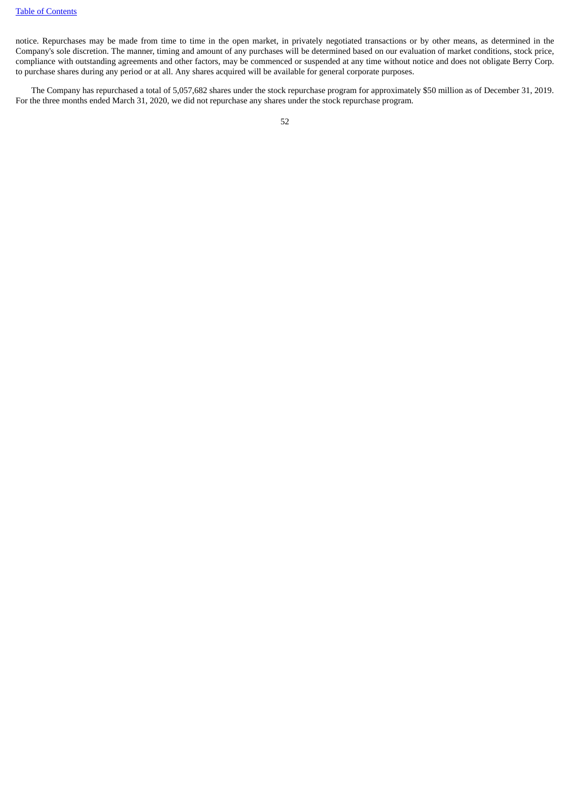notice. Repurchases may be made from time to time in the open market, in privately negotiated transactions or by other means, as determined in the Company's sole discretion. The manner, timing and amount of any purchases will be determined based on our evaluation of market conditions, stock price, compliance with outstanding agreements and other factors, may be commenced or suspended at any time without notice and does not obligate Berry Corp. to purchase shares during any period or at all. Any shares acquired will be available for general corporate purposes.

The Company has repurchased a total of 5,057,682 shares under the stock repurchase program for approximately \$50 million as of December 31, 2019. For the three months ended March 31, 2020, we did not repurchase any shares under the stock repurchase program.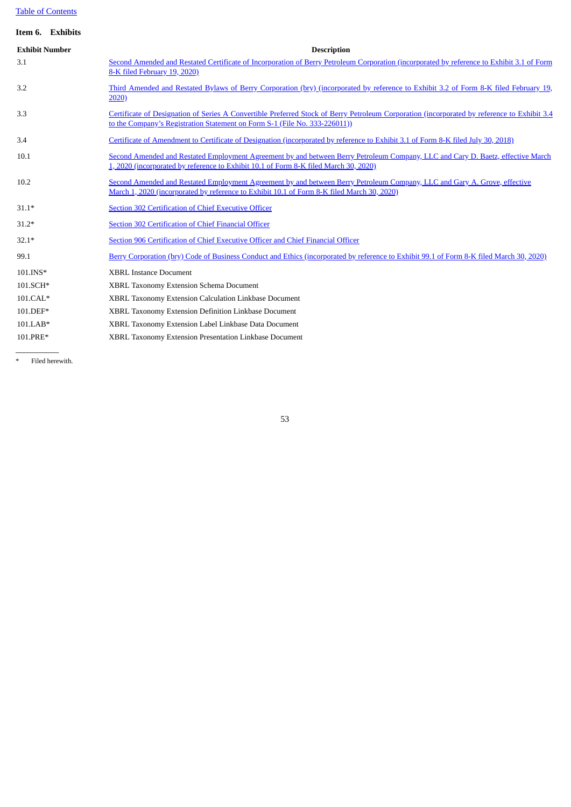# <span id="page-54-0"></span>Table of [Contents](#page-1-0)

# **Item 6. Exhibits**

| <b>Exhibit Number</b> | <b>Description</b>                                                                                                                                                                                                        |
|-----------------------|---------------------------------------------------------------------------------------------------------------------------------------------------------------------------------------------------------------------------|
| 3.1                   | Second Amended and Restated Certificate of Incorporation of Berry Petroleum Corporation (incorporated by reference to Exhibit 3.1 of Form<br>8-K filed February 19, 2020)                                                 |
| 3.2                   | Third Amended and Restated Bylaws of Berry Corporation (bry) (incorporated by reference to Exhibit 3.2 of Form 8-K filed February 19,<br>2020)                                                                            |
| 3.3                   | Certificate of Designation of Series A Convertible Preferred Stock of Berry Petroleum Corporation (incorporated by reference to Exhibit 3.4<br>to the Company's Registration Statement on Form S-1 (File No. 333-226011)) |
| 3.4                   | Certificate of Amendment to Certificate of Designation (incorporated by reference to Exhibit 3.1 of Form 8-K filed July 30, 2018)                                                                                         |
| 10.1                  | Second Amended and Restated Employment Agreement by and between Berry Petroleum Company, LLC and Cary D. Baetz, effective March<br>1, 2020 (incorporated by reference to Exhibit 10.1 of Form 8-K filed March 30, 2020)   |
| 10.2                  | Second Amended and Restated Employment Agreement by and between Berry Petroleum Company, LLC and Gary A. Grove, effective<br>March 1, 2020 (incorporated by reference to Exhibit 10.1 of Form 8-K filed March 30, 2020)   |
| $31.1*$               | Section 302 Certification of Chief Executive Officer                                                                                                                                                                      |
| $31.2*$               | Section 302 Certification of Chief Financial Officer                                                                                                                                                                      |
| $32.1*$               | Section 906 Certification of Chief Executive Officer and Chief Financial Officer                                                                                                                                          |
| 99.1                  | Berry Corporation (bry) Code of Business Conduct and Ethics (incorporated by reference to Exhibit 99.1 of Form 8-K filed March 30, 2020)                                                                                  |
| 101.INS*              | <b>XBRL Instance Document</b>                                                                                                                                                                                             |
| 101.SCH*              | XBRL Taxonomy Extension Schema Document                                                                                                                                                                                   |
| 101.CAL*              | XBRL Taxonomy Extension Calculation Linkbase Document                                                                                                                                                                     |
| 101.DEF*              | XBRL Taxonomy Extension Definition Linkbase Document                                                                                                                                                                      |
| 101.LAB*              | XBRL Taxonomy Extension Label Linkbase Data Document                                                                                                                                                                      |
| 101.PRE*              | XBRL Taxonomy Extension Presentation Linkbase Document                                                                                                                                                                    |

\* Filed herewith.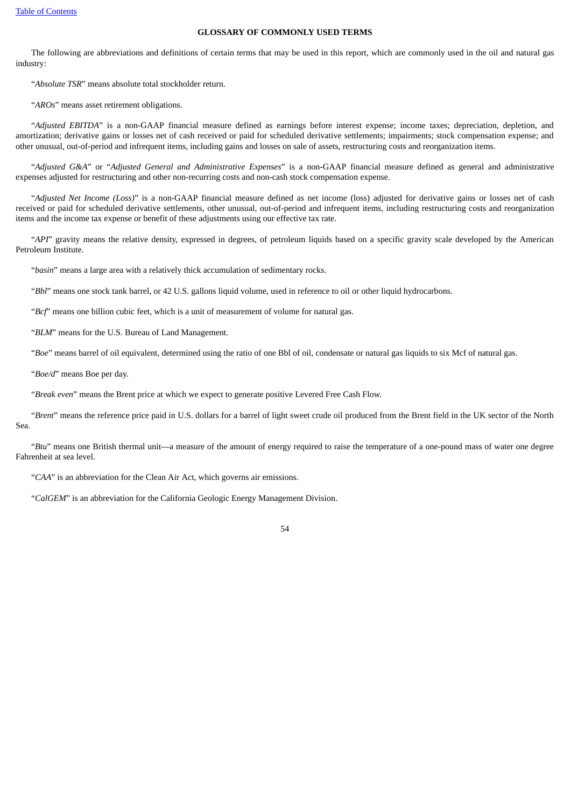# **GLOSSARY OF COMMONLY USED TERMS**

<span id="page-55-0"></span>The following are abbreviations and definitions of certain terms that may be used in this report, which are commonly used in the oil and natural gas industry:

"*Absolute TSR*" means absolute total stockholder return.

"*AROs*" means asset retirement obligations.

"*Adjusted EBITDA*" is a non-GAAP financial measure defined as earnings before interest expense; income taxes; depreciation, depletion, and amortization; derivative gains or losses net of cash received or paid for scheduled derivative settlements; impairments; stock compensation expense; and other unusual, out-of-period and infrequent items, including gains and losses on sale of assets, restructuring costs and reorganization items.

"*Adjusted G&A*" or "*Adjusted General and Administrative Expenses*" is a non-GAAP financial measure defined as general and administrative expenses adjusted for restructuring and other non-recurring costs and non-cash stock compensation expense.

"*Adjusted Net Income (Loss)*" is a non-GAAP financial measure defined as net income (loss) adjusted for derivative gains or losses net of cash received or paid for scheduled derivative settlements, other unusual, out-of-period and infrequent items, including restructuring costs and reorganization items and the income tax expense or benefit of these adjustments using our effective tax rate.

"*API*" gravity means the relative density, expressed in degrees, of petroleum liquids based on a specific gravity scale developed by the American Petroleum Institute.

"*basin*" means a large area with a relatively thick accumulation of sedimentary rocks.

"*Bbl*" means one stock tank barrel, or 42 U.S. gallons liquid volume, used in reference to oil or other liquid hydrocarbons.

"*Bcf*" means one billion cubic feet, which is a unit of measurement of volume for natural gas.

"*BLM*" means for the U.S. Bureau of Land Management.

"*Boe*" means barrel of oil equivalent, determined using the ratio of one Bbl of oil, condensate or natural gas liquids to six Mcf of natural gas.

"*Boe/d*" means Boe per day.

"*Break even*" means the Brent price at which we expect to generate positive Levered Free Cash Flow.

"*Brent*" means the reference price paid in U.S. dollars for a barrel of light sweet crude oil produced from the Brent field in the UK sector of the North Sea.

"*Btu*" means one British thermal unit—a measure of the amount of energy required to raise the temperature of a one-pound mass of water one degree Fahrenheit at sea level.

"*CAA*" is an abbreviation for the Clean Air Act, which governs air emissions.

"*CalGEM*" is an abbreviation for the California Geologic Energy Management Division.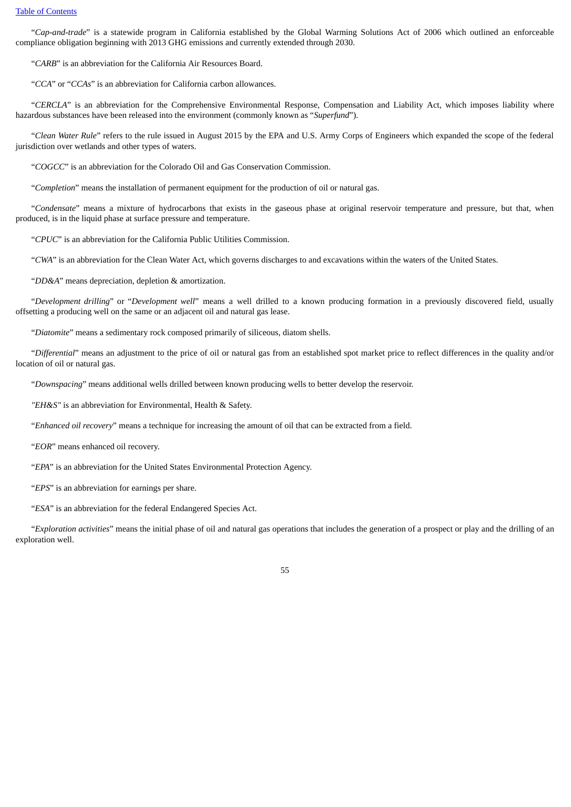"*Cap-and-trade*" is a statewide program in California established by the Global Warming Solutions Act of 2006 which outlined an enforceable compliance obligation beginning with 2013 GHG emissions and currently extended through 2030.

"*CARB*" is an abbreviation for the California Air Resources Board.

"*CCA*" or "*CCAs*" is an abbreviation for California carbon allowances.

"*CERCLA*" is an abbreviation for the Comprehensive Environmental Response, Compensation and Liability Act, which imposes liability where hazardous substances have been released into the environment (commonly known as "*Superfund*").

"*Clean Water Rule*" refers to the rule issued in August 2015 by the EPA and U.S. Army Corps of Engineers which expanded the scope of the federal jurisdiction over wetlands and other types of waters.

"*COGCC*" is an abbreviation for the Colorado Oil and Gas Conservation Commission.

"*Completion*" means the installation of permanent equipment for the production of oil or natural gas.

"*Condensate*" means a mixture of hydrocarbons that exists in the gaseous phase at original reservoir temperature and pressure, but that, when produced, is in the liquid phase at surface pressure and temperature.

"*CPUC*" is an abbreviation for the California Public Utilities Commission.

"*CWA*" is an abbreviation for the Clean Water Act, which governs discharges to and excavations within the waters of the United States.

"*DD&A*" means depreciation, depletion & amortization.

"*Development drilling*" or "*Development well*" means a well drilled to a known producing formation in a previously discovered field, usually offsetting a producing well on the same or an adjacent oil and natural gas lease.

"*Diatomite*" means a sedimentary rock composed primarily of siliceous, diatom shells.

"*Differential*" means an adjustment to the price of oil or natural gas from an established spot market price to reflect differences in the quality and/or location of oil or natural gas.

"*Downspacing*" means additional wells drilled between known producing wells to better develop the reservoir.

*"EH&S"* is an abbreviation for Environmental, Health & Safety.

"*Enhanced oil recovery*" means a technique for increasing the amount of oil that can be extracted from a field.

"*EOR*" means enhanced oil recovery.

"*EPA*" is an abbreviation for the United States Environmental Protection Agency.

"*EPS*" is an abbreviation for earnings per share.

"*ESA*" is an abbreviation for the federal Endangered Species Act.

"*Exploration activities*" means the initial phase of oil and natural gas operations that includes the generation of a prospect or play and the drilling of an exploration well.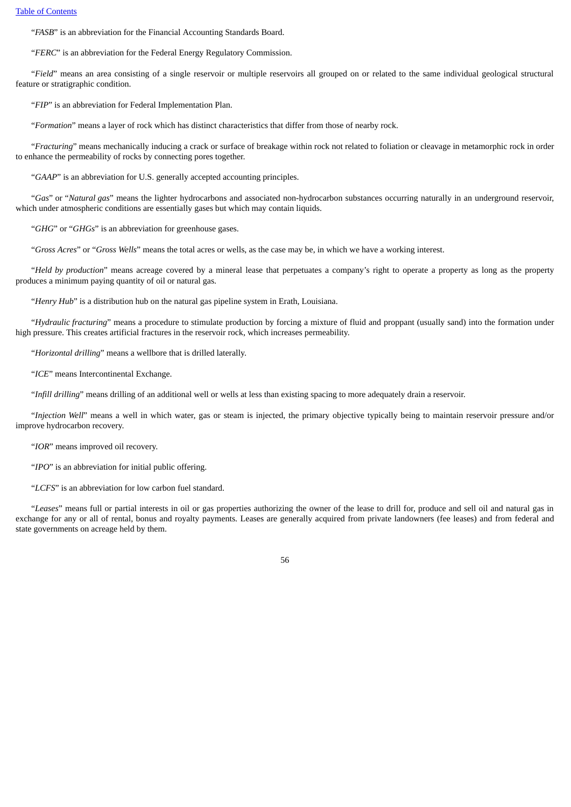"*FASB*" is an abbreviation for the Financial Accounting Standards Board.

"*FERC*" is an abbreviation for the Federal Energy Regulatory Commission.

"*Field*" means an area consisting of a single reservoir or multiple reservoirs all grouped on or related to the same individual geological structural feature or stratigraphic condition.

"*FIP*" is an abbreviation for Federal Implementation Plan.

"*Formation*" means a layer of rock which has distinct characteristics that differ from those of nearby rock.

"*Fracturing*" means mechanically inducing a crack or surface of breakage within rock not related to foliation or cleavage in metamorphic rock in order to enhance the permeability of rocks by connecting pores together.

"*GAAP*" is an abbreviation for U.S. generally accepted accounting principles.

"*Gas*" or "*Natural gas*" means the lighter hydrocarbons and associated non-hydrocarbon substances occurring naturally in an underground reservoir, which under atmospheric conditions are essentially gases but which may contain liquids.

"*GHG*" or "*GHGs*" is an abbreviation for greenhouse gases.

"*Gross Acres*" or "*Gross Wells*" means the total acres or wells, as the case may be, in which we have a working interest.

"*Held by production*" means acreage covered by a mineral lease that perpetuates a company's right to operate a property as long as the property produces a minimum paying quantity of oil or natural gas.

"*Henry Hub*" is a distribution hub on the natural gas pipeline system in Erath, Louisiana.

"*Hydraulic fracturing*" means a procedure to stimulate production by forcing a mixture of fluid and proppant (usually sand) into the formation under high pressure. This creates artificial fractures in the reservoir rock, which increases permeability.

"*Horizontal drilling*" means a wellbore that is drilled laterally.

"*ICE*" means Intercontinental Exchange.

"*Infill drilling*" means drilling of an additional well or wells at less than existing spacing to more adequately drain a reservoir.

"*Injection Well*" means a well in which water, gas or steam is injected, the primary objective typically being to maintain reservoir pressure and/or improve hydrocarbon recovery.

"*IOR*" means improved oil recovery.

"*IPO*" is an abbreviation for initial public offering.

"*LCFS*" is an abbreviation for low carbon fuel standard.

"*Leases*" means full or partial interests in oil or gas properties authorizing the owner of the lease to drill for, produce and sell oil and natural gas in exchange for any or all of rental, bonus and royalty payments. Leases are generally acquired from private landowners (fee leases) and from federal and state governments on acreage held by them.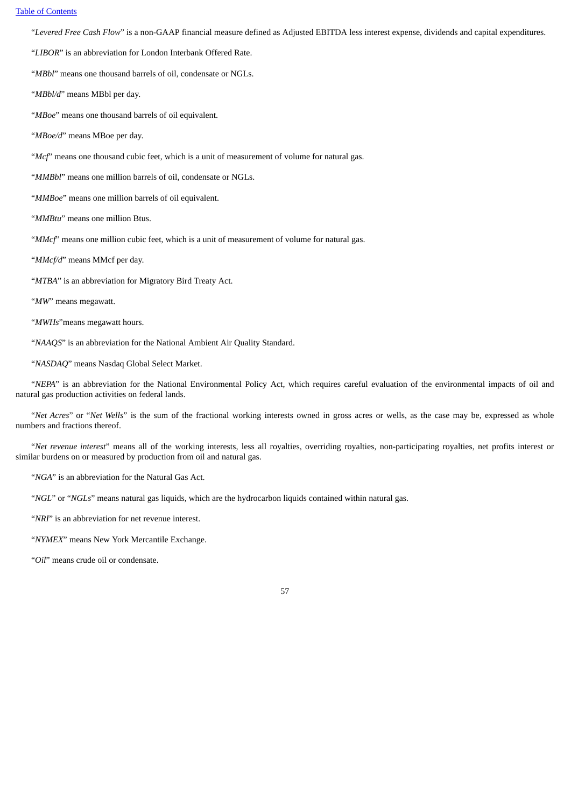"*Levered Free Cash Flow*" is a non-GAAP financial measure defined as Adjusted EBITDA less interest expense, dividends and capital expenditures.

"*LIBOR*" is an abbreviation for London Interbank Offered Rate.

"*MBbl*" means one thousand barrels of oil, condensate or NGLs.

"*MBbl/d*" means MBbl per day.

"*MBoe*" means one thousand barrels of oil equivalent.

"*MBoe/d*" means MBoe per day.

"*Mcf*" means one thousand cubic feet, which is a unit of measurement of volume for natural gas.

"*MMBbl*" means one million barrels of oil, condensate or NGLs.

"*MMBoe*" means one million barrels of oil equivalent.

"*MMBtu*" means one million Btus.

"*MMcf*" means one million cubic feet, which is a unit of measurement of volume for natural gas.

"*MMcf/d*" means MMcf per day.

"*MTBA*" is an abbreviation for Migratory Bird Treaty Act.

"*MW*" means megawatt.

"*MWHs*"means megawatt hours.

"*NAAQS*" is an abbreviation for the National Ambient Air Quality Standard.

"*NASDAQ*" means Nasdaq Global Select Market.

"*NEPA*" is an abbreviation for the National Environmental Policy Act, which requires careful evaluation of the environmental impacts of oil and natural gas production activities on federal lands.

"*Net Acres*" or "*Net Wells*" is the sum of the fractional working interests owned in gross acres or wells, as the case may be, expressed as whole numbers and fractions thereof.

"*Net revenue interest*" means all of the working interests, less all royalties, overriding royalties, non-participating royalties, net profits interest or similar burdens on or measured by production from oil and natural gas.

"*NGA*" is an abbreviation for the Natural Gas Act.

"*NGL*" or "*NGLs*" means natural gas liquids, which are the hydrocarbon liquids contained within natural gas.

"*NRI*" is an abbreviation for net revenue interest.

"*NYMEX*" means New York Mercantile Exchange.

"*Oil*" means crude oil or condensate.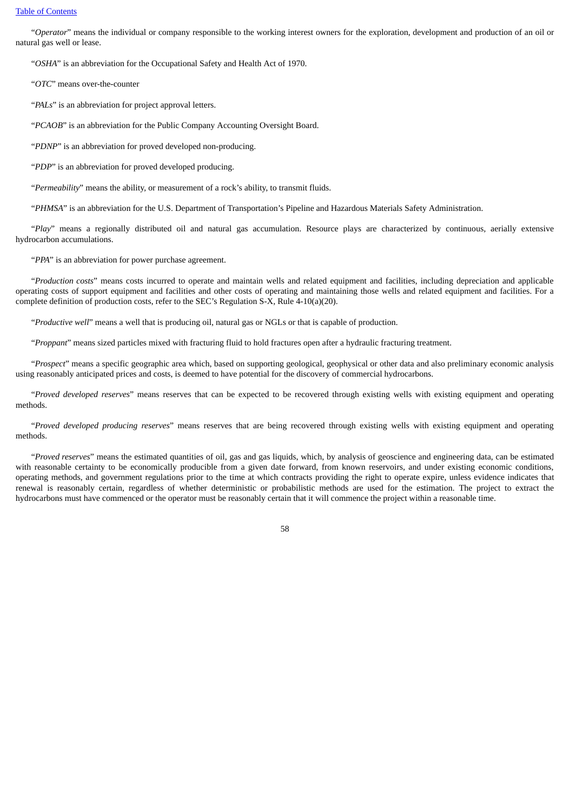#### Table of [Contents](#page-1-0)

"*Operator*" means the individual or company responsible to the working interest owners for the exploration, development and production of an oil or natural gas well or lease.

"*OSHA*" is an abbreviation for the Occupational Safety and Health Act of 1970.

"*OTC*" means over-the-counter

"*PALs*" is an abbreviation for project approval letters.

"*PCAOB*" is an abbreviation for the Public Company Accounting Oversight Board.

"*PDNP*" is an abbreviation for proved developed non-producing.

"*PDP*" is an abbreviation for proved developed producing.

"*Permeability*" means the ability, or measurement of a rock's ability, to transmit fluids.

"*PHMSA*" is an abbreviation for the U.S. Department of Transportation's Pipeline and Hazardous Materials Safety Administration.

"*Play*" means a regionally distributed oil and natural gas accumulation. Resource plays are characterized by continuous, aerially extensive hydrocarbon accumulations.

"*PPA*" is an abbreviation for power purchase agreement.

"*Production costs*" means costs incurred to operate and maintain wells and related equipment and facilities, including depreciation and applicable operating costs of support equipment and facilities and other costs of operating and maintaining those wells and related equipment and facilities. For a complete definition of production costs, refer to the SEC's Regulation S-X, Rule 4-10(a)(20).

"*Productive well*" means a well that is producing oil, natural gas or NGLs or that is capable of production.

"*Proppant*" means sized particles mixed with fracturing fluid to hold fractures open after a hydraulic fracturing treatment.

"*Prospect*" means a specific geographic area which, based on supporting geological, geophysical or other data and also preliminary economic analysis using reasonably anticipated prices and costs, is deemed to have potential for the discovery of commercial hydrocarbons.

"*Proved developed reserves*" means reserves that can be expected to be recovered through existing wells with existing equipment and operating methods.

"*Proved developed producing reserves*" means reserves that are being recovered through existing wells with existing equipment and operating methods.

"*Proved reserves*" means the estimated quantities of oil, gas and gas liquids, which, by analysis of geoscience and engineering data, can be estimated with reasonable certainty to be economically producible from a given date forward, from known reservoirs, and under existing economic conditions, operating methods, and government regulations prior to the time at which contracts providing the right to operate expire, unless evidence indicates that renewal is reasonably certain, regardless of whether deterministic or probabilistic methods are used for the estimation. The project to extract the hydrocarbons must have commenced or the operator must be reasonably certain that it will commence the project within a reasonable time.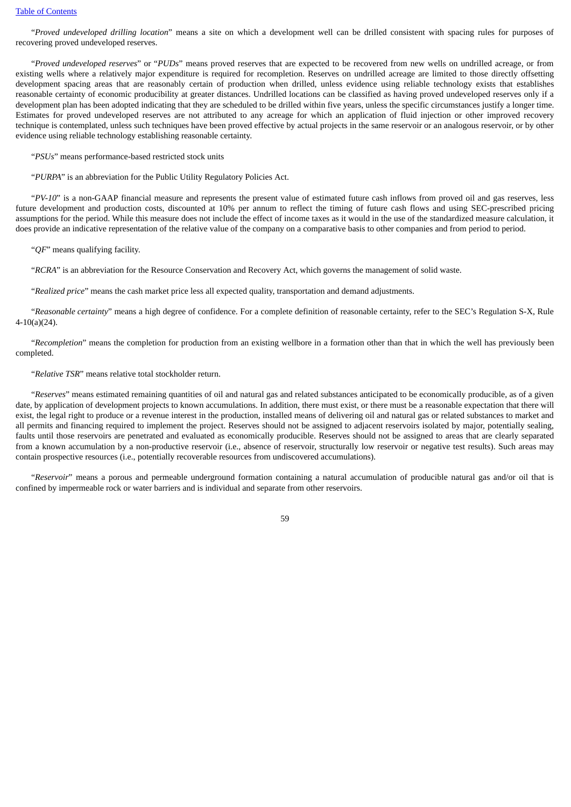"*Proved undeveloped drilling location*" means a site on which a development well can be drilled consistent with spacing rules for purposes of recovering proved undeveloped reserves.

"*Proved undeveloped reserves*" or "*PUDs*" means proved reserves that are expected to be recovered from new wells on undrilled acreage, or from existing wells where a relatively major expenditure is required for recompletion. Reserves on undrilled acreage are limited to those directly offsetting development spacing areas that are reasonably certain of production when drilled, unless evidence using reliable technology exists that establishes reasonable certainty of economic producibility at greater distances. Undrilled locations can be classified as having proved undeveloped reserves only if a development plan has been adopted indicating that they are scheduled to be drilled within five years, unless the specific circumstances justify a longer time. Estimates for proved undeveloped reserves are not attributed to any acreage for which an application of fluid injection or other improved recovery technique is contemplated, unless such techniques have been proved effective by actual projects in the same reservoir or an analogous reservoir, or by other evidence using reliable technology establishing reasonable certainty.

"*PSUs*" means performance-based restricted stock units

"*PURPA*" is an abbreviation for the Public Utility Regulatory Policies Act.

"*PV-10*" is a non-GAAP financial measure and represents the present value of estimated future cash inflows from proved oil and gas reserves, less future development and production costs, discounted at 10% per annum to reflect the timing of future cash flows and using SEC-prescribed pricing assumptions for the period. While this measure does not include the effect of income taxes as it would in the use of the standardized measure calculation, it does provide an indicative representation of the relative value of the company on a comparative basis to other companies and from period to period.

"*QF*" means qualifying facility.

"*RCRA*" is an abbreviation for the Resource Conservation and Recovery Act, which governs the management of solid waste.

"*Realized price*" means the cash market price less all expected quality, transportation and demand adjustments.

"*Reasonable certainty*" means a high degree of confidence. For a complete definition of reasonable certainty, refer to the SEC's Regulation S-X, Rule 4-10(a)(24).

"*Recompletion*" means the completion for production from an existing wellbore in a formation other than that in which the well has previously been completed.

"*Relative TSR*" means relative total stockholder return.

"*Reserves*" means estimated remaining quantities of oil and natural gas and related substances anticipated to be economically producible, as of a given date, by application of development projects to known accumulations. In addition, there must exist, or there must be a reasonable expectation that there will exist, the legal right to produce or a revenue interest in the production, installed means of delivering oil and natural gas or related substances to market and all permits and financing required to implement the project. Reserves should not be assigned to adjacent reservoirs isolated by major, potentially sealing, faults until those reservoirs are penetrated and evaluated as economically producible. Reserves should not be assigned to areas that are clearly separated from a known accumulation by a non-productive reservoir (i.e., absence of reservoir, structurally low reservoir or negative test results). Such areas may contain prospective resources (i.e., potentially recoverable resources from undiscovered accumulations).

"*Reservoir*" means a porous and permeable underground formation containing a natural accumulation of producible natural gas and/or oil that is confined by impermeable rock or water barriers and is individual and separate from other reservoirs.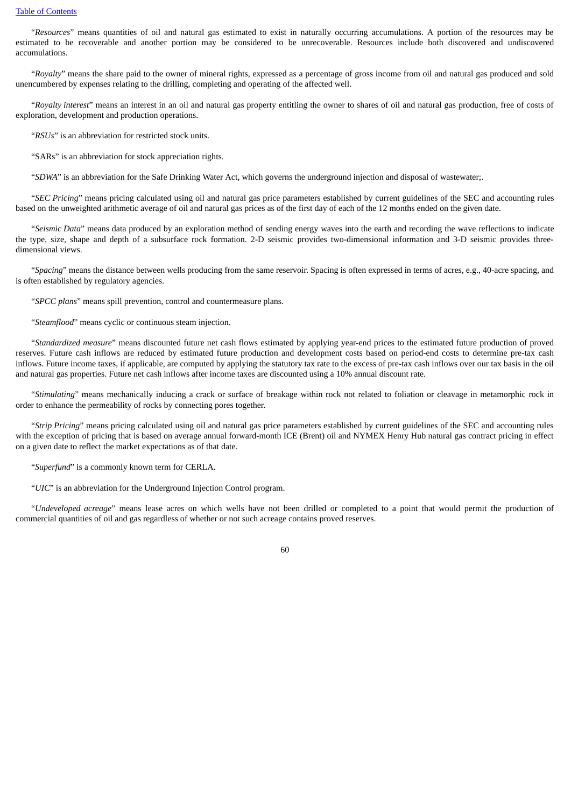"*Resources*" means quantities of oil and natural gas estimated to exist in naturally occurring accumulations. A portion of the resources may be estimated to be recoverable and another portion may be considered to be unrecoverable. Resources include both discovered and undiscovered accumulations.

"*Royalty*" means the share paid to the owner of mineral rights, expressed as a percentage of gross income from oil and natural gas produced and sold unencumbered by expenses relating to the drilling, completing and operating of the affected well.

"*Royalty interest*" means an interest in an oil and natural gas property entitling the owner to shares of oil and natural gas production, free of costs of exploration, development and production operations.

"*RSUs*" is an abbreviation for restricted stock units.

"SARs" is an abbreviation for stock appreciation rights.

"*SDWA*" is an abbreviation for the Safe Drinking Water Act, which governs the underground injection and disposal of wastewater;.

"*SEC Pricing*" means pricing calculated using oil and natural gas price parameters established by current guidelines of the SEC and accounting rules based on the unweighted arithmetic average of oil and natural gas prices as of the first day of each of the 12 months ended on the given date.

"*Seismic Data*" means data produced by an exploration method of sending energy waves into the earth and recording the wave reflections to indicate the type, size, shape and depth of a subsurface rock formation. 2-D seismic provides two-dimensional information and 3-D seismic provides threedimensional views.

"*Spacing*" means the distance between wells producing from the same reservoir. Spacing is often expressed in terms of acres, e.g., 40-acre spacing, and is often established by regulatory agencies.

"*SPCC plans*" means spill prevention, control and countermeasure plans.

"*Steamflood*" means cyclic or continuous steam injection.

"*Standardized measure*" means discounted future net cash flows estimated by applying year-end prices to the estimated future production of proved reserves. Future cash inflows are reduced by estimated future production and development costs based on period-end costs to determine pre-tax cash inflows. Future income taxes, if applicable, are computed by applying the statutory tax rate to the excess of pre-tax cash inflows over our tax basis in the oil and natural gas properties. Future net cash inflows after income taxes are discounted using a 10% annual discount rate.

"*Stimulating*" means mechanically inducing a crack or surface of breakage within rock not related to foliation or cleavage in metamorphic rock in order to enhance the permeability of rocks by connecting pores together.

"*Strip Pricing*" means pricing calculated using oil and natural gas price parameters established by current guidelines of the SEC and accounting rules with the exception of pricing that is based on average annual forward-month ICE (Brent) oil and NYMEX Henry Hub natural gas contract pricing in effect on a given date to reflect the market expectations as of that date.

"*Superfund*" is a commonly known term for CERLA.

"*UIC*" is an abbreviation for the Underground Injection Control program.

"*Undeveloped acreage*" means lease acres on which wells have not been drilled or completed to a point that would permit the production of commercial quantities of oil and gas regardless of whether or not such acreage contains proved reserves.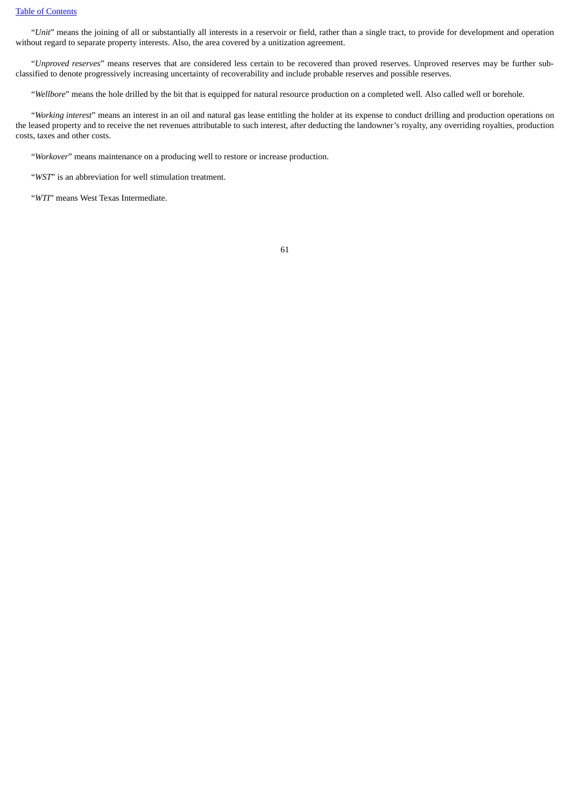"*Unit*" means the joining of all or substantially all interests in a reservoir or field, rather than a single tract, to provide for development and operation without regard to separate property interests. Also, the area covered by a unitization agreement.

"*Unproved reserves*" means reserves that are considered less certain to be recovered than proved reserves. Unproved reserves may be further subclassified to denote progressively increasing uncertainty of recoverability and include probable reserves and possible reserves.

"*Wellbore*" means the hole drilled by the bit that is equipped for natural resource production on a completed well. Also called well or borehole.

"*Working interest*" means an interest in an oil and natural gas lease entitling the holder at its expense to conduct drilling and production operations on the leased property and to receive the net revenues attributable to such interest, after deducting the landowner's royalty, any overriding royalties, production costs, taxes and other costs.

"*Workover*" means maintenance on a producing well to restore or increase production.

"*WST*" is an abbreviation for well stimulation treatment.

"*WTI*" means West Texas Intermediate.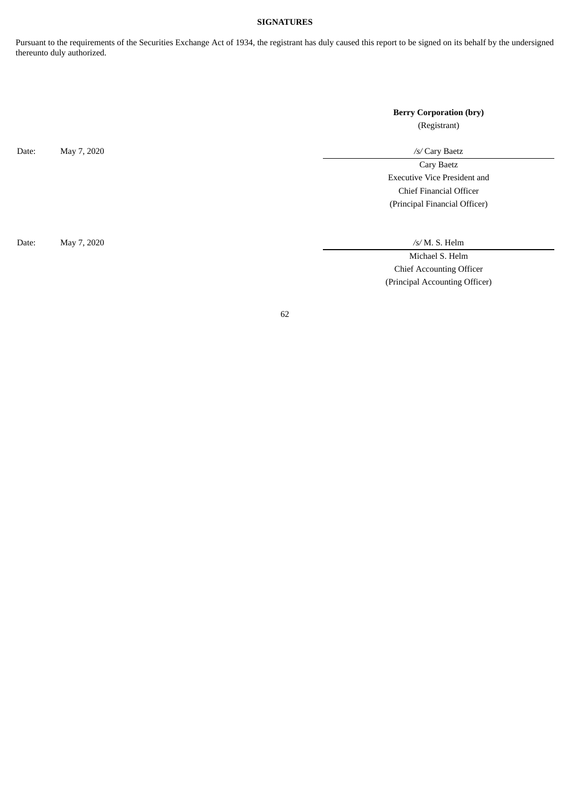# **SIGNATURES**

<span id="page-63-0"></span>Pursuant to the requirements of the Securities Exchange Act of 1934, the registrant has duly caused this report to be signed on its behalf by the undersigned thereunto duly authorized.

> **Berry Corporation (bry)** (Registrant)

Date: May 7, 2020 */s/* Cary Baetz

Cary Baetz Executive Vice President and Chief Financial Officer (Principal Financial Officer)

Date: May 7, 2020 */s/* M. S. Helm

Michael S. Helm Chief Accounting Officer (Principal Accounting Officer)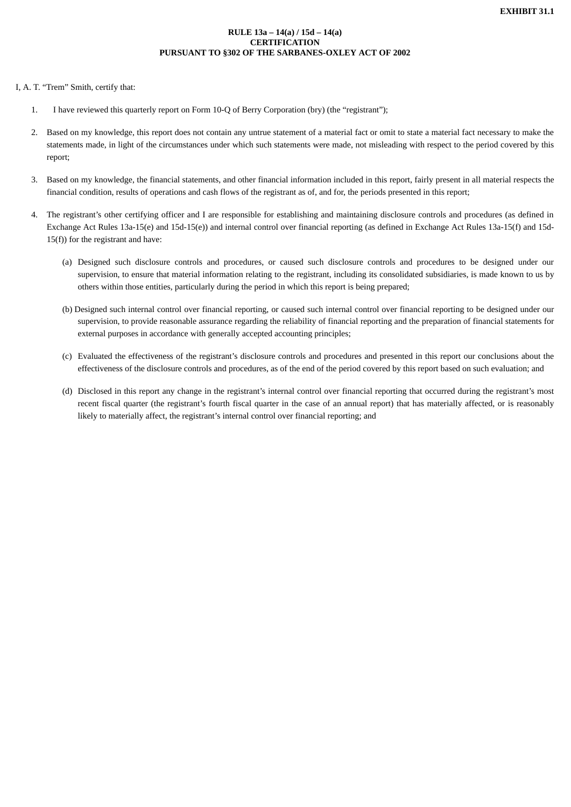# **RULE 13a – 14(a) / 15d – 14(a) CERTIFICATION PURSUANT TO §302 OF THE SARBANES-OXLEY ACT OF 2002**

<span id="page-64-0"></span>I, A. T. "Trem" Smith, certify that:

- 1. I have reviewed this quarterly report on Form 10-Q of Berry Corporation (bry) (the "registrant");
- 2. Based on my knowledge, this report does not contain any untrue statement of a material fact or omit to state a material fact necessary to make the statements made, in light of the circumstances under which such statements were made, not misleading with respect to the period covered by this report;
- 3. Based on my knowledge, the financial statements, and other financial information included in this report, fairly present in all material respects the financial condition, results of operations and cash flows of the registrant as of, and for, the periods presented in this report;
- 4. The registrant's other certifying officer and I are responsible for establishing and maintaining disclosure controls and procedures (as defined in Exchange Act Rules 13a-15(e) and 15d-15(e)) and internal control over financial reporting (as defined in Exchange Act Rules 13a-15(f) and 15d-15(f)) for the registrant and have:
	- (a) Designed such disclosure controls and procedures, or caused such disclosure controls and procedures to be designed under our supervision, to ensure that material information relating to the registrant, including its consolidated subsidiaries, is made known to us by others within those entities, particularly during the period in which this report is being prepared;
	- (b) Designed such internal control over financial reporting, or caused such internal control over financial reporting to be designed under our supervision, to provide reasonable assurance regarding the reliability of financial reporting and the preparation of financial statements for external purposes in accordance with generally accepted accounting principles;
	- (c) Evaluated the effectiveness of the registrant's disclosure controls and procedures and presented in this report our conclusions about the effectiveness of the disclosure controls and procedures, as of the end of the period covered by this report based on such evaluation; and
	- (d) Disclosed in this report any change in the registrant's internal control over financial reporting that occurred during the registrant's most recent fiscal quarter (the registrant's fourth fiscal quarter in the case of an annual report) that has materially affected, or is reasonably likely to materially affect, the registrant's internal control over financial reporting; and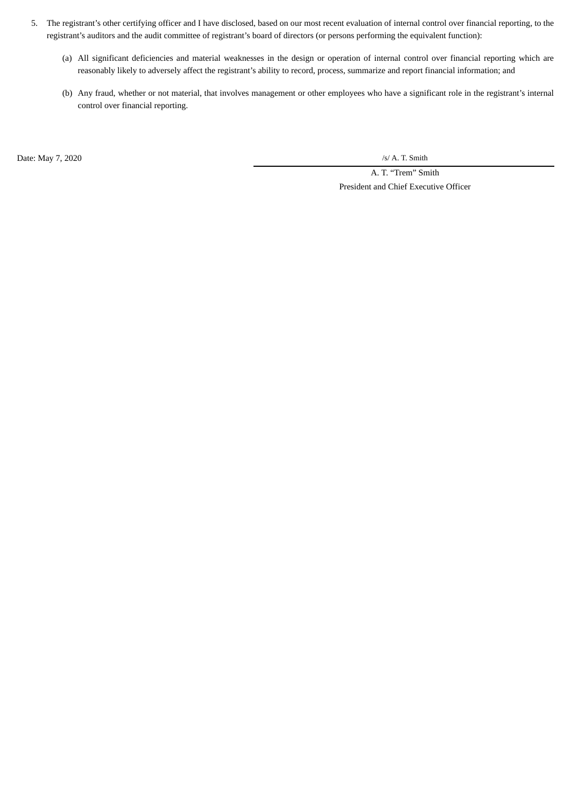- 5. The registrant's other certifying officer and I have disclosed, based on our most recent evaluation of internal control over financial reporting, to the registrant's auditors and the audit committee of registrant's board of directors (or persons performing the equivalent function):
	- (a) All significant deficiencies and material weaknesses in the design or operation of internal control over financial reporting which are reasonably likely to adversely affect the registrant's ability to record, process, summarize and report financial information; and
	- (b) Any fraud, whether or not material, that involves management or other employees who have a significant role in the registrant's internal control over financial reporting.

Date: May 7, 2020 /s/ A. T. Smith

A. T. "Trem" Smith President and Chief Executive Officer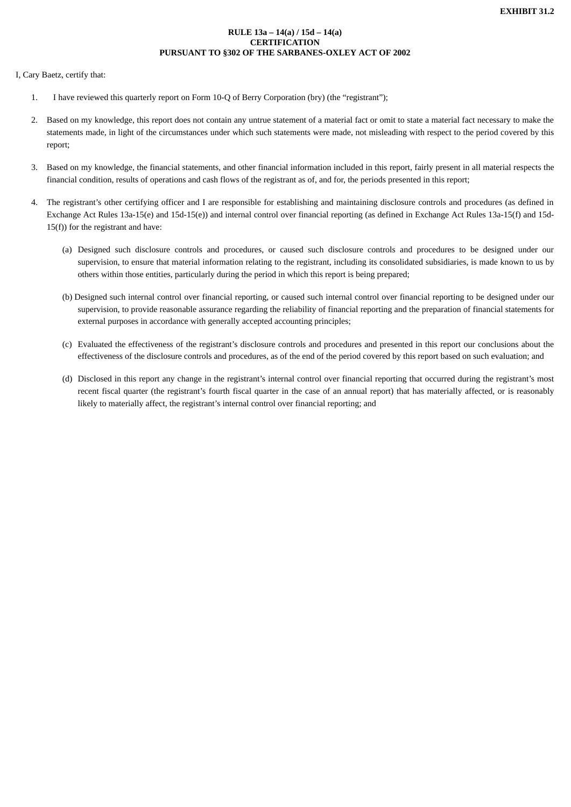# **RULE 13a – 14(a) / 15d – 14(a) CERTIFICATION PURSUANT TO §302 OF THE SARBANES-OXLEY ACT OF 2002**

<span id="page-66-0"></span>I, Cary Baetz, certify that:

- 1. I have reviewed this quarterly report on Form 10-Q of Berry Corporation (bry) (the "registrant");
- 2. Based on my knowledge, this report does not contain any untrue statement of a material fact or omit to state a material fact necessary to make the statements made, in light of the circumstances under which such statements were made, not misleading with respect to the period covered by this report;
- 3. Based on my knowledge, the financial statements, and other financial information included in this report, fairly present in all material respects the financial condition, results of operations and cash flows of the registrant as of, and for, the periods presented in this report;
- 4. The registrant's other certifying officer and I are responsible for establishing and maintaining disclosure controls and procedures (as defined in Exchange Act Rules 13a-15(e) and 15d-15(e)) and internal control over financial reporting (as defined in Exchange Act Rules 13a-15(f) and 15d-15(f)) for the registrant and have:
	- (a) Designed such disclosure controls and procedures, or caused such disclosure controls and procedures to be designed under our supervision, to ensure that material information relating to the registrant, including its consolidated subsidiaries, is made known to us by others within those entities, particularly during the period in which this report is being prepared;
	- (b) Designed such internal control over financial reporting, or caused such internal control over financial reporting to be designed under our supervision, to provide reasonable assurance regarding the reliability of financial reporting and the preparation of financial statements for external purposes in accordance with generally accepted accounting principles;
	- (c) Evaluated the effectiveness of the registrant's disclosure controls and procedures and presented in this report our conclusions about the effectiveness of the disclosure controls and procedures, as of the end of the period covered by this report based on such evaluation; and
	- (d) Disclosed in this report any change in the registrant's internal control over financial reporting that occurred during the registrant's most recent fiscal quarter (the registrant's fourth fiscal quarter in the case of an annual report) that has materially affected, or is reasonably likely to materially affect, the registrant's internal control over financial reporting; and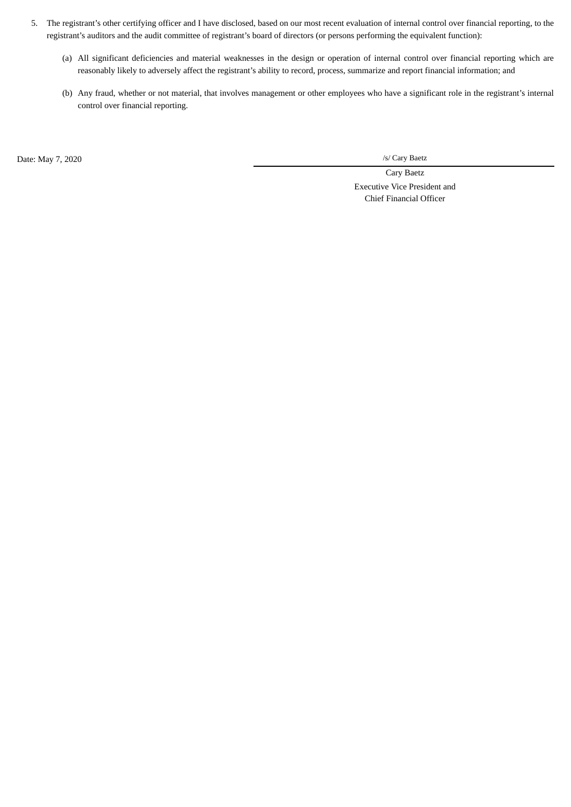- 5. The registrant's other certifying officer and I have disclosed, based on our most recent evaluation of internal control over financial reporting, to the registrant's auditors and the audit committee of registrant's board of directors (or persons performing the equivalent function):
	- (a) All significant deficiencies and material weaknesses in the design or operation of internal control over financial reporting which are reasonably likely to adversely affect the registrant's ability to record, process, summarize and report financial information; and
	- (b) Any fraud, whether or not material, that involves management or other employees who have a significant role in the registrant's internal control over financial reporting.

Date: May 7, 2020 /s/ Cary Baetz

Cary Baetz Executive Vice President and Chief Financial Officer